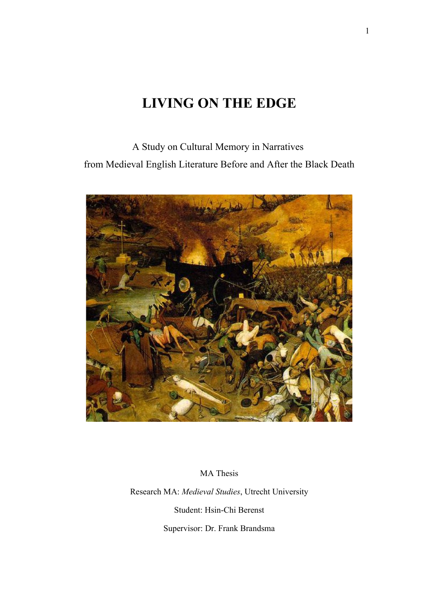# **LIVING ON THE EDGE**

A Study on Cultural Memory in Narratives from Medieval English Literature Before and After the Black Death



MA Thesis

Research MA: *Medieval Studies*, Utrecht University

Student: Hsin-Chi Berenst

Supervisor: Dr. Frank Brandsma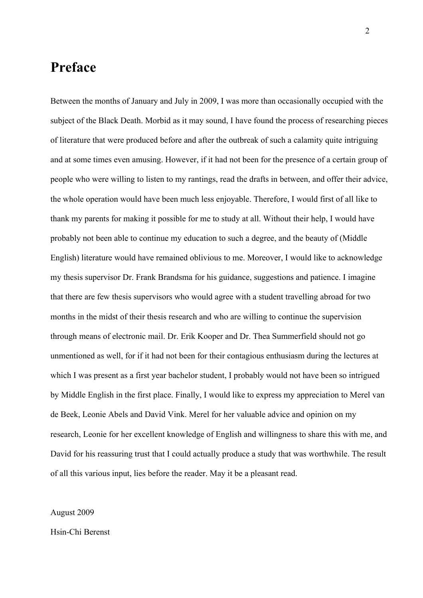## **Preface**

Between the months of January and July in 2009, I was more than occasionally occupied with the subject of the Black Death. Morbid as it may sound, I have found the process of researching pieces of literature that were produced before and after the outbreak of such a calamity quite intriguing and at some times even amusing. However, if it had not been for the presence of a certain group of people who were willing to listen to my rantings, read the drafts in between, and offer their advice, the whole operation would have been much less enjoyable. Therefore, I would first of all like to thank my parents for making it possible for me to study at all. Without their help, I would have probably not been able to continue my education to such a degree, and the beauty of (Middle English) literature would have remained oblivious to me. Moreover, I would like to acknowledge my thesis supervisor Dr. Frank Brandsma for his guidance, suggestions and patience. I imagine that there are few thesis supervisors who would agree with a student travelling abroad for two months in the midst of their thesis research and who are willing to continue the supervision through means of electronic mail. Dr. Erik Kooper and Dr. Thea Summerfield should not go unmentioned as well, for if it had not been for their contagious enthusiasm during the lectures at which I was present as a first year bachelor student, I probably would not have been so intrigued by Middle English in the first place. Finally, I would like to express my appreciation to Merel van de Beek, Leonie Abels and David Vink. Merel for her valuable advice and opinion on my research, Leonie for her excellent knowledge of English and willingness to share this with me, and David for his reassuring trust that I could actually produce a study that was worthwhile. The result of all this various input, lies before the reader. May it be a pleasant read.

### August 2009

### Hsin-Chi Berenst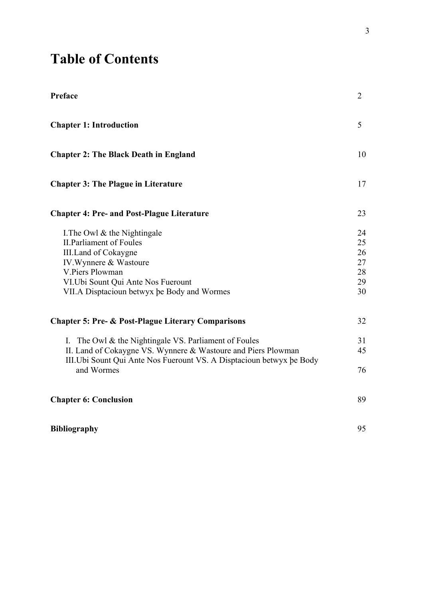# **Table of Contents**

| Preface                                                                                                                                                                                                                             | $\overline{2}$                         |
|-------------------------------------------------------------------------------------------------------------------------------------------------------------------------------------------------------------------------------------|----------------------------------------|
| <b>Chapter 1: Introduction</b>                                                                                                                                                                                                      | 5                                      |
| <b>Chapter 2: The Black Death in England</b>                                                                                                                                                                                        | 10                                     |
| <b>Chapter 3: The Plague in Literature</b>                                                                                                                                                                                          | 17                                     |
| <b>Chapter 4: Pre- and Post-Plague Literature</b>                                                                                                                                                                                   | 23                                     |
| I. The Owl $\&$ the Nightingale<br><b>II.Parliament of Foules</b><br><b>III.Land of Cokaygne</b><br>IV. Wynnere & Wastoure<br>V.Piers Plowman<br>VI. Ubi Sount Qui Ante Nos Fuerount<br>VII.A Disptacioun betwyx be Body and Wormes | 24<br>25<br>26<br>27<br>28<br>29<br>30 |
| <b>Chapter 5: Pre- &amp; Post-Plague Literary Comparisons</b>                                                                                                                                                                       | 32                                     |
| I. The Owl $\&$ the Nightingale VS. Parliament of Foules<br>II. Land of Cokaygne VS. Wynnere & Wastoure and Piers Plowman<br>III. Ubi Sount Qui Ante Nos Fuerount VS. A Disptacioun betwyx be Body                                  | 31<br>45                               |
| and Wormes                                                                                                                                                                                                                          | 76                                     |
| <b>Chapter 6: Conclusion</b>                                                                                                                                                                                                        | 89                                     |
| <b>Bibliography</b>                                                                                                                                                                                                                 | 95                                     |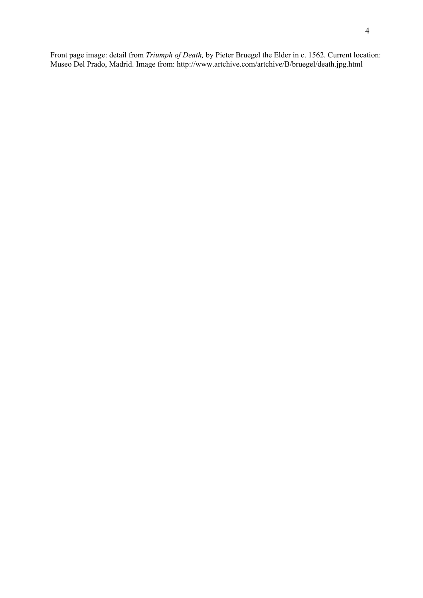Front page image: detail from *Triumph of Death,* by Pieter Bruegel the Elder in c. 1562. Current location: Museo Del Prado, Madrid. Image from: http://www.artchive.com/artchive/B/bruegel/death.jpg.html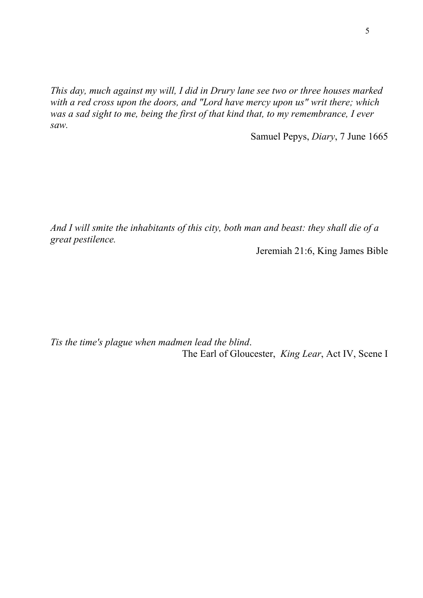*This day, much against my will, I did in Drury lane see two or three houses marked with a red cross upon the doors, and "Lord have mercy upon us" writ there; which was a sad sight to me, being the first of that kind that, to my remembrance, I ever saw.* 

Samuel Pepys, *Diary*, 7 June 1665

*And I will smite the inhabitants of this city, both man and beast: they shall die of a great pestilence.* 

Jeremiah 21:6, King James Bible

*Tis the time's plague when madmen lead the blind*. The Earl of Gloucester, *King Lear*, Act IV, Scene I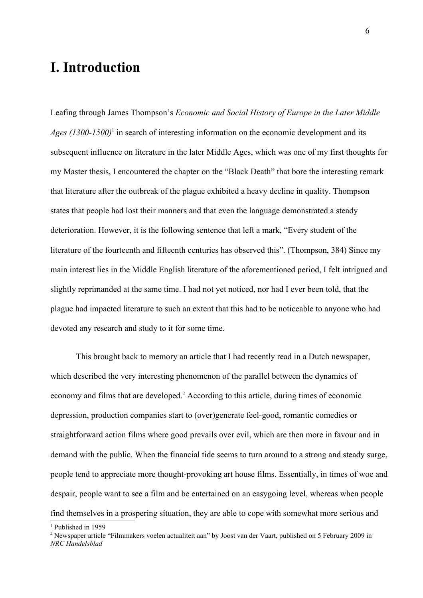# **I. Introduction**

Leafing through James Thompson's *Economic and Social History of Europe in the Later Middle* Ages ([1](#page-5-0)300-1500)<sup>1</sup> in search of interesting information on the economic development and its subsequent influence on literature in the later Middle Ages, which was one of my first thoughts for my Master thesis, I encountered the chapter on the "Black Death" that bore the interesting remark that literature after the outbreak of the plague exhibited a heavy decline in quality. Thompson states that people had lost their manners and that even the language demonstrated a steady deterioration. However, it is the following sentence that left a mark, "Every student of the literature of the fourteenth and fifteenth centuries has observed this". (Thompson, 384) Since my main interest lies in the Middle English literature of the aforementioned period, I felt intrigued and slightly reprimanded at the same time. I had not yet noticed, nor had I ever been told, that the plague had impacted literature to such an extent that this had to be noticeable to anyone who had devoted any research and study to it for some time.

This brought back to memory an article that I had recently read in a Dutch newspaper, which described the very interesting phenomenon of the parallel between the dynamics of economy and films that are developed.<sup>[2](#page-5-1)</sup> According to this article, during times of economic depression, production companies start to (over)generate feel-good, romantic comedies or straightforward action films where good prevails over evil, which are then more in favour and in demand with the public. When the financial tide seems to turn around to a strong and steady surge, people tend to appreciate more thought-provoking art house films. Essentially, in times of woe and despair, people want to see a film and be entertained on an easygoing level, whereas when people

find themselves in a prospering situation, they are able to cope with somewhat more serious and

<span id="page-5-0"></span><sup>&</sup>lt;sup>1</sup> Published in 1959

<span id="page-5-1"></span><sup>&</sup>lt;sup>2</sup> Newspaper article "Filmmakers voelen actualiteit aan" by Joost van der Vaart, published on 5 February 2009 in *NRC Handelsblad*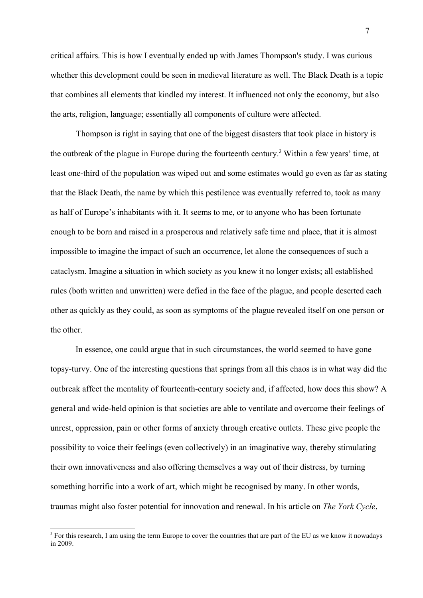critical affairs. This is how I eventually ended up with James Thompson's study. I was curious whether this development could be seen in medieval literature as well. The Black Death is a topic that combines all elements that kindled my interest. It influenced not only the economy, but also the arts, religion, language; essentially all components of culture were affected.

Thompson is right in saying that one of the biggest disasters that took place in history is the outbreak of the plague in Europe during the fourteenth century.<sup>[3](#page-6-0)</sup> Within a few years' time, at least one-third of the population was wiped out and some estimates would go even as far as stating that the Black Death, the name by which this pestilence was eventually referred to, took as many as half of Europe's inhabitants with it. It seems to me, or to anyone who has been fortunate enough to be born and raised in a prosperous and relatively safe time and place, that it is almost impossible to imagine the impact of such an occurrence, let alone the consequences of such a cataclysm. Imagine a situation in which society as you knew it no longer exists; all established rules (both written and unwritten) were defied in the face of the plague, and people deserted each other as quickly as they could, as soon as symptoms of the plague revealed itself on one person or the other.

In essence, one could argue that in such circumstances, the world seemed to have gone topsy-turvy. One of the interesting questions that springs from all this chaos is in what way did the outbreak affect the mentality of fourteenth-century society and, if affected, how does this show? A general and wide-held opinion is that societies are able to ventilate and overcome their feelings of unrest, oppression, pain or other forms of anxiety through creative outlets. These give people the possibility to voice their feelings (even collectively) in an imaginative way, thereby stimulating their own innovativeness and also offering themselves a way out of their distress, by turning something horrific into a work of art, which might be recognised by many. In other words, traumas might also foster potential for innovation and renewal. In his article on *The York Cycle*,

<span id="page-6-0"></span><sup>&</sup>lt;sup>3</sup> For this research, I am using the term Europe to cover the countries that are part of the EU as we know it nowadays in 2009.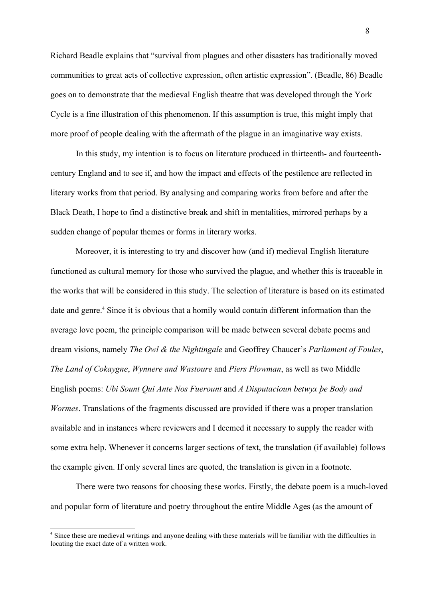Richard Beadle explains that "survival from plagues and other disasters has traditionally moved communities to great acts of collective expression, often artistic expression". (Beadle, 86) Beadle goes on to demonstrate that the medieval English theatre that was developed through the York Cycle is a fine illustration of this phenomenon. If this assumption is true, this might imply that more proof of people dealing with the aftermath of the plague in an imaginative way exists.

In this study, my intention is to focus on literature produced in thirteenth- and fourteenthcentury England and to see if, and how the impact and effects of the pestilence are reflected in literary works from that period. By analysing and comparing works from before and after the Black Death, I hope to find a distinctive break and shift in mentalities, mirrored perhaps by a sudden change of popular themes or forms in literary works.

Moreover, it is interesting to try and discover how (and if) medieval English literature functioned as cultural memory for those who survived the plague, and whether this is traceable in the works that will be considered in this study. The selection of literature is based on its estimated date and genre. [4](#page-7-0) Since it is obvious that a homily would contain different information than the average love poem, the principle comparison will be made between several debate poems and dream visions, namely *The Owl & the Nightingale* and Geoffrey Chaucer's *Parliament of Foules*, *The Land of Cokaygne*, *Wynnere and Wastoure* and *Piers Plowman*, as well as two Middle English poems: *Ubi Sount Qui Ante Nos Fuerount* and *A Disputacioun betwyx þe Body and Wormes*. Translations of the fragments discussed are provided if there was a proper translation available and in instances where reviewers and I deemed it necessary to supply the reader with some extra help. Whenever it concerns larger sections of text, the translation (if available) follows the example given. If only several lines are quoted, the translation is given in a footnote.

There were two reasons for choosing these works. Firstly, the debate poem is a much-loved and popular form of literature and poetry throughout the entire Middle Ages (as the amount of

<span id="page-7-0"></span><sup>&</sup>lt;sup>4</sup> Since these are medieval writings and anyone dealing with these materials will be familiar with the difficulties in locating the exact date of a written work.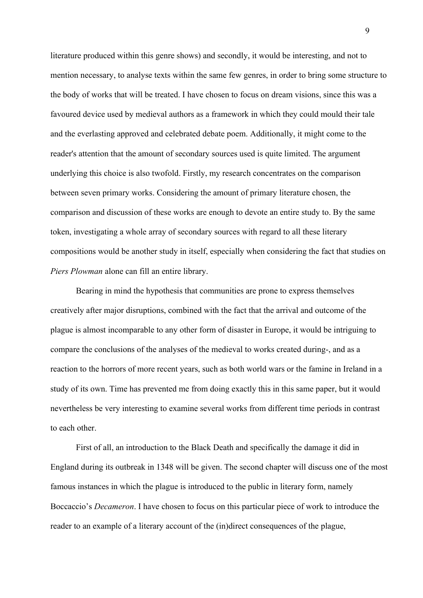literature produced within this genre shows) and secondly, it would be interesting, and not to mention necessary, to analyse texts within the same few genres, in order to bring some structure to the body of works that will be treated. I have chosen to focus on dream visions, since this was a favoured device used by medieval authors as a framework in which they could mould their tale and the everlasting approved and celebrated debate poem. Additionally, it might come to the reader's attention that the amount of secondary sources used is quite limited. The argument underlying this choice is also twofold. Firstly, my research concentrates on the comparison between seven primary works. Considering the amount of primary literature chosen, the comparison and discussion of these works are enough to devote an entire study to. By the same token, investigating a whole array of secondary sources with regard to all these literary compositions would be another study in itself, especially when considering the fact that studies on *Piers Plowman* alone can fill an entire library.

Bearing in mind the hypothesis that communities are prone to express themselves creatively after major disruptions, combined with the fact that the arrival and outcome of the plague is almost incomparable to any other form of disaster in Europe, it would be intriguing to compare the conclusions of the analyses of the medieval to works created during-, and as a reaction to the horrors of more recent years, such as both world wars or the famine in Ireland in a study of its own. Time has prevented me from doing exactly this in this same paper, but it would nevertheless be very interesting to examine several works from different time periods in contrast to each other.

First of all, an introduction to the Black Death and specifically the damage it did in England during its outbreak in 1348 will be given. The second chapter will discuss one of the most famous instances in which the plague is introduced to the public in literary form, namely Boccaccio's *Decameron*. I have chosen to focus on this particular piece of work to introduce the reader to an example of a literary account of the (in)direct consequences of the plague,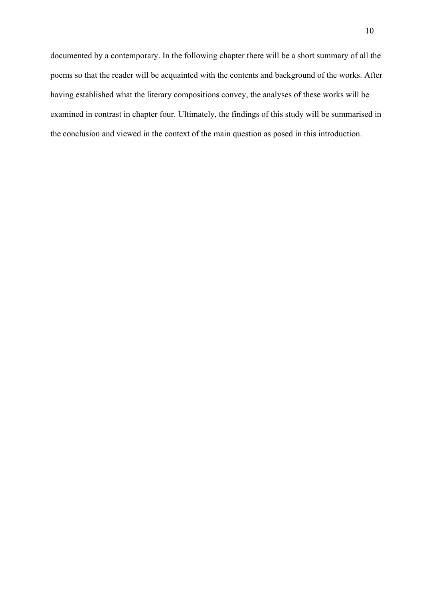documented by a contemporary. In the following chapter there will be a short summary of all the poems so that the reader will be acquainted with the contents and background of the works. After having established what the literary compositions convey, the analyses of these works will be examined in contrast in chapter four. Ultimately, the findings of this study will be summarised in the conclusion and viewed in the context of the main question as posed in this introduction.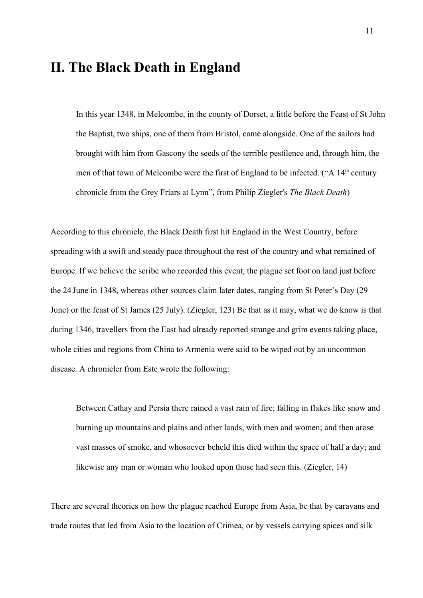## **II. The Black Death in England**

In this year 1348, in Melcombe, in the county of Dorset, a little before the Feast of St John the Baptist, two ships, one of them from Bristol, came alongside. One of the sailors had brought with him from Gascony the seeds of the terrible pestilence and, through him, the men of that town of Melcombe were the first of England to be infected. ("A 14<sup>th</sup> century chronicle from the Grey Friars at Lynn", from Philip Ziegler's *The Black Death*)

According to this chronicle, the Black Death first hit England in the West Country, before spreading with a swift and steady pace throughout the rest of the country and what remained of Europe. If we believe the scribe who recorded this event, the plague set foot on land just before the 24 June in 1348, whereas other sources claim later dates, ranging from St Peter's Day (29 June) or the feast of St James (25 July). (Ziegler, 123) Be that as it may, what we do know is that during 1346, travellers from the East had already reported strange and grim events taking place, whole cities and regions from China to Armenia were said to be wiped out by an uncommon disease. A chronicler from Este wrote the following:

Between Cathay and Persia there rained a vast rain of fire; falling in flakes like snow and burning up mountains and plains and other lands, with men and women; and then arose vast masses of smoke, and whosoever beheld this died within the space of half a day; and likewise any man or woman who looked upon those had seen this. (Ziegler, 14)

There are several theories on how the plague reached Europe from Asia, be that by caravans and trade routes that led from Asia to the location of Crimea, or by vessels carrying spices and silk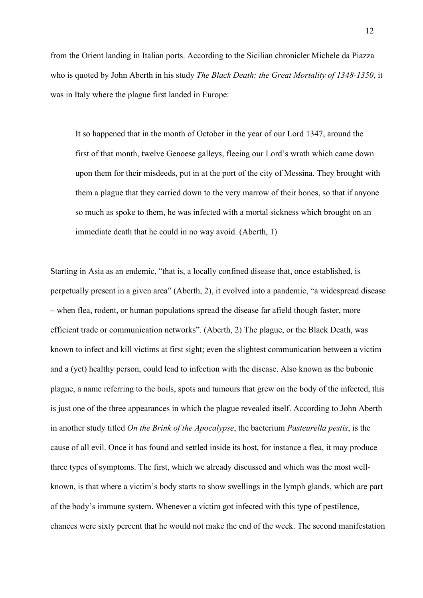from the Orient landing in Italian ports. According to the Sicilian chronicler Michele da Piazza who is quoted by John Aberth in his study *The Black Death: the Great Mortality of 1348-1350*, it was in Italy where the plague first landed in Europe:

It so happened that in the month of October in the year of our Lord 1347, around the first of that month, twelve Genoese galleys, fleeing our Lord's wrath which came down upon them for their misdeeds, put in at the port of the city of Messina. They brought with them a plague that they carried down to the very marrow of their bones, so that if anyone so much as spoke to them, he was infected with a mortal sickness which brought on an immediate death that he could in no way avoid. (Aberth, 1)

Starting in Asia as an endemic, "that is, a locally confined disease that, once established, is perpetually present in a given area" (Aberth, 2), it evolved into a pandemic, "a widespread disease – when flea, rodent, or human populations spread the disease far afield though faster, more efficient trade or communication networks". (Aberth, 2) The plague, or the Black Death, was known to infect and kill victims at first sight; even the slightest communication between a victim and a (yet) healthy person, could lead to infection with the disease. Also known as the bubonic plague, a name referring to the boils, spots and tumours that grew on the body of the infected, this is just one of the three appearances in which the plague revealed itself. According to John Aberth in another study titled *On the Brink of the Apocalypse*, the bacterium *Pasteurella pestis*, is the cause of all evil. Once it has found and settled inside its host, for instance a flea, it may produce three types of symptoms. The first, which we already discussed and which was the most wellknown, is that where a victim's body starts to show swellings in the lymph glands, which are part of the body's immune system. Whenever a victim got infected with this type of pestilence, chances were sixty percent that he would not make the end of the week. The second manifestation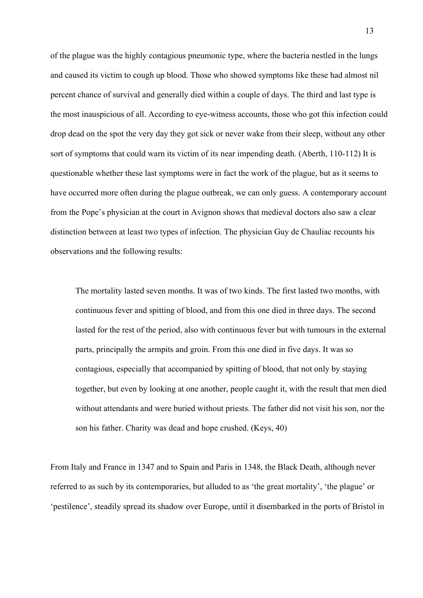of the plague was the highly contagious pneumonic type, where the bacteria nestled in the lungs and caused its victim to cough up blood. Those who showed symptoms like these had almost nil percent chance of survival and generally died within a couple of days. The third and last type is the most inauspicious of all. According to eye-witness accounts, those who got this infection could drop dead on the spot the very day they got sick or never wake from their sleep, without any other sort of symptoms that could warn its victim of its near impending death. (Aberth, 110-112) It is questionable whether these last symptoms were in fact the work of the plague, but as it seems to have occurred more often during the plague outbreak, we can only guess. A contemporary account from the Pope's physician at the court in Avignon shows that medieval doctors also saw a clear distinction between at least two types of infection. The physician Guy de Chauliac recounts his observations and the following results:

The mortality lasted seven months. It was of two kinds. The first lasted two months, with continuous fever and spitting of blood, and from this one died in three days. The second lasted for the rest of the period, also with continuous fever but with tumours in the external parts, principally the armpits and groin. From this one died in five days. It was so contagious, especially that accompanied by spitting of blood, that not only by staying together, but even by looking at one another, people caught it, with the result that men died without attendants and were buried without priests. The father did not visit his son, nor the son his father. Charity was dead and hope crushed. (Keys, 40)

From Italy and France in 1347 and to Spain and Paris in 1348, the Black Death, although never referred to as such by its contemporaries, but alluded to as 'the great mortality', 'the plague' or 'pestilence', steadily spread its shadow over Europe, until it disembarked in the ports of Bristol in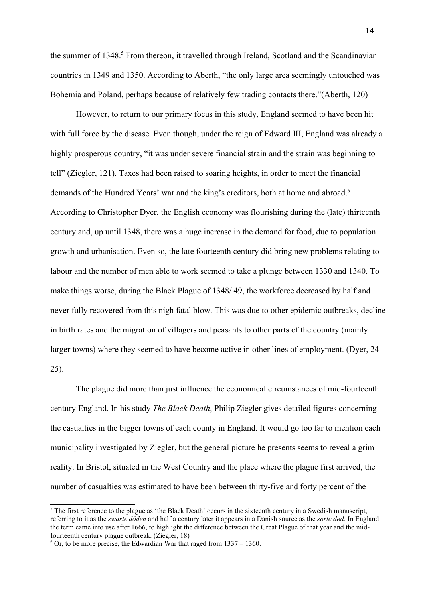the summer of 1348.<sup>[5](#page-13-0)</sup> From thereon, it travelled through Ireland, Scotland and the Scandinavian countries in 1349 and 1350. According to Aberth, "the only large area seemingly untouched was Bohemia and Poland, perhaps because of relatively few trading contacts there."(Aberth, 120)

However, to return to our primary focus in this study, England seemed to have been hit with full force by the disease. Even though, under the reign of Edward III, England was already a highly prosperous country, "it was under severe financial strain and the strain was beginning to tell" (Ziegler, 121). Taxes had been raised to soaring heights, in order to meet the financial demands of the Hundred Years' war and the king's creditors, both at home and abroad.<sup>[6](#page-13-1)</sup> According to Christopher Dyer, the English economy was flourishing during the (late) thirteenth century and, up until 1348, there was a huge increase in the demand for food, due to population growth and urbanisation. Even so, the late fourteenth century did bring new problems relating to labour and the number of men able to work seemed to take a plunge between 1330 and 1340. To make things worse, during the Black Plague of 1348/ 49, the workforce decreased by half and never fully recovered from this nigh fatal blow. This was due to other epidemic outbreaks, decline in birth rates and the migration of villagers and peasants to other parts of the country (mainly larger towns) where they seemed to have become active in other lines of employment. (Dyer, 24- 25).

The plague did more than just influence the economical circumstances of mid-fourteenth century England. In his study *The Black Death*, Philip Ziegler gives detailed figures concerning the casualties in the bigger towns of each county in England. It would go too far to mention each municipality investigated by Ziegler, but the general picture he presents seems to reveal a grim reality. In Bristol, situated in the West Country and the place where the plague first arrived, the number of casualties was estimated to have been between thirty-five and forty percent of the

<span id="page-13-0"></span> $<sup>5</sup>$  The first reference to the plague as 'the Black Death' occurs in the sixteenth century in a Swedish manuscript,</sup> referring to it as the *swarte döden* and half a century later it appears in a Danish source as the *sorte død*. In England the term came into use after 1666, to highlight the difference between the Great Plague of that year and the midfourteenth century plague outbreak. (Ziegler, 18)

<span id="page-13-1"></span> $6$  Or, to be more precise, the Edwardian War that raged from  $1337 - 1360$ .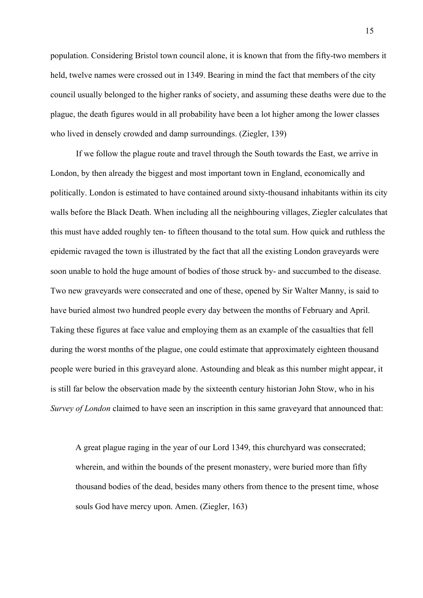population. Considering Bristol town council alone, it is known that from the fifty-two members it held, twelve names were crossed out in 1349. Bearing in mind the fact that members of the city council usually belonged to the higher ranks of society, and assuming these deaths were due to the plague, the death figures would in all probability have been a lot higher among the lower classes who lived in densely crowded and damp surroundings. (Ziegler, 139)

If we follow the plague route and travel through the South towards the East, we arrive in London, by then already the biggest and most important town in England, economically and politically. London is estimated to have contained around sixty-thousand inhabitants within its city walls before the Black Death. When including all the neighbouring villages, Ziegler calculates that this must have added roughly ten- to fifteen thousand to the total sum. How quick and ruthless the epidemic ravaged the town is illustrated by the fact that all the existing London graveyards were soon unable to hold the huge amount of bodies of those struck by- and succumbed to the disease. Two new graveyards were consecrated and one of these, opened by Sir Walter Manny, is said to have buried almost two hundred people every day between the months of February and April. Taking these figures at face value and employing them as an example of the casualties that fell during the worst months of the plague, one could estimate that approximately eighteen thousand people were buried in this graveyard alone. Astounding and bleak as this number might appear, it is still far below the observation made by the sixteenth century historian John Stow, who in his *Survey of London* claimed to have seen an inscription in this same graveyard that announced that:

A great plague raging in the year of our Lord 1349, this churchyard was consecrated; wherein, and within the bounds of the present monastery, were buried more than fifty thousand bodies of the dead, besides many others from thence to the present time, whose souls God have mercy upon. Amen. (Ziegler, 163)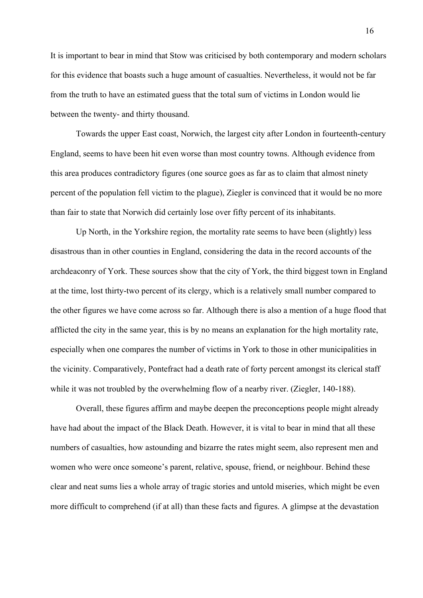It is important to bear in mind that Stow was criticised by both contemporary and modern scholars for this evidence that boasts such a huge amount of casualties. Nevertheless, it would not be far from the truth to have an estimated guess that the total sum of victims in London would lie between the twenty- and thirty thousand.

Towards the upper East coast, Norwich, the largest city after London in fourteenth-century England, seems to have been hit even worse than most country towns. Although evidence from this area produces contradictory figures (one source goes as far as to claim that almost ninety percent of the population fell victim to the plague), Ziegler is convinced that it would be no more than fair to state that Norwich did certainly lose over fifty percent of its inhabitants.

Up North, in the Yorkshire region, the mortality rate seems to have been (slightly) less disastrous than in other counties in England, considering the data in the record accounts of the archdeaconry of York. These sources show that the city of York, the third biggest town in England at the time, lost thirty-two percent of its clergy, which is a relatively small number compared to the other figures we have come across so far. Although there is also a mention of a huge flood that afflicted the city in the same year, this is by no means an explanation for the high mortality rate, especially when one compares the number of victims in York to those in other municipalities in the vicinity. Comparatively, Pontefract had a death rate of forty percent amongst its clerical staff while it was not troubled by the overwhelming flow of a nearby river. (Ziegler, 140-188).

Overall, these figures affirm and maybe deepen the preconceptions people might already have had about the impact of the Black Death. However, it is vital to bear in mind that all these numbers of casualties, how astounding and bizarre the rates might seem, also represent men and women who were once someone's parent, relative, spouse, friend, or neighbour. Behind these clear and neat sums lies a whole array of tragic stories and untold miseries, which might be even more difficult to comprehend (if at all) than these facts and figures. A glimpse at the devastation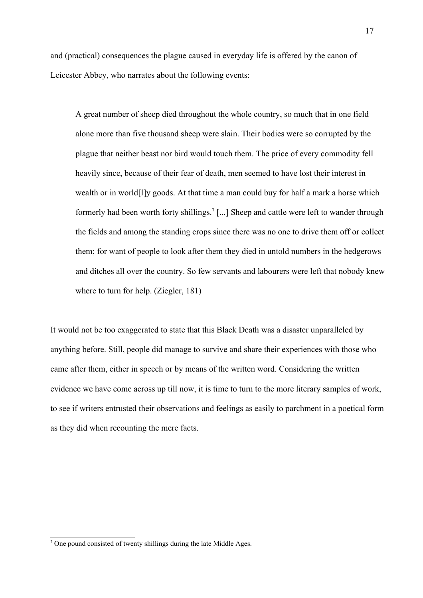and (practical) consequences the plague caused in everyday life is offered by the canon of Leicester Abbey, who narrates about the following events:

A great number of sheep died throughout the whole country, so much that in one field alone more than five thousand sheep were slain. Their bodies were so corrupted by the plague that neither beast nor bird would touch them. The price of every commodity fell heavily since, because of their fear of death, men seemed to have lost their interest in wealth or in world[l]y goods. At that time a man could buy for half a mark a horse which formerly had been worth forty shillings.<sup>[7](#page-16-0)</sup> [...] Sheep and cattle were left to wander through the fields and among the standing crops since there was no one to drive them off or collect them; for want of people to look after them they died in untold numbers in the hedgerows and ditches all over the country. So few servants and labourers were left that nobody knew where to turn for help. (Ziegler, 181)

It would not be too exaggerated to state that this Black Death was a disaster unparalleled by anything before. Still, people did manage to survive and share their experiences with those who came after them, either in speech or by means of the written word. Considering the written evidence we have come across up till now, it is time to turn to the more literary samples of work, to see if writers entrusted their observations and feelings as easily to parchment in a poetical form as they did when recounting the mere facts.

<span id="page-16-0"></span> $7$  One pound consisted of twenty shillings during the late Middle Ages.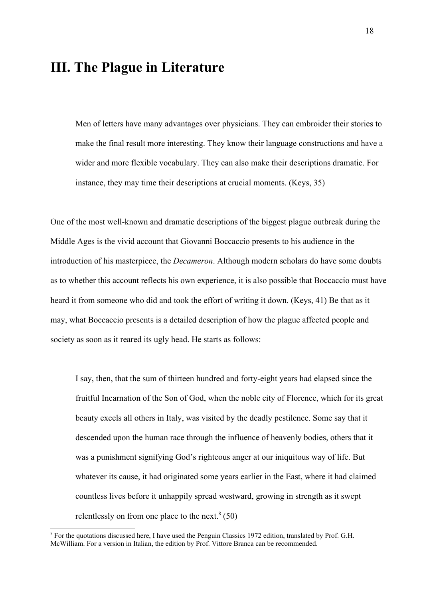## **III. The Plague in Literature**

Men of letters have many advantages over physicians. They can embroider their stories to make the final result more interesting. They know their language constructions and have a wider and more flexible vocabulary. They can also make their descriptions dramatic. For instance, they may time their descriptions at crucial moments. (Keys, 35)

One of the most well-known and dramatic descriptions of the biggest plague outbreak during the Middle Ages is the vivid account that Giovanni Boccaccio presents to his audience in the introduction of his masterpiece, the *Decameron*. Although modern scholars do have some doubts as to whether this account reflects his own experience, it is also possible that Boccaccio must have heard it from someone who did and took the effort of writing it down. (Keys, 41) Be that as it may, what Boccaccio presents is a detailed description of how the plague affected people and society as soon as it reared its ugly head. He starts as follows:

I say, then, that the sum of thirteen hundred and forty-eight years had elapsed since the fruitful Incarnation of the Son of God, when the noble city of Florence, which for its great beauty excels all others in Italy, was visited by the deadly pestilence. Some say that it descended upon the human race through the influence of heavenly bodies, others that it was a punishment signifying God's righteous anger at our iniquitous way of life. But whatever its cause, it had originated some years earlier in the East, where it had claimed countless lives before it unhappily spread westward, growing in strength as it swept relentlessly on from one place to the next. $8(50)$  $8(50)$ 

<span id="page-17-0"></span><sup>&</sup>lt;sup>8</sup> For the quotations discussed here, I have used the Penguin Classics 1972 edition, translated by Prof. G.H. McWilliam. For a version in Italian, the edition by Prof. Vittore Branca can be recommended.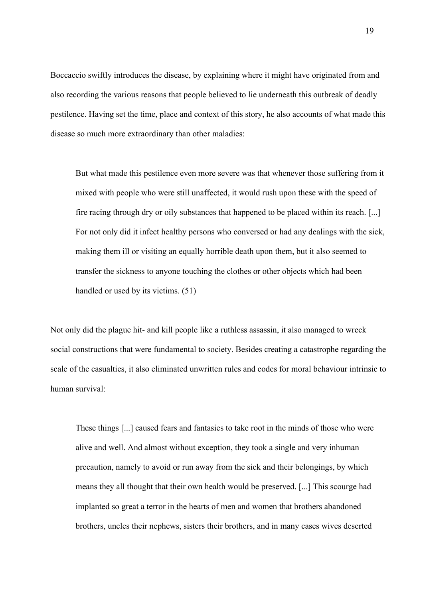Boccaccio swiftly introduces the disease, by explaining where it might have originated from and also recording the various reasons that people believed to lie underneath this outbreak of deadly pestilence. Having set the time, place and context of this story, he also accounts of what made this disease so much more extraordinary than other maladies:

But what made this pestilence even more severe was that whenever those suffering from it mixed with people who were still unaffected, it would rush upon these with the speed of fire racing through dry or oily substances that happened to be placed within its reach. [...] For not only did it infect healthy persons who conversed or had any dealings with the sick, making them ill or visiting an equally horrible death upon them, but it also seemed to transfer the sickness to anyone touching the clothes or other objects which had been handled or used by its victims. (51)

Not only did the plague hit- and kill people like a ruthless assassin, it also managed to wreck social constructions that were fundamental to society. Besides creating a catastrophe regarding the scale of the casualties, it also eliminated unwritten rules and codes for moral behaviour intrinsic to human survival:

These things [...] caused fears and fantasies to take root in the minds of those who were alive and well. And almost without exception, they took a single and very inhuman precaution, namely to avoid or run away from the sick and their belongings, by which means they all thought that their own health would be preserved. [...] This scourge had implanted so great a terror in the hearts of men and women that brothers abandoned brothers, uncles their nephews, sisters their brothers, and in many cases wives deserted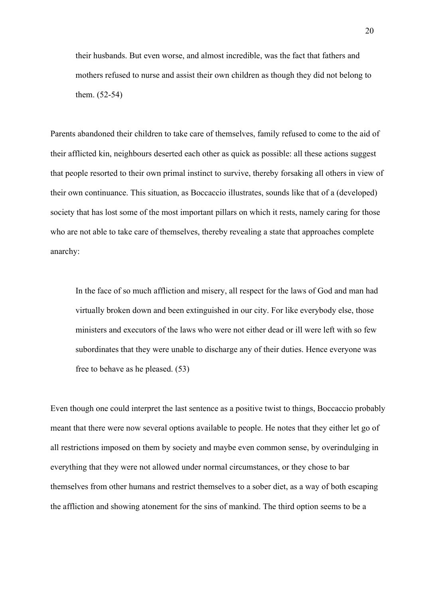their husbands. But even worse, and almost incredible, was the fact that fathers and mothers refused to nurse and assist their own children as though they did not belong to them. (52-54)

Parents abandoned their children to take care of themselves, family refused to come to the aid of their afflicted kin, neighbours deserted each other as quick as possible: all these actions suggest that people resorted to their own primal instinct to survive, thereby forsaking all others in view of their own continuance. This situation, as Boccaccio illustrates, sounds like that of a (developed) society that has lost some of the most important pillars on which it rests, namely caring for those who are not able to take care of themselves, thereby revealing a state that approaches complete anarchy:

In the face of so much affliction and misery, all respect for the laws of God and man had virtually broken down and been extinguished in our city. For like everybody else, those ministers and executors of the laws who were not either dead or ill were left with so few subordinates that they were unable to discharge any of their duties. Hence everyone was free to behave as he pleased. (53)

Even though one could interpret the last sentence as a positive twist to things, Boccaccio probably meant that there were now several options available to people. He notes that they either let go of all restrictions imposed on them by society and maybe even common sense, by overindulging in everything that they were not allowed under normal circumstances, or they chose to bar themselves from other humans and restrict themselves to a sober diet, as a way of both escaping the affliction and showing atonement for the sins of mankind. The third option seems to be a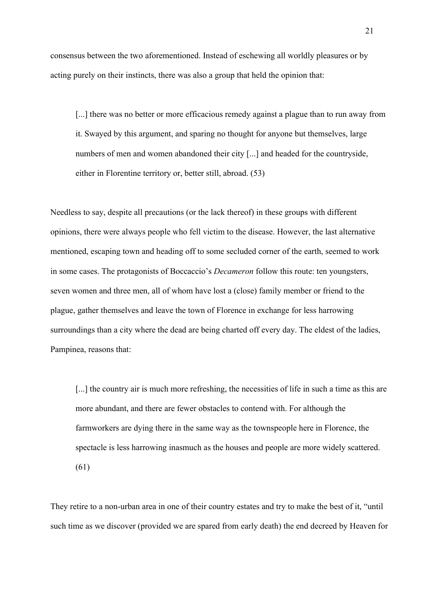consensus between the two aforementioned. Instead of eschewing all worldly pleasures or by acting purely on their instincts, there was also a group that held the opinion that:

[...] there was no better or more efficacious remedy against a plague than to run away from it. Swayed by this argument, and sparing no thought for anyone but themselves, large numbers of men and women abandoned their city [...] and headed for the countryside, either in Florentine territory or, better still, abroad. (53)

Needless to say, despite all precautions (or the lack thereof) in these groups with different opinions, there were always people who fell victim to the disease. However, the last alternative mentioned, escaping town and heading off to some secluded corner of the earth, seemed to work in some cases. The protagonists of Boccaccio's *Decameron* follow this route: ten youngsters, seven women and three men, all of whom have lost a (close) family member or friend to the plague, gather themselves and leave the town of Florence in exchange for less harrowing surroundings than a city where the dead are being charted off every day. The eldest of the ladies, Pampinea, reasons that:

[...] the country air is much more refreshing, the necessities of life in such a time as this are more abundant, and there are fewer obstacles to contend with. For although the farmworkers are dying there in the same way as the townspeople here in Florence, the spectacle is less harrowing inasmuch as the houses and people are more widely scattered. (61)

They retire to a non-urban area in one of their country estates and try to make the best of it, "until such time as we discover (provided we are spared from early death) the end decreed by Heaven for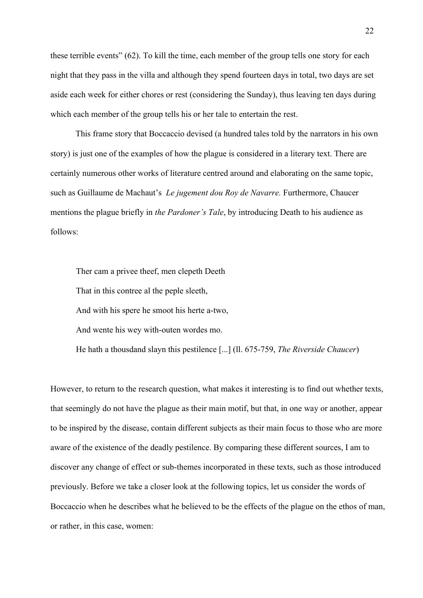these terrible events" (62). To kill the time, each member of the group tells one story for each night that they pass in the villa and although they spend fourteen days in total, two days are set aside each week for either chores or rest (considering the Sunday), thus leaving ten days during which each member of the group tells his or her tale to entertain the rest.

This frame story that Boccaccio devised (a hundred tales told by the narrators in his own story) is just one of the examples of how the plague is considered in a literary text. There are certainly numerous other works of literature centred around and elaborating on the same topic, such as Guillaume de Machaut's *Le jugement dou Roy de Navarre.* Furthermore, Chaucer mentions the plague briefly in *the Pardoner's Tale*, by introducing Death to his audience as follows:

Ther cam a privee theef, men clepeth Deeth That in this contree al the peple sleeth, And with his spere he smoot his herte a-two, And wente his wey with-outen wordes mo. He hath a thousdand slayn this pestilence [...] (ll. 675-759, *The Riverside Chaucer*)

However, to return to the research question, what makes it interesting is to find out whether texts, that seemingly do not have the plague as their main motif, but that, in one way or another, appear to be inspired by the disease, contain different subjects as their main focus to those who are more aware of the existence of the deadly pestilence. By comparing these different sources, I am to discover any change of effect or sub-themes incorporated in these texts, such as those introduced previously. Before we take a closer look at the following topics, let us consider the words of Boccaccio when he describes what he believed to be the effects of the plague on the ethos of man, or rather, in this case, women: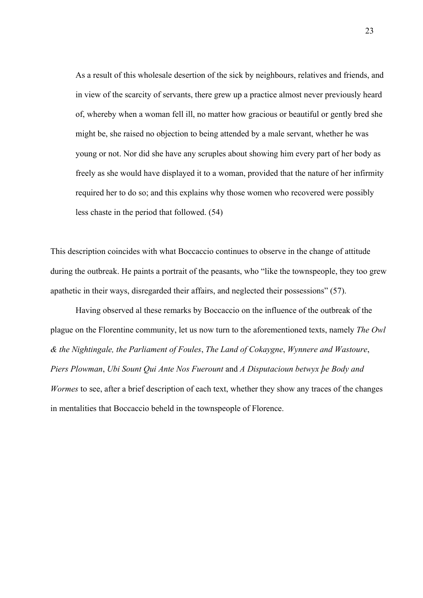As a result of this wholesale desertion of the sick by neighbours, relatives and friends, and in view of the scarcity of servants, there grew up a practice almost never previously heard of, whereby when a woman fell ill, no matter how gracious or beautiful or gently bred she might be, she raised no objection to being attended by a male servant, whether he was young or not. Nor did she have any scruples about showing him every part of her body as freely as she would have displayed it to a woman, provided that the nature of her infirmity required her to do so; and this explains why those women who recovered were possibly less chaste in the period that followed. (54)

This description coincides with what Boccaccio continues to observe in the change of attitude during the outbreak. He paints a portrait of the peasants, who "like the townspeople, they too grew apathetic in their ways, disregarded their affairs, and neglected their possessions" (57).

Having observed al these remarks by Boccaccio on the influence of the outbreak of the plague on the Florentine community, let us now turn to the aforementioned texts, namely *The Owl & the Nightingale, the Parliament of Foules*, *The Land of Cokaygne*, *Wynnere and Wastoure*, *Piers Plowman*, *Ubi Sount Qui Ante Nos Fuerount* and *A Disputacioun betwyx þe Body and Wormes* to see, after a brief description of each text, whether they show any traces of the changes in mentalities that Boccaccio beheld in the townspeople of Florence.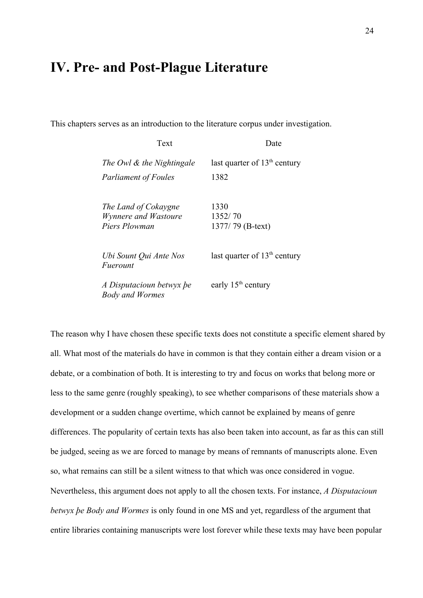## **IV. Pre- and Post-Plague Literature**

This chapters serves as an introduction to the literature corpus under investigation.

| Text                                                          | Date                                |
|---------------------------------------------------------------|-------------------------------------|
| The Owl & the Nightingale                                     | last quarter of $13th$ century      |
| <b>Parliament of Foules</b>                                   | 1382                                |
| The Land of Cokaygne<br>Wynnere and Wastoure<br>Piers Plowman | 1330<br>1352/70<br>1377/79 (B-text) |
| Ubi Sount Qui Ante Nos<br>Fuerount                            | last quarter of $13th$ century      |
| A Disputacioun betwyx be<br><b>Body and Wormes</b>            | early 15 <sup>th</sup> century      |

The reason why I have chosen these specific texts does not constitute a specific element shared by all. What most of the materials do have in common is that they contain either a dream vision or a debate, or a combination of both. It is interesting to try and focus on works that belong more or less to the same genre (roughly speaking), to see whether comparisons of these materials show a development or a sudden change overtime, which cannot be explained by means of genre differences. The popularity of certain texts has also been taken into account, as far as this can still be judged, seeing as we are forced to manage by means of remnants of manuscripts alone. Even so, what remains can still be a silent witness to that which was once considered in vogue. Nevertheless, this argument does not apply to all the chosen texts. For instance, *A Disputacioun betwyx þe Body and Wormes* is only found in one MS and yet, regardless of the argument that entire libraries containing manuscripts were lost forever while these texts may have been popular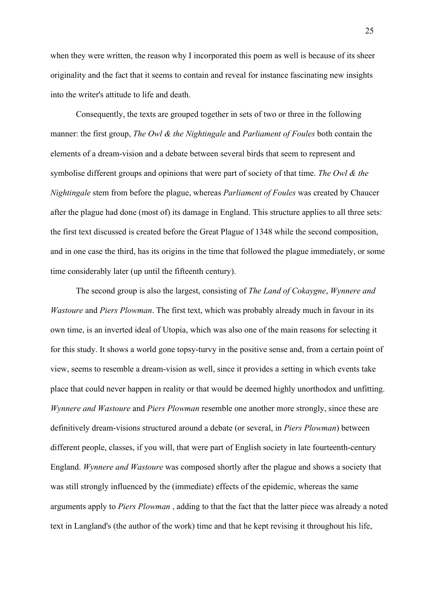when they were written, the reason why I incorporated this poem as well is because of its sheer originality and the fact that it seems to contain and reveal for instance fascinating new insights into the writer's attitude to life and death.

Consequently, the texts are grouped together in sets of two or three in the following manner: the first group, *The Owl & the Nightingale* and *Parliament of Foules* both contain the elements of a dream-vision and a debate between several birds that seem to represent and symbolise different groups and opinions that were part of society of that time. *The Owl & the Nightingale* stem from before the plague, whereas *Parliament of Foules* was created by Chaucer after the plague had done (most of) its damage in England. This structure applies to all three sets: the first text discussed is created before the Great Plague of 1348 while the second composition, and in one case the third, has its origins in the time that followed the plague immediately, or some time considerably later (up until the fifteenth century).

The second group is also the largest, consisting of *The Land of Cokaygne*, *Wynnere and Wastoure* and *Piers Plowman*. The first text, which was probably already much in favour in its own time, is an inverted ideal of Utopia, which was also one of the main reasons for selecting it for this study. It shows a world gone topsy-turvy in the positive sense and, from a certain point of view, seems to resemble a dream-vision as well, since it provides a setting in which events take place that could never happen in reality or that would be deemed highly unorthodox and unfitting. *Wynnere and Wastoure* and *Piers Plowman* resemble one another more strongly, since these are definitively dream-visions structured around a debate (or several, in *Piers Plowman*) between different people, classes, if you will, that were part of English society in late fourteenth-century England. *Wynnere and Wastoure* was composed shortly after the plague and shows a society that was still strongly influenced by the (immediate) effects of the epidemic, whereas the same arguments apply to *Piers Plowman* , adding to that the fact that the latter piece was already a noted text in Langland's (the author of the work) time and that he kept revising it throughout his life,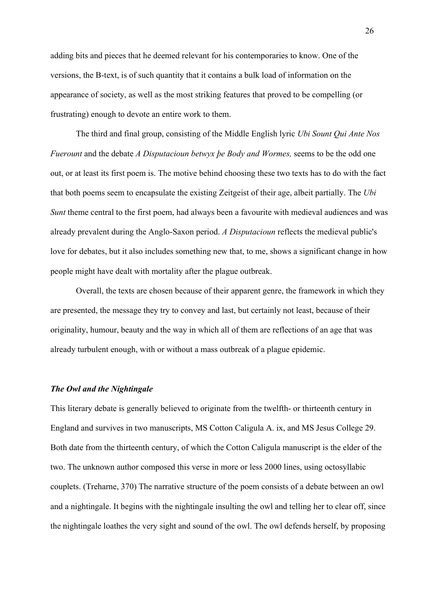adding bits and pieces that he deemed relevant for his contemporaries to know. One of the versions, the B-text, is of such quantity that it contains a bulk load of information on the appearance of society, as well as the most striking features that proved to be compelling (or frustrating) enough to devote an entire work to them.

The third and final group, consisting of the Middle English lyric *Ubi Sount Qui Ante Nos Fuerount* and the debate *A Disputacioun betwyx þe Body and Wormes,* seems to be the odd one out, or at least its first poem is. The motive behind choosing these two texts has to do with the fact that both poems seem to encapsulate the existing Zeitgeist of their age, albeit partially. The *Ubi Sunt* theme central to the first poem, had always been a favourite with medieval audiences and was already prevalent during the Anglo-Saxon period. *A Disputacioun* reflects the medieval public's love for debates, but it also includes something new that, to me, shows a significant change in how people might have dealt with mortality after the plague outbreak.

Overall, the texts are chosen because of their apparent genre, the framework in which they are presented, the message they try to convey and last, but certainly not least, because of their originality, humour, beauty and the way in which all of them are reflections of an age that was already turbulent enough, with or without a mass outbreak of a plague epidemic.

### *The Owl and the Nightingale*

This literary debate is generally believed to originate from the twelfth- or thirteenth century in England and survives in two manuscripts, MS Cotton Caligula A. ix, and MS Jesus College 29. Both date from the thirteenth century, of which the Cotton Caligula manuscript is the elder of the two. The unknown author composed this verse in more or less 2000 lines, using octosyllabic couplets. (Treharne, 370) The narrative structure of the poem consists of a debate between an owl and a nightingale. It begins with the nightingale insulting the owl and telling her to clear off, since the nightingale loathes the very sight and sound of the owl. The owl defends herself, by proposing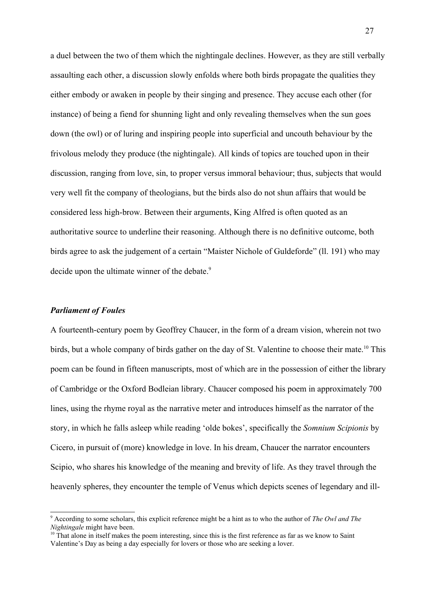a duel between the two of them which the nightingale declines. However, as they are still verbally assaulting each other, a discussion slowly enfolds where both birds propagate the qualities they either embody or awaken in people by their singing and presence. They accuse each other (for instance) of being a fiend for shunning light and only revealing themselves when the sun goes down (the owl) or of luring and inspiring people into superficial and uncouth behaviour by the frivolous melody they produce (the nightingale). All kinds of topics are touched upon in their discussion, ranging from love, sin, to proper versus immoral behaviour; thus, subjects that would very well fit the company of theologians, but the birds also do not shun affairs that would be considered less high-brow. Between their arguments, King Alfred is often quoted as an authoritative source to underline their reasoning. Although there is no definitive outcome, both birds agree to ask the judgement of a certain "Maister Nichole of Guldeforde" (ll. 191) who may decide upon the ultimate winner of the debate.<sup>[9](#page-26-0)</sup>

#### *Parliament of Foules*

A fourteenth-century poem by Geoffrey Chaucer, in the form of a dream vision, wherein not two birds, but a whole company of birds gather on the day of St. Valentine to choose their mate.<sup>[10](#page-26-1)</sup> This poem can be found in fifteen manuscripts, most of which are in the possession of either the library of Cambridge or the Oxford Bodleian library. Chaucer composed his poem in approximately 700 lines, using the rhyme royal as the narrative meter and introduces himself as the narrator of the story, in which he falls asleep while reading 'olde bokes', specifically the *Somnium Scipionis* by Cicero, in pursuit of (more) knowledge in love. In his dream, Chaucer the narrator encounters Scipio, who shares his knowledge of the meaning and brevity of life. As they travel through the heavenly spheres, they encounter the temple of Venus which depicts scenes of legendary and ill-

<span id="page-26-0"></span><sup>9</sup> According to some scholars, this explicit reference might be a hint as to who the author of *The Owl and The Nightingale* might have been.

<span id="page-26-1"></span> $10$  That alone in itself makes the poem interesting, since this is the first reference as far as we know to Saint Valentine's Day as being a day especially for lovers or those who are seeking a lover.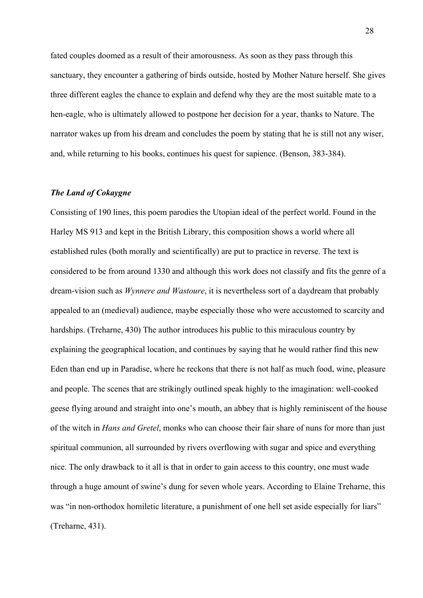fated couples doomed as a result of their amorousness. As soon as they pass through this sanctuary, they encounter a gathering of birds outside, hosted by Mother Nature herself. She gives three different eagles the chance to explain and defend why they are the most suitable mate to a hen-eagle, who is ultimately allowed to postpone her decision for a year, thanks to Nature. The narrator wakes up from his dream and concludes the poem by stating that he is still not any wiser, and, while returning to his books, continues his quest for sapience. (Benson, 383-384).

### *The Land of Cokaygne*

Consisting of 190 lines, this poem parodies the Utopian ideal of the perfect world. Found in the Harley MS 913 and kept in the British Library, this composition shows a world where all established rules (both morally and scientifically) are put to practice in reverse. The text is considered to be from around 1330 and although this work does not classify and fits the genre of a dream-vision such as *Wynnere and Wastoure*, it is nevertheless sort of a daydream that probably appealed to an (medieval) audience, maybe especially those who were accustomed to scarcity and hardships. (Treharne, 430) The author introduces his public to this miraculous country by explaining the geographical location, and continues by saying that he would rather find this new Eden than end up in Paradise, where he reckons that there is not half as much food, wine, pleasure and people. The scenes that are strikingly outlined speak highly to the imagination: well-cooked geese flying around and straight into one's mouth, an abbey that is highly reminiscent of the house of the witch in *Hans and Gretel*, monks who can choose their fair share of nuns for more than just spiritual communion, all surrounded by rivers overflowing with sugar and spice and everything nice. The only drawback to it all is that in order to gain access to this country, one must wade through a huge amount of swine's dung for seven whole years. According to Elaine Treharne, this was "in non-orthodox homiletic literature, a punishment of one hell set aside especially for liars" (Treharne, 431).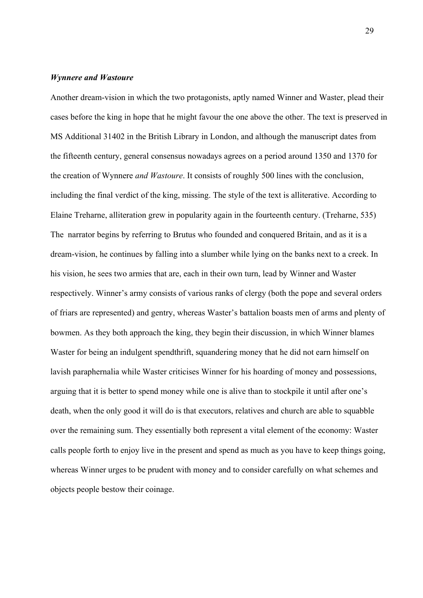### *Wynnere and Wastoure*

Another dream-vision in which the two protagonists, aptly named Winner and Waster, plead their cases before the king in hope that he might favour the one above the other. The text is preserved in MS Additional 31402 in the British Library in London, and although the manuscript dates from the fifteenth century, general consensus nowadays agrees on a period around 1350 and 1370 for the creation of Wynnere *and Wastoure*. It consists of roughly 500 lines with the conclusion, including the final verdict of the king, missing. The style of the text is alliterative. According to Elaine Treharne, alliteration grew in popularity again in the fourteenth century. (Treharne, 535) The narrator begins by referring to Brutus who founded and conquered Britain, and as it is a dream-vision, he continues by falling into a slumber while lying on the banks next to a creek. In his vision, he sees two armies that are, each in their own turn, lead by Winner and Waster respectively. Winner's army consists of various ranks of clergy (both the pope and several orders of friars are represented) and gentry, whereas Waster's battalion boasts men of arms and plenty of bowmen. As they both approach the king, they begin their discussion, in which Winner blames Waster for being an indulgent spendthrift, squandering money that he did not earn himself on lavish paraphernalia while Waster criticises Winner for his hoarding of money and possessions, arguing that it is better to spend money while one is alive than to stockpile it until after one's death, when the only good it will do is that executors, relatives and church are able to squabble over the remaining sum. They essentially both represent a vital element of the economy: Waster calls people forth to enjoy live in the present and spend as much as you have to keep things going, whereas Winner urges to be prudent with money and to consider carefully on what schemes and objects people bestow their coinage.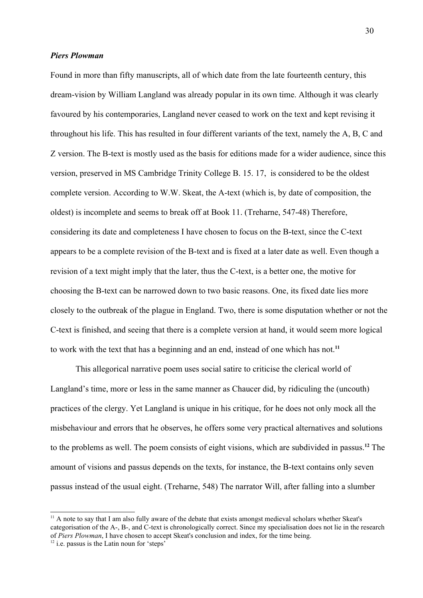### *Piers Plowman*

Found in more than fifty manuscripts, all of which date from the late fourteenth century, this dream-vision by William Langland was already popular in its own time. Although it was clearly favoured by his contemporaries, Langland never ceased to work on the text and kept revising it throughout his life. This has resulted in four different variants of the text, namely the A, B, C and Z version. The B-text is mostly used as the basis for editions made for a wider audience, since this version, preserved in MS Cambridge Trinity College B. 15. 17, is considered to be the oldest complete version. According to W.W. Skeat, the A-text (which is, by date of composition, the oldest) is incomplete and seems to break off at Book 11. (Treharne, 547-48) Therefore, considering its date and completeness I have chosen to focus on the B-text, since the C-text appears to be a complete revision of the B-text and is fixed at a later date as well. Even though a revision of a text might imply that the later, thus the C-text, is a better one, the motive for choosing the B-text can be narrowed down to two basic reasons. One, its fixed date lies more closely to the outbreak of the plague in England. Two, there is some disputation whether or not the C-text is finished, and seeing that there is a complete version at hand, it would seem more logical to work with the text that has a beginning and an end, instead of one which has not. **[11](#page-29-0)**

This allegorical narrative poem uses social satire to criticise the clerical world of Langland's time, more or less in the same manner as Chaucer did, by ridiculing the (uncouth) practices of the clergy. Yet Langland is unique in his critique, for he does not only mock all the misbehaviour and errors that he observes, he offers some very practical alternatives and solutions to the problems as well. The poem consists of eight visions, which are subdivided in passus. **[12](#page-29-1)** The amount of visions and passus depends on the texts, for instance, the B-text contains only seven passus instead of the usual eight. (Treharne, 548) The narrator Will, after falling into a slumber

<span id="page-29-0"></span><sup>&</sup>lt;sup>11</sup> A note to say that I am also fully aware of the debate that exists amongst medieval scholars whether Skeat's categorisation of the A-, B-, and C-text is chronologically correct. Since my specialisation does not lie in the research of *Piers Plowman*, I have chosen to accept Skeat's conclusion and index, for the time being.  $12$  i.e. passus is the Latin noun for 'steps'

<span id="page-29-1"></span>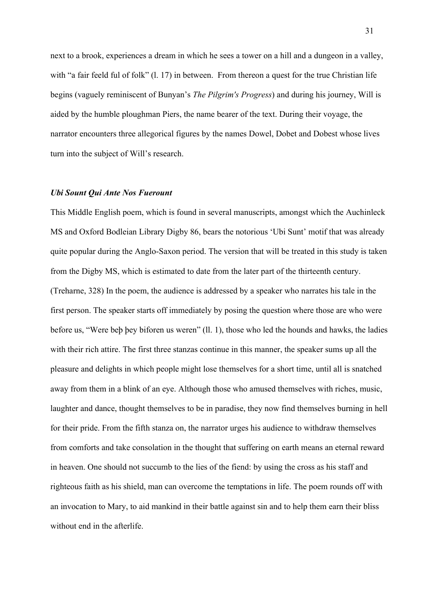next to a brook, experiences a dream in which he sees a tower on a hill and a dungeon in a valley, with "a fair feeld ful of folk" (1, 17) in between. From thereon a quest for the true Christian life begins (vaguely reminiscent of Bunyan's *The Pilgrim's Progress*) and during his journey, Will is aided by the humble ploughman Piers, the name bearer of the text. During their voyage, the narrator encounters three allegorical figures by the names Dowel, Dobet and Dobest whose lives turn into the subject of Will's research.

#### *Ubi Sount Qui Ante Nos Fuerount*

This Middle English poem, which is found in several manuscripts, amongst which the Auchinleck MS and Oxford Bodleian Library Digby 86, bears the notorious 'Ubi Sunt' motif that was already quite popular during the Anglo-Saxon period. The version that will be treated in this study is taken from the Digby MS, which is estimated to date from the later part of the thirteenth century. (Treharne, 328) In the poem, the audience is addressed by a speaker who narrates his tale in the first person. The speaker starts off immediately by posing the question where those are who were before us, "Were beþ þey biforen us weren" (ll. 1), those who led the hounds and hawks, the ladies with their rich attire. The first three stanzas continue in this manner, the speaker sums up all the pleasure and delights in which people might lose themselves for a short time, until all is snatched away from them in a blink of an eye. Although those who amused themselves with riches, music, laughter and dance, thought themselves to be in paradise, they now find themselves burning in hell for their pride. From the fifth stanza on, the narrator urges his audience to withdraw themselves from comforts and take consolation in the thought that suffering on earth means an eternal reward in heaven. One should not succumb to the lies of the fiend: by using the cross as his staff and righteous faith as his shield, man can overcome the temptations in life. The poem rounds off with an invocation to Mary, to aid mankind in their battle against sin and to help them earn their bliss without end in the afterlife.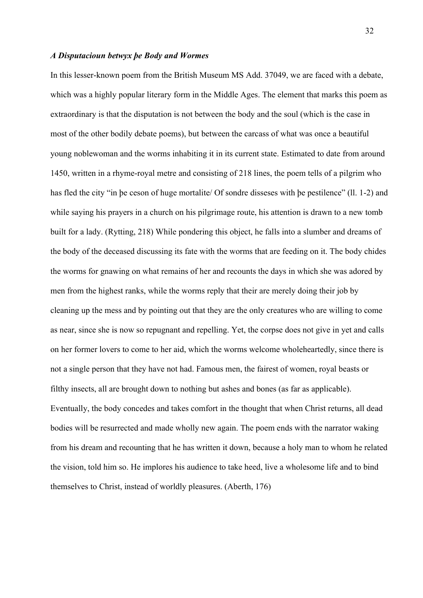#### *A Disputacioun betwyx þe Body and Wormes*

In this lesser-known poem from the British Museum MS Add. 37049, we are faced with a debate, which was a highly popular literary form in the Middle Ages. The element that marks this poem as extraordinary is that the disputation is not between the body and the soul (which is the case in most of the other bodily debate poems), but between the carcass of what was once a beautiful young noblewoman and the worms inhabiting it in its current state. Estimated to date from around 1450, written in a rhyme-royal metre and consisting of 218 lines, the poem tells of a pilgrim who has fled the city "in þe ceson of huge mortalite/ Of sondre disseses with þe pestilence" (ll. 1-2) and while saying his prayers in a church on his pilgrimage route, his attention is drawn to a new tomb built for a lady. (Rytting, 218) While pondering this object, he falls into a slumber and dreams of the body of the deceased discussing its fate with the worms that are feeding on it. The body chides the worms for gnawing on what remains of her and recounts the days in which she was adored by men from the highest ranks, while the worms reply that their are merely doing their job by cleaning up the mess and by pointing out that they are the only creatures who are willing to come as near, since she is now so repugnant and repelling. Yet, the corpse does not give in yet and calls on her former lovers to come to her aid, which the worms welcome wholeheartedly, since there is not a single person that they have not had. Famous men, the fairest of women, royal beasts or filthy insects, all are brought down to nothing but ashes and bones (as far as applicable). Eventually, the body concedes and takes comfort in the thought that when Christ returns, all dead bodies will be resurrected and made wholly new again. The poem ends with the narrator waking from his dream and recounting that he has written it down, because a holy man to whom he related the vision, told him so. He implores his audience to take heed, live a wholesome life and to bind themselves to Christ, instead of worldly pleasures. (Aberth, 176)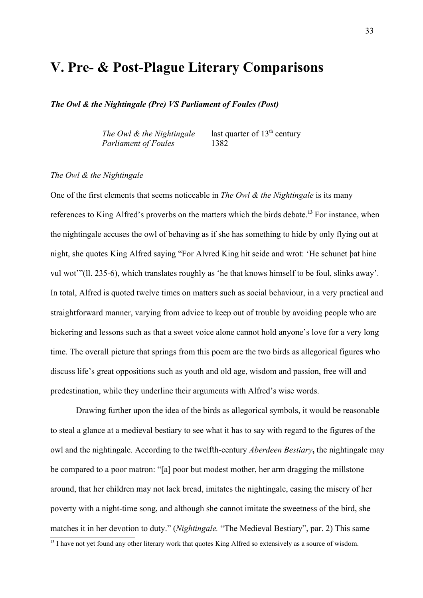# **V. Pre- & Post-Plague Literary Comparisons**

*The Owl & the Nightingale (Pre) VS Parliament of Foules (Post)*

*The Owl & the Nightingale* last quarter of  $13<sup>th</sup>$  century *Parliament of Foules* 1382

#### *The Owl & the Nightingale*

One of the first elements that seems noticeable in *The Owl & the Nightingale* is its many references to King Alfred's proverbs on the matters which the birds debate. **[13](#page-32-0)** For instance, when the nightingale accuses the owl of behaving as if she has something to hide by only flying out at night, she quotes King Alfred saying "For Alvred King hit seide and wrot: 'He schunet þat hine vul wot'"(ll. 235-6), which translates roughly as 'he that knows himself to be foul, slinks away'. In total, Alfred is quoted twelve times on matters such as social behaviour, in a very practical and straightforward manner, varying from advice to keep out of trouble by avoiding people who are bickering and lessons such as that a sweet voice alone cannot hold anyone's love for a very long time. The overall picture that springs from this poem are the two birds as allegorical figures who discuss life's great oppositions such as youth and old age, wisdom and passion, free will and predestination, while they underline their arguments with Alfred's wise words.

Drawing further upon the idea of the birds as allegorical symbols, it would be reasonable to steal a glance at a medieval bestiary to see what it has to say with regard to the figures of the owl and the nightingale. According to the twelfth-century *Aberdeen Bestiary***,** the nightingale may be compared to a poor matron: "[a] poor but modest mother, her arm dragging the millstone around, that her children may not lack bread, imitates the nightingale, easing the misery of her poverty with a night-time song, and although she cannot imitate the sweetness of the bird, she matches it in her devotion to duty." (*Nightingale.* "The Medieval Bestiary", par. 2) This same

<span id="page-32-0"></span><sup>&</sup>lt;sup>13</sup> I have not yet found any other literary work that quotes King Alfred so extensively as a source of wisdom.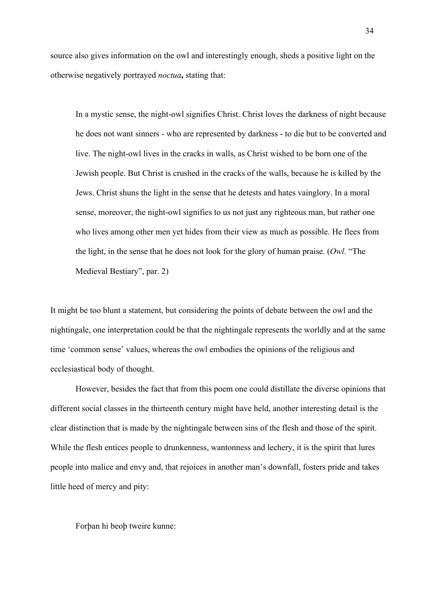source also gives information on the owl and interestingly enough, sheds a positive light on the otherwise negatively portrayed *noctua***,** stating that:

In a mystic sense, the night-owl signifies Christ. Christ loves the darkness of night because he does not want sinners - who are represented by darkness - to die but to be converted and live. The night-owl lives in the cracks in walls, as Christ wished to be born one of the Jewish people. But Christ is crushed in the cracks of the walls, because he is killed by the Jews. Christ shuns the light in the sense that he detests and hates vainglory. In a moral sense, moreover, the night-owl signifies to us not just any righteous man, but rather one who lives among other men yet hides from their view as much as possible. He flees from the light, in the sense that he does not look for the glory of human praise. (*Owl.* "The Medieval Bestiary", par. 2)

It might be too blunt a statement, but considering the points of debate between the owl and the nightingale, one interpretation could be that the nightingale represents the worldly and at the same time 'common sense' values, whereas the owl embodies the opinions of the religious and ecclesiastical body of thought.

However, besides the fact that from this poem one could distillate the diverse opinions that different social classes in the thirteenth century might have held, another interesting detail is the clear distinction that is made by the nightingale between sins of the flesh and those of the spirit. While the flesh entices people to drunkenness, wantonness and lechery, it is the spirit that lures people into malice and envy and, that rejoices in another man's downfall, fosters pride and takes little heed of mercy and pity:

Forþan hi beoþ tweire kunne: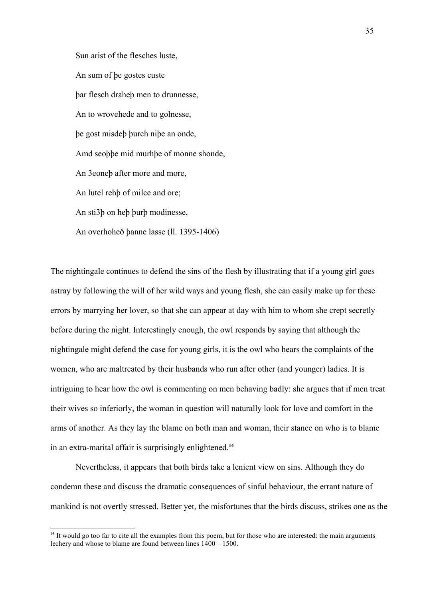Sun arist of the flesches luste, An sum of þe gostes custe þar flesch draheþ men to drunnesse, An to wrovehede and to golnesse, þe gost misdeþ þurch niþe an onde, Amd seoþþe mid murhþe of monne shonde, An 3eoneþ after more and more, An lutel rehþ of milce and ore; An sti3þ on heþ þurþ modinesse, An overhoheð þanne lasse (ll. 1395-1406)

The nightingale continues to defend the sins of the flesh by illustrating that if a young girl goes astray by following the will of her wild ways and young flesh, she can easily make up for these errors by marrying her lover, so that she can appear at day with him to whom she crept secretly before during the night. Interestingly enough, the owl responds by saying that although the nightingale might defend the case for young girls, it is the owl who hears the complaints of the women, who are maltreated by their husbands who run after other (and younger) ladies. It is intriguing to hear how the owl is commenting on men behaving badly: she argues that if men treat their wives so inferiorly, the woman in question will naturally look for love and comfort in the arms of another. As they lay the blame on both man and woman, their stance on who is to blame in an extra-marital affair is surprisingly enlightened.**[14](#page-34-0)**

Nevertheless, it appears that both birds take a lenient view on sins. Although they do condemn these and discuss the dramatic consequences of sinful behaviour, the errant nature of mankind is not overtly stressed. Better yet, the misfortunes that the birds discuss, strikes one as the

<span id="page-34-0"></span> $14$  It would go too far to cite all the examples from this poem, but for those who are interested: the main arguments lechery and whose to blame are found between lines 1400 – 1500.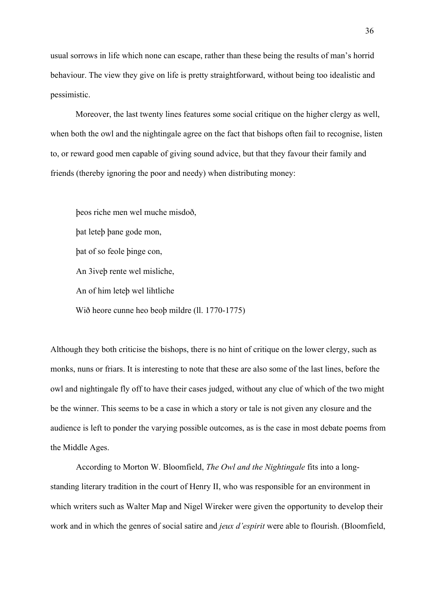usual sorrows in life which none can escape, rather than these being the results of man's horrid behaviour. The view they give on life is pretty straightforward, without being too idealistic and pessimistic.

Moreover, the last twenty lines features some social critique on the higher clergy as well, when both the owl and the nightingale agree on the fact that bishops often fail to recognise, listen to, or reward good men capable of giving sound advice, but that they favour their family and friends (thereby ignoring the poor and needy) when distributing money:

þeos riche men wel muche misdoð, þat leteþ þane gode mon, þat of so feole þinge con, An 3iveþ rente wel misliche, An of him leteþ wel lihtliche Wið heore cunne heo beoþ mildre (ll. 1770-1775)

Although they both criticise the bishops, there is no hint of critique on the lower clergy, such as monks, nuns or friars. It is interesting to note that these are also some of the last lines, before the owl and nightingale fly off to have their cases judged, without any clue of which of the two might be the winner. This seems to be a case in which a story or tale is not given any closure and the audience is left to ponder the varying possible outcomes, as is the case in most debate poems from the Middle Ages.

According to Morton W. Bloomfield, *The Owl and the Nightingale* fits into a longstanding literary tradition in the court of Henry II, who was responsible for an environment in which writers such as Walter Map and Nigel Wireker were given the opportunity to develop their work and in which the genres of social satire and *jeux d'espirit* were able to flourish. (Bloomfield,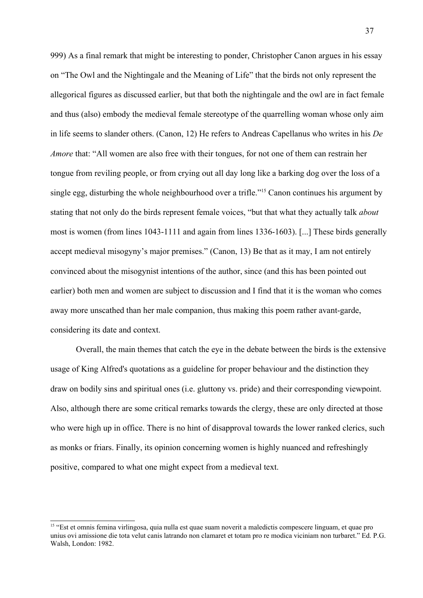999) As a final remark that might be interesting to ponder, Christopher Canon argues in his essay on "The Owl and the Nightingale and the Meaning of Life" that the birds not only represent the allegorical figures as discussed earlier, but that both the nightingale and the owl are in fact female and thus (also) embody the medieval female stereotype of the quarrelling woman whose only aim in life seems to slander others. (Canon, 12) He refers to Andreas Capellanus who writes in his *De Amore* that: "All women are also free with their tongues, for not one of them can restrain her tongue from reviling people, or from crying out all day long like a barking dog over the loss of a single egg, disturbing the whole neighbourhood over a trifle."<sup>[15](#page-36-0)</sup> Canon continues his argument by stating that not only do the birds represent female voices, "but that what they actually talk *about* most is women (from lines 1043-1111 and again from lines 1336-1603). [...] These birds generally accept medieval misogyny's major premises." (Canon, 13) Be that as it may, I am not entirely convinced about the misogynist intentions of the author, since (and this has been pointed out earlier) both men and women are subject to discussion and I find that it is the woman who comes away more unscathed than her male companion, thus making this poem rather avant-garde, considering its date and context.

Overall, the main themes that catch the eye in the debate between the birds is the extensive usage of King Alfred's quotations as a guideline for proper behaviour and the distinction they draw on bodily sins and spiritual ones (i.e. gluttony vs. pride) and their corresponding viewpoint. Also, although there are some critical remarks towards the clergy, these are only directed at those who were high up in office. There is no hint of disapproval towards the lower ranked clerics, such as monks or friars. Finally, its opinion concerning women is highly nuanced and refreshingly positive, compared to what one might expect from a medieval text.

<span id="page-36-0"></span><sup>&</sup>lt;sup>15</sup> "Est et omnis femina virlingosa, quia nulla est quae suam noverit a maledictis compescere linguam, et quae pro unius ovi amissione die tota velut canis latrando non clamaret et totam pro re modica viciniam non turbaret." Ed. P.G. Walsh, London: 1982.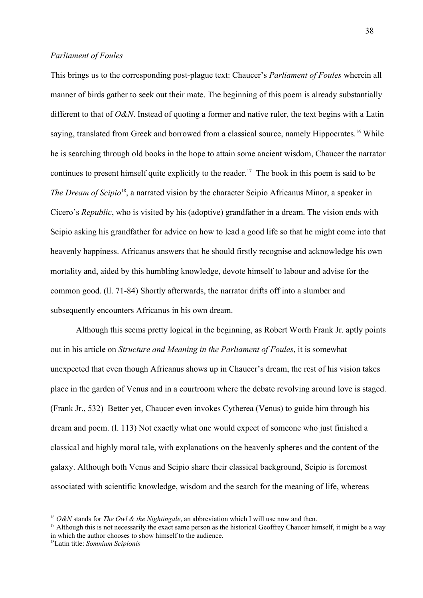### *Parliament of Foules*

This brings us to the corresponding post-plague text: Chaucer's *Parliament of Foules* wherein all manner of birds gather to seek out their mate. The beginning of this poem is already substantially different to that of *O&N*. Instead of quoting a former and native ruler, the text begins with a Latin saying, translated from Greek and borrowed from a classical source, namely Hippocrates.<sup>[16](#page-37-0)</sup> While he is searching through old books in the hope to attain some ancient wisdom, Chaucer the narrator continues to present himself quite explicitly to the reader.<sup>[17](#page-37-1)</sup> The book in this poem is said to be The Dream of Scipio<sup>[18](#page-37-2)</sup>, a narrated vision by the character Scipio Africanus Minor, a speaker in Cicero's *Republic*, who is visited by his (adoptive) grandfather in a dream. The vision ends with Scipio asking his grandfather for advice on how to lead a good life so that he might come into that heavenly happiness. Africanus answers that he should firstly recognise and acknowledge his own mortality and, aided by this humbling knowledge, devote himself to labour and advise for the common good. (ll. 71-84) Shortly afterwards, the narrator drifts off into a slumber and subsequently encounters Africanus in his own dream.

Although this seems pretty logical in the beginning, as Robert Worth Frank Jr. aptly points out in his article on *Structure and Meaning in the Parliament of Foules*, it is somewhat unexpected that even though Africanus shows up in Chaucer's dream, the rest of his vision takes place in the garden of Venus and in a courtroom where the debate revolving around love is staged. (Frank Jr., 532) Better yet, Chaucer even invokes Cytherea (Venus) to guide him through his dream and poem. (l. 113) Not exactly what one would expect of someone who just finished a classical and highly moral tale, with explanations on the heavenly spheres and the content of the galaxy. Although both Venus and Scipio share their classical background, Scipio is foremost associated with scientific knowledge, wisdom and the search for the meaning of life, whereas

<span id="page-37-0"></span><sup>16</sup> *O&N* stands for *The Owl & the Nightingale*, an abbreviation which I will use now and then.

<span id="page-37-1"></span> $17$  Although this is not necessarily the exact same person as the historical Geoffrey Chaucer himself, it might be a way in which the author chooses to show himself to the audience.

<span id="page-37-2"></span><sup>18</sup>Latin title: *Somnium Scipionis*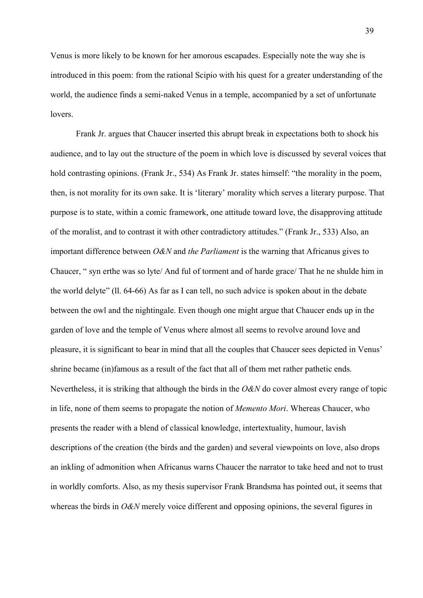Venus is more likely to be known for her amorous escapades. Especially note the way she is introduced in this poem: from the rational Scipio with his quest for a greater understanding of the world, the audience finds a semi-naked Venus in a temple, accompanied by a set of unfortunate **lovers** 

Frank Jr. argues that Chaucer inserted this abrupt break in expectations both to shock his audience, and to lay out the structure of the poem in which love is discussed by several voices that hold contrasting opinions. (Frank Jr., 534) As Frank Jr. states himself: "the morality in the poem, then, is not morality for its own sake. It is 'literary' morality which serves a literary purpose. That purpose is to state, within a comic framework, one attitude toward love, the disapproving attitude of the moralist, and to contrast it with other contradictory attitudes." (Frank Jr., 533) Also, an important difference between *O&N* and *the Parliament* is the warning that Africanus gives to Chaucer, " syn erthe was so lyte/ And ful of torment and of harde grace/ That he ne shulde him in the world delyte" (ll. 64-66) As far as I can tell, no such advice is spoken about in the debate between the owl and the nightingale. Even though one might argue that Chaucer ends up in the garden of love and the temple of Venus where almost all seems to revolve around love and pleasure, it is significant to bear in mind that all the couples that Chaucer sees depicted in Venus' shrine became (in)famous as a result of the fact that all of them met rather pathetic ends. Nevertheless, it is striking that although the birds in the *O&N* do cover almost every range of topic in life, none of them seems to propagate the notion of *Memento Mori*. Whereas Chaucer, who presents the reader with a blend of classical knowledge, intertextuality, humour, lavish descriptions of the creation (the birds and the garden) and several viewpoints on love, also drops an inkling of admonition when Africanus warns Chaucer the narrator to take heed and not to trust in worldly comforts. Also, as my thesis supervisor Frank Brandsma has pointed out, it seems that whereas the birds in *O&N* merely voice different and opposing opinions, the several figures in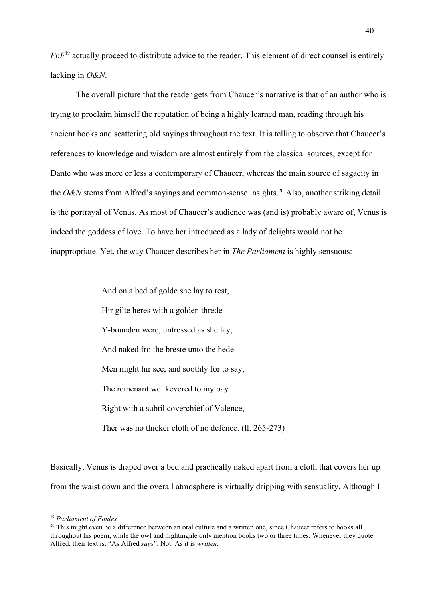PoF<sup>[19](#page-39-0)</sup> actually proceed to distribute advice to the reader. This element of direct counsel is entirely lacking in *O&N*.

The overall picture that the reader gets from Chaucer's narrative is that of an author who is trying to proclaim himself the reputation of being a highly learned man, reading through his ancient books and scattering old sayings throughout the text. It is telling to observe that Chaucer's references to knowledge and wisdom are almost entirely from the classical sources, except for Dante who was more or less a contemporary of Chaucer, whereas the main source of sagacity in the *O&N* stems from Alfred's sayings and common-sense insights.<sup>[20](#page-39-1)</sup> Also, another striking detail is the portrayal of Venus. As most of Chaucer's audience was (and is) probably aware of, Venus is indeed the goddess of love. To have her introduced as a lady of delights would not be inappropriate. Yet, the way Chaucer describes her in *The Parliament* is highly sensuous:

> And on a bed of golde she lay to rest, Hir gilte heres with a golden threde Y-bounden were, untressed as she lay, And naked fro the breste unto the hede Men might hir see; and soothly for to say, The remenant wel kevered to my pay Right with a subtil coverchief of Valence, Ther was no thicker cloth of no defence. (ll. 265-273)

Basically, Venus is draped over a bed and practically naked apart from a cloth that covers her up from the waist down and the overall atmosphere is virtually dripping with sensuality. Although I

<span id="page-39-0"></span><sup>19</sup> *Parliament of Foules*

<span id="page-39-1"></span><sup>&</sup>lt;sup>20</sup> This might even be a difference between an oral culture and a written one, since Chaucer refers to books all throughout his poem, while the owl and nightingale only mention books two or three times. Whenever they quote Alfred, their text is: "As Alfred *says*". Not: As it is *written*.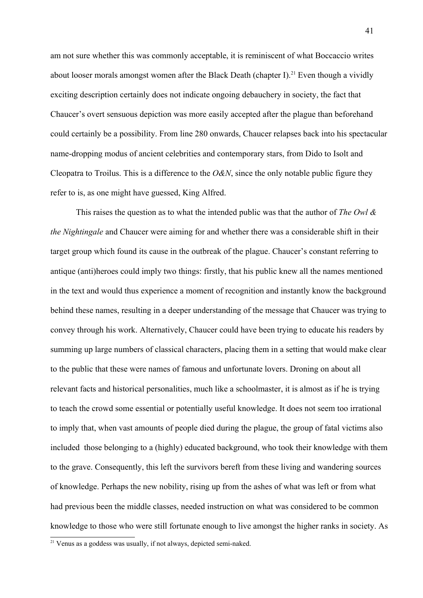am not sure whether this was commonly acceptable, it is reminiscent of what Boccaccio writes about looser morals amongst women after the Black Death (chapter I).<sup>[21](#page-40-0)</sup> Even though a vividly exciting description certainly does not indicate ongoing debauchery in society, the fact that Chaucer's overt sensuous depiction was more easily accepted after the plague than beforehand could certainly be a possibility. From line 280 onwards, Chaucer relapses back into his spectacular name-dropping modus of ancient celebrities and contemporary stars, from Dido to Isolt and Cleopatra to Troilus. This is a difference to the *O&N*, since the only notable public figure they refer to is, as one might have guessed, King Alfred.

This raises the question as to what the intended public was that the author of *The Owl & the Nightingale* and Chaucer were aiming for and whether there was a considerable shift in their target group which found its cause in the outbreak of the plague. Chaucer's constant referring to antique (anti)heroes could imply two things: firstly, that his public knew all the names mentioned in the text and would thus experience a moment of recognition and instantly know the background behind these names, resulting in a deeper understanding of the message that Chaucer was trying to convey through his work. Alternatively, Chaucer could have been trying to educate his readers by summing up large numbers of classical characters, placing them in a setting that would make clear to the public that these were names of famous and unfortunate lovers. Droning on about all relevant facts and historical personalities, much like a schoolmaster, it is almost as if he is trying to teach the crowd some essential or potentially useful knowledge. It does not seem too irrational to imply that, when vast amounts of people died during the plague, the group of fatal victims also included those belonging to a (highly) educated background, who took their knowledge with them to the grave. Consequently, this left the survivors bereft from these living and wandering sources of knowledge. Perhaps the new nobility, rising up from the ashes of what was left or from what had previous been the middle classes, needed instruction on what was considered to be common knowledge to those who were still fortunate enough to live amongst the higher ranks in society. As

<span id="page-40-0"></span> $21$  Venus as a goddess was usually, if not always, depicted semi-naked.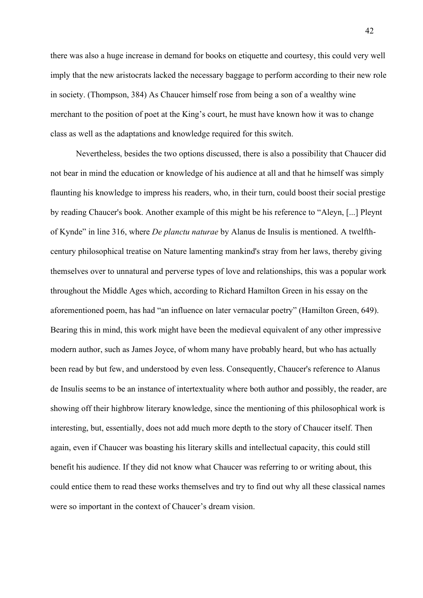there was also a huge increase in demand for books on etiquette and courtesy, this could very well imply that the new aristocrats lacked the necessary baggage to perform according to their new role in society. (Thompson, 384) As Chaucer himself rose from being a son of a wealthy wine merchant to the position of poet at the King's court, he must have known how it was to change class as well as the adaptations and knowledge required for this switch.

Nevertheless, besides the two options discussed, there is also a possibility that Chaucer did not bear in mind the education or knowledge of his audience at all and that he himself was simply flaunting his knowledge to impress his readers, who, in their turn, could boost their social prestige by reading Chaucer's book. Another example of this might be his reference to "Aleyn, [...] Pleynt of Kynde" in line 316, where *De planctu naturae* by Alanus de Insulis is mentioned. A twelfthcentury philosophical treatise on Nature lamenting mankind's stray from her laws, thereby giving themselves over to unnatural and perverse types of love and relationships, this was a popular work throughout the Middle Ages which, according to Richard Hamilton Green in his essay on the aforementioned poem, has had "an influence on later vernacular poetry" (Hamilton Green, 649). Bearing this in mind, this work might have been the medieval equivalent of any other impressive modern author, such as James Joyce, of whom many have probably heard, but who has actually been read by but few, and understood by even less. Consequently, Chaucer's reference to Alanus de Insulis seems to be an instance of intertextuality where both author and possibly, the reader, are showing off their highbrow literary knowledge, since the mentioning of this philosophical work is interesting, but, essentially, does not add much more depth to the story of Chaucer itself. Then again, even if Chaucer was boasting his literary skills and intellectual capacity, this could still benefit his audience. If they did not know what Chaucer was referring to or writing about, this could entice them to read these works themselves and try to find out why all these classical names were so important in the context of Chaucer's dream vision.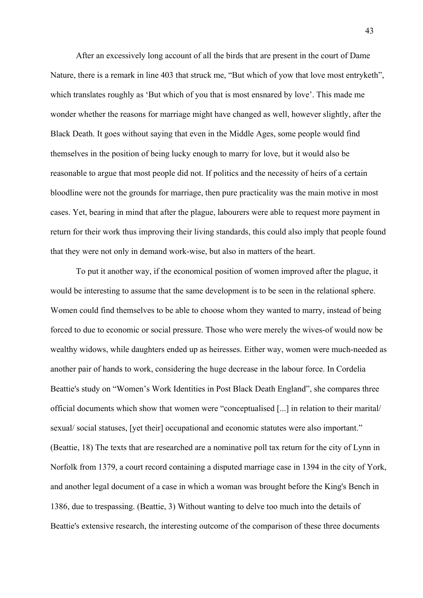After an excessively long account of all the birds that are present in the court of Dame Nature, there is a remark in line 403 that struck me, "But which of yow that love most entryketh", which translates roughly as 'But which of you that is most ensnared by love'. This made me wonder whether the reasons for marriage might have changed as well, however slightly, after the Black Death. It goes without saying that even in the Middle Ages, some people would find themselves in the position of being lucky enough to marry for love, but it would also be reasonable to argue that most people did not. If politics and the necessity of heirs of a certain bloodline were not the grounds for marriage, then pure practicality was the main motive in most cases. Yet, bearing in mind that after the plague, labourers were able to request more payment in return for their work thus improving their living standards, this could also imply that people found that they were not only in demand work-wise, but also in matters of the heart.

To put it another way, if the economical position of women improved after the plague, it would be interesting to assume that the same development is to be seen in the relational sphere. Women could find themselves to be able to choose whom they wanted to marry, instead of being forced to due to economic or social pressure. Those who were merely the wives-of would now be wealthy widows, while daughters ended up as heiresses. Either way, women were much-needed as another pair of hands to work, considering the huge decrease in the labour force. In Cordelia Beattie's study on "Women's Work Identities in Post Black Death England", she compares three official documents which show that women were "conceptualised [...] in relation to their marital/ sexual/ social statuses, [yet their] occupational and economic statutes were also important." (Beattie, 18) The texts that are researched are a nominative poll tax return for the city of Lynn in Norfolk from 1379, a court record containing a disputed marriage case in 1394 in the city of York, and another legal document of a case in which a woman was brought before the King's Bench in 1386, due to trespassing. (Beattie, 3) Without wanting to delve too much into the details of Beattie's extensive research, the interesting outcome of the comparison of these three documents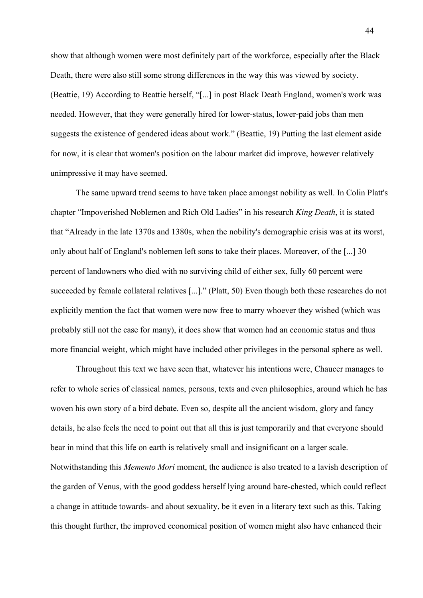show that although women were most definitely part of the workforce, especially after the Black Death, there were also still some strong differences in the way this was viewed by society. (Beattie, 19) According to Beattie herself, "[...] in post Black Death England, women's work was needed. However, that they were generally hired for lower-status, lower-paid jobs than men suggests the existence of gendered ideas about work." (Beattie, 19) Putting the last element aside for now, it is clear that women's position on the labour market did improve, however relatively unimpressive it may have seemed.

The same upward trend seems to have taken place amongst nobility as well. In Colin Platt's chapter "Impoverished Noblemen and Rich Old Ladies" in his research *King Death*, it is stated that "Already in the late 1370s and 1380s, when the nobility's demographic crisis was at its worst, only about half of England's noblemen left sons to take their places. Moreover, of the [...] 30 percent of landowners who died with no surviving child of either sex, fully 60 percent were succeeded by female collateral relatives [...]." (Platt, 50) Even though both these researches do not explicitly mention the fact that women were now free to marry whoever they wished (which was probably still not the case for many), it does show that women had an economic status and thus more financial weight, which might have included other privileges in the personal sphere as well.

Throughout this text we have seen that, whatever his intentions were, Chaucer manages to refer to whole series of classical names, persons, texts and even philosophies, around which he has woven his own story of a bird debate. Even so, despite all the ancient wisdom, glory and fancy details, he also feels the need to point out that all this is just temporarily and that everyone should bear in mind that this life on earth is relatively small and insignificant on a larger scale. Notwithstanding this *Memento Mori* moment, the audience is also treated to a lavish description of the garden of Venus, with the good goddess herself lying around bare-chested, which could reflect a change in attitude towards- and about sexuality, be it even in a literary text such as this. Taking this thought further, the improved economical position of women might also have enhanced their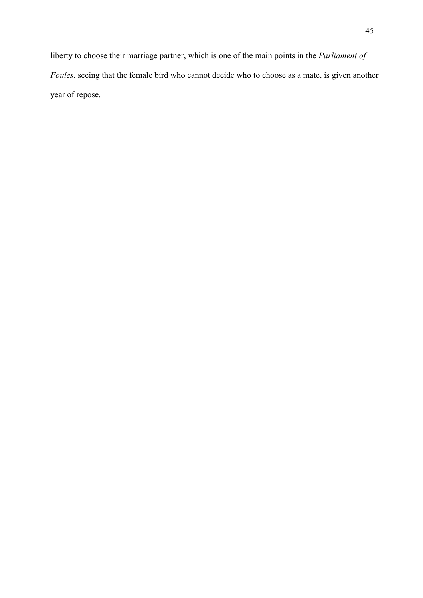liberty to choose their marriage partner, which is one of the main points in the *Parliament of Foules*, seeing that the female bird who cannot decide who to choose as a mate, is given another year of repose.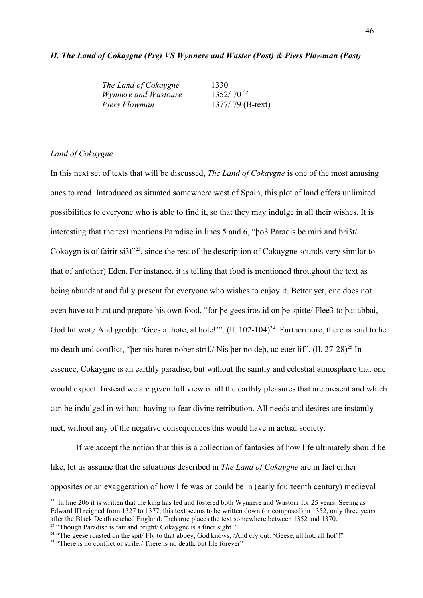## *II. The Land of Cokaygne (Pre) VS Wynnere and Waster (Post) & Piers Plowman (Post)*

| The Land of Cokaygne        | 1330             |
|-----------------------------|------------------|
| <i>Wynnere and Wastoure</i> | $1352/70^{22}$   |
| Piers Plowman               | 1377/79 (B-text) |

## *Land of Cokaygne*

In this next set of texts that will be discussed, *The Land of Cokaygne* is one of the most amusing ones to read. Introduced as situated somewhere west of Spain, this plot of land offers unlimited possibilities to everyone who is able to find it, so that they may indulge in all their wishes. It is interesting that the text mentions Paradise in lines 5 and 6, "þo3 Paradis be miri and bri3t/ Cokaygn is of fairir si3t"<sup>[23](#page-45-1)</sup>, since the rest of the description of Cokaygne sounds very similar to that of an(other) Eden. For instance, it is telling that food is mentioned throughout the text as being abundant and fully present for everyone who wishes to enjoy it. Better yet, one does not even have to hunt and prepare his own food, "for þe gees irostid on þe spitte/ Flee3 to þat abbai, God hit wot,/ And grediþ: 'Gees al hote, al hote!'".  $(11. 102-104)^{24}$  $(11. 102-104)^{24}$  $(11. 102-104)^{24}$  Furthermore, there is said to be no death and conflict, "per nis baret nober strif,/ Nis þer no deþ, ac euer lif". (ll. 27-28)<sup>[25](#page-45-3)</sup> In essence, Cokaygne is an earthly paradise, but without the saintly and celestial atmosphere that one would expect. Instead we are given full view of all the earthly pleasures that are present and which can be indulged in without having to fear divine retribution. All needs and desires are instantly met, without any of the negative consequences this would have in actual society.

If we accept the notion that this is a collection of fantasies of how life ultimately should be like, let us assume that the situations described in *The Land of Cokaygne* are in fact either opposites or an exaggeration of how life was or could be in (early fourteenth century) medieval

<span id="page-45-0"></span><sup>&</sup>lt;sup>22</sup> In line 206 it is written that the king has fed and fostered both Wynnere and Wastour for 25 years. Seeing as Edward III reigned from 1327 to 1377, this text seems to be written down (or composed) in 1352, only three years after the Black Death reached England. Treharne places the text somewhere between 1352 and 1370. <sup>23</sup> "Though Paradise is fair and bright/ Cokaygne is a finer sight."

<span id="page-45-2"></span><span id="page-45-1"></span><sup>&</sup>lt;sup>24</sup> "The geese roasted on the spit/ Fly to that abbey, God knows, /And cry out: 'Geese, all hot, all hot'!"

<span id="page-45-3"></span> $25$  "There is no conflict or strife;/ There is no death, but life forever"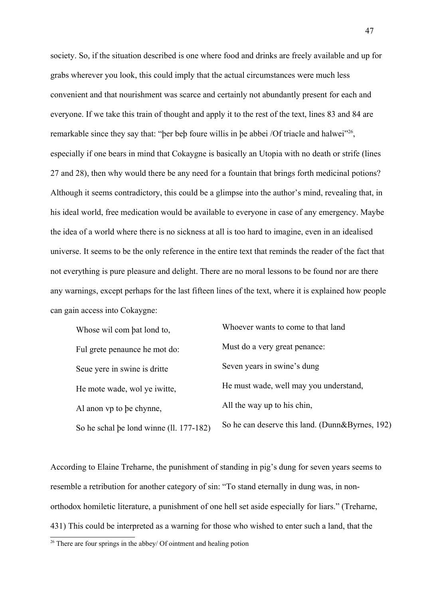society. So, if the situation described is one where food and drinks are freely available and up for grabs wherever you look, this could imply that the actual circumstances were much less convenient and that nourishment was scarce and certainly not abundantly present for each and everyone. If we take this train of thought and apply it to the rest of the text, lines 83 and 84 are remarkable since they say that: "ber beb foure willis in be abbei /Of triacle and halwei"<sup>[26](#page-46-0)</sup>, especially if one bears in mind that Cokaygne is basically an Utopia with no death or strife (lines 27 and 28), then why would there be any need for a fountain that brings forth medicinal potions? Although it seems contradictory, this could be a glimpse into the author's mind, revealing that, in his ideal world, free medication would be available to everyone in case of any emergency. Maybe the idea of a world where there is no sickness at all is too hard to imagine, even in an idealised universe. It seems to be the only reference in the entire text that reminds the reader of the fact that not everything is pure pleasure and delight. There are no moral lessons to be found nor are there any warnings, except perhaps for the last fifteen lines of the text, where it is explained how people can gain access into Cokaygne:

| Whose wil com bat lond to,              | Whoever wants to come to that land              |
|-----------------------------------------|-------------------------------------------------|
| Ful grete penaunce he mot do:           | Must do a very great penance:                   |
| Seue yere in swine is dritte            | Seven years in swine's dung                     |
| He mote wade, wol ye iwitte,            | He must wade, well may you understand,          |
| Al anon vp to be chynne,                | All the way up to his chin,                     |
| So he schal be lond winne (ll. 177-182) | So he can deserve this land. (Dunn&Byrnes, 192) |

According to Elaine Treharne, the punishment of standing in pig's dung for seven years seems to resemble a retribution for another category of sin: "To stand eternally in dung was, in nonorthodox homiletic literature, a punishment of one hell set aside especially for liars." (Treharne, 431) This could be interpreted as a warning for those who wished to enter such a land, that the

<span id="page-46-0"></span> $26$  There are four springs in the abbey/ Of ointment and healing potion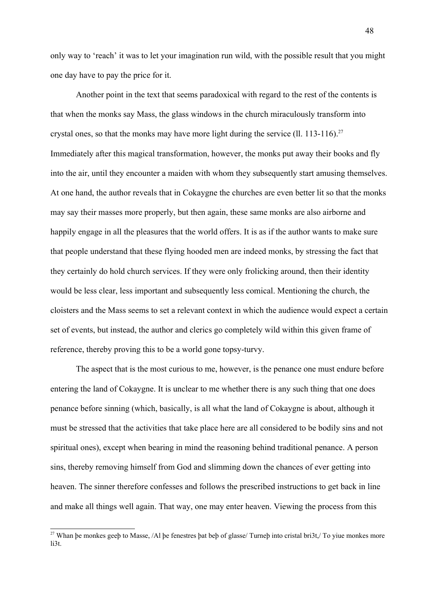only way to 'reach' it was to let your imagination run wild, with the possible result that you might one day have to pay the price for it.

Another point in the text that seems paradoxical with regard to the rest of the contents is that when the monks say Mass, the glass windows in the church miraculously transform into crystal ones, so that the monks may have more light during the service (ll. 113-116).<sup>[27](#page-47-0)</sup> Immediately after this magical transformation, however, the monks put away their books and fly into the air, until they encounter a maiden with whom they subsequently start amusing themselves. At one hand, the author reveals that in Cokaygne the churches are even better lit so that the monks may say their masses more properly, but then again, these same monks are also airborne and happily engage in all the pleasures that the world offers. It is as if the author wants to make sure that people understand that these flying hooded men are indeed monks, by stressing the fact that they certainly do hold church services. If they were only frolicking around, then their identity would be less clear, less important and subsequently less comical. Mentioning the church, the cloisters and the Mass seems to set a relevant context in which the audience would expect a certain set of events, but instead, the author and clerics go completely wild within this given frame of reference, thereby proving this to be a world gone topsy-turvy.

The aspect that is the most curious to me, however, is the penance one must endure before entering the land of Cokaygne. It is unclear to me whether there is any such thing that one does penance before sinning (which, basically, is all what the land of Cokaygne is about, although it must be stressed that the activities that take place here are all considered to be bodily sins and not spiritual ones), except when bearing in mind the reasoning behind traditional penance. A person sins, thereby removing himself from God and slimming down the chances of ever getting into heaven. The sinner therefore confesses and follows the prescribed instructions to get back in line and make all things well again. That way, one may enter heaven. Viewing the process from this

<span id="page-47-0"></span><sup>&</sup>lt;sup>27</sup> Whan be monkes geeb to Masse, /Al be fenestres bat beb of glasse/ Turneb into cristal bri3t,/ To yiue monkes more li3t.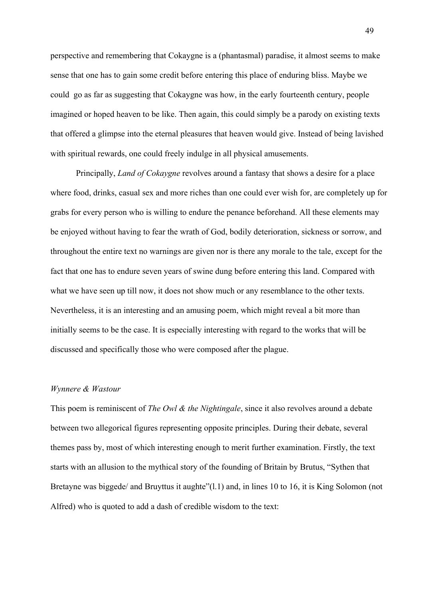perspective and remembering that Cokaygne is a (phantasmal) paradise, it almost seems to make sense that one has to gain some credit before entering this place of enduring bliss. Maybe we could go as far as suggesting that Cokaygne was how, in the early fourteenth century, people imagined or hoped heaven to be like. Then again, this could simply be a parody on existing texts that offered a glimpse into the eternal pleasures that heaven would give. Instead of being lavished with spiritual rewards, one could freely indulge in all physical amusements.

Principally, *Land of Cokaygne* revolves around a fantasy that shows a desire for a place where food, drinks, casual sex and more riches than one could ever wish for, are completely up for grabs for every person who is willing to endure the penance beforehand. All these elements may be enjoyed without having to fear the wrath of God, bodily deterioration, sickness or sorrow, and throughout the entire text no warnings are given nor is there any morale to the tale, except for the fact that one has to endure seven years of swine dung before entering this land. Compared with what we have seen up till now, it does not show much or any resemblance to the other texts. Nevertheless, it is an interesting and an amusing poem, which might reveal a bit more than initially seems to be the case. It is especially interesting with regard to the works that will be discussed and specifically those who were composed after the plague.

# *Wynnere & Wastour*

This poem is reminiscent of *The Owl & the Nightingale*, since it also revolves around a debate between two allegorical figures representing opposite principles. During their debate, several themes pass by, most of which interesting enough to merit further examination. Firstly, the text starts with an allusion to the mythical story of the founding of Britain by Brutus, "Sythen that Bretayne was biggede/ and Bruyttus it aughte"(1.1) and, in lines 10 to 16, it is King Solomon (not Alfred) who is quoted to add a dash of credible wisdom to the text: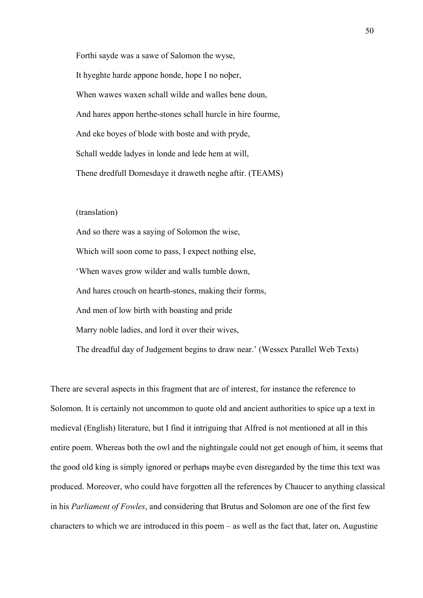Forthi sayde was a sawe of Salomon the wyse, It hyeghte harde appone honde, hope I no noþer, When wawes waxen schall wilde and walles bene doun, And hares appon herthe-stones schall hurcle in hire fourme, And eke boyes of blode with boste and with pryde, Schall wedde ladyes in londe and lede hem at will, Thene dredfull Domesdaye it draweth neghe aftir. (TEAMS)

(translation)

And so there was a saying of Solomon the wise, Which will soon come to pass, I expect nothing else, 'When waves grow wilder and walls tumble down, And hares crouch on hearth-stones, making their forms, And men of low birth with boasting and pride Marry noble ladies, and lord it over their wives, The dreadful day of Judgement begins to draw near.' (Wessex Parallel Web Texts)

There are several aspects in this fragment that are of interest, for instance the reference to Solomon. It is certainly not uncommon to quote old and ancient authorities to spice up a text in medieval (English) literature, but I find it intriguing that Alfred is not mentioned at all in this entire poem. Whereas both the owl and the nightingale could not get enough of him, it seems that the good old king is simply ignored or perhaps maybe even disregarded by the time this text was produced. Moreover, who could have forgotten all the references by Chaucer to anything classical in his *Parliament of Fowles*, and considering that Brutus and Solomon are one of the first few characters to which we are introduced in this poem – as well as the fact that, later on, Augustine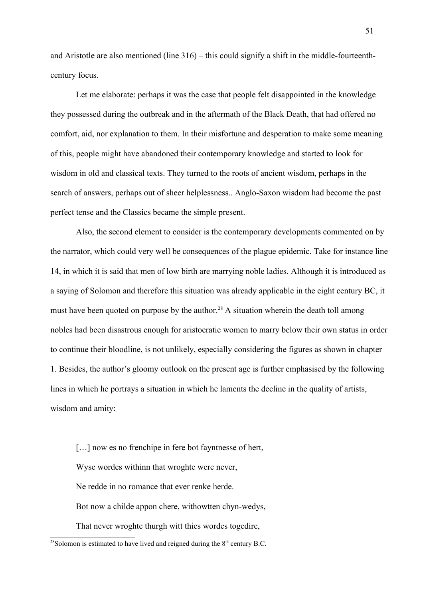and Aristotle are also mentioned (line 316) – this could signify a shift in the middle-fourteenthcentury focus.

Let me elaborate: perhaps it was the case that people felt disappointed in the knowledge they possessed during the outbreak and in the aftermath of the Black Death, that had offered no comfort, aid, nor explanation to them. In their misfortune and desperation to make some meaning of this, people might have abandoned their contemporary knowledge and started to look for wisdom in old and classical texts. They turned to the roots of ancient wisdom, perhaps in the search of answers, perhaps out of sheer helplessness.. Anglo-Saxon wisdom had become the past perfect tense and the Classics became the simple present.

Also, the second element to consider is the contemporary developments commented on by the narrator, which could very well be consequences of the plague epidemic. Take for instance line 14, in which it is said that men of low birth are marrying noble ladies. Although it is introduced as a saying of Solomon and therefore this situation was already applicable in the eight century BC, it must have been quoted on purpose by the author.<sup>[28](#page-50-0)</sup> A situation wherein the death toll among nobles had been disastrous enough for aristocratic women to marry below their own status in order to continue their bloodline, is not unlikely, especially considering the figures as shown in chapter 1. Besides, the author's gloomy outlook on the present age is further emphasised by the following lines in which he portrays a situation in which he laments the decline in the quality of artists, wisdom and amity:

[...] now es no frenchipe in fere bot fayntnesse of hert, Wyse wordes withinn that wroghte were never, Ne redde in no romance that ever renke herde. Bot now a childe appon chere, withowtten chyn-wedys, That never wroghte thurgh witt thies wordes togedire,

<span id="page-50-0"></span><sup>&</sup>lt;sup>28</sup>Solomon is estimated to have lived and reigned during the  $8<sup>th</sup>$  century B.C.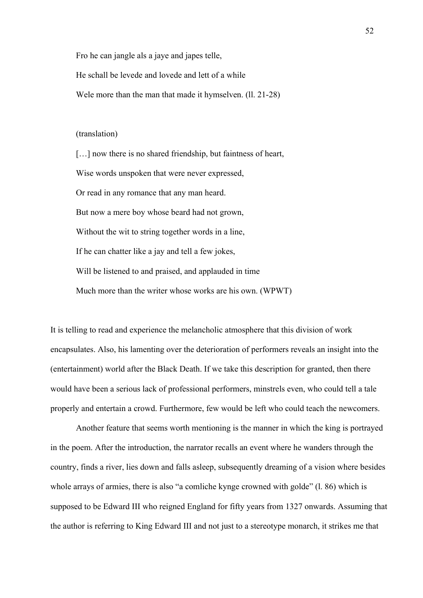Fro he can jangle als a jaye and japes telle,

He schall be levede and lovede and lett of a while

Wele more than the man that made it hymselven. (11, 21-28)

## (translation)

[...] now there is no shared friendship, but faintness of heart, Wise words unspoken that were never expressed, Or read in any romance that any man heard. But now a mere boy whose beard had not grown, Without the wit to string together words in a line, If he can chatter like a jay and tell a few jokes, Will be listened to and praised, and applauded in time Much more than the writer whose works are his own. (WPWT)

It is telling to read and experience the melancholic atmosphere that this division of work encapsulates. Also, his lamenting over the deterioration of performers reveals an insight into the (entertainment) world after the Black Death. If we take this description for granted, then there would have been a serious lack of professional performers, minstrels even, who could tell a tale properly and entertain a crowd. Furthermore, few would be left who could teach the newcomers.

Another feature that seems worth mentioning is the manner in which the king is portrayed in the poem. After the introduction, the narrator recalls an event where he wanders through the country, finds a river, lies down and falls asleep, subsequently dreaming of a vision where besides whole arrays of armies, there is also "a comliche kynge crowned with golde" (1, 86) which is supposed to be Edward III who reigned England for fifty years from 1327 onwards. Assuming that the author is referring to King Edward III and not just to a stereotype monarch, it strikes me that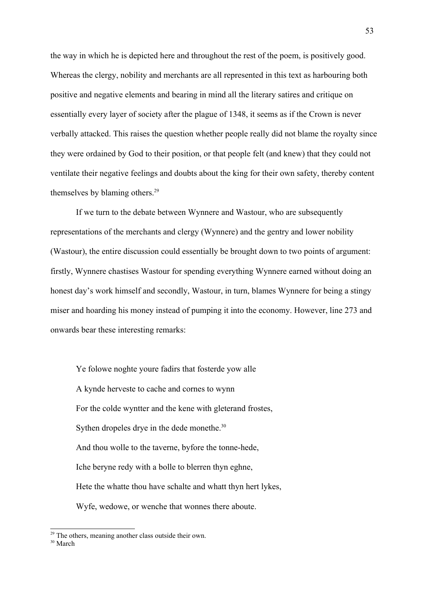the way in which he is depicted here and throughout the rest of the poem, is positively good. Whereas the clergy, nobility and merchants are all represented in this text as harbouring both positive and negative elements and bearing in mind all the literary satires and critique on essentially every layer of society after the plague of 1348, it seems as if the Crown is never verbally attacked. This raises the question whether people really did not blame the royalty since they were ordained by God to their position, or that people felt (and knew) that they could not ventilate their negative feelings and doubts about the king for their own safety, thereby content themselves by blaming others. [29](#page-52-0)

If we turn to the debate between Wynnere and Wastour, who are subsequently representations of the merchants and clergy (Wynnere) and the gentry and lower nobility (Wastour), the entire discussion could essentially be brought down to two points of argument: firstly, Wynnere chastises Wastour for spending everything Wynnere earned without doing an honest day's work himself and secondly, Wastour, in turn, blames Wynnere for being a stingy miser and hoarding his money instead of pumping it into the economy. However, line 273 and onwards bear these interesting remarks:

Ye folowe noghte youre fadirs that fosterde yow alle A kynde herveste to cache and cornes to wynn For the colde wyntter and the kene with gleterand frostes, Sythen dropeles drye in the dede monethe.<sup>[30](#page-52-1)</sup> And thou wolle to the taverne, byfore the tonne-hede, Iche beryne redy with a bolle to blerren thyn eghne, Hete the whatte thou have schalte and whatt thyn hert lykes, Wyfe, wedowe, or wenche that wonnes there aboute.

<span id="page-52-0"></span> $29$  The others, meaning another class outside their own.

<span id="page-52-1"></span><sup>30</sup> March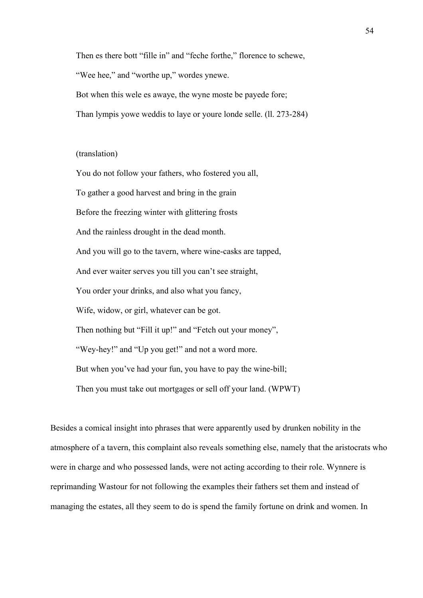Then es there bott "fille in" and "feche forthe," florence to schewe,

"Wee hee," and "worthe up," wordes ynewe.

Bot when this wele es awaye, the wyne moste be payede fore;

Than lympis yowe weddis to laye or youre londe selle. (ll. 273-284)

## (translation)

You do not follow your fathers, who fostered you all, To gather a good harvest and bring in the grain Before the freezing winter with glittering frosts And the rainless drought in the dead month. And you will go to the tavern, where wine-casks are tapped, And ever waiter serves you till you can't see straight, You order your drinks, and also what you fancy, Wife, widow, or girl, whatever can be got. Then nothing but "Fill it up!" and "Fetch out your money", "Wey-hey!" and "Up you get!" and not a word more. But when you've had your fun, you have to pay the wine-bill; Then you must take out mortgages or sell off your land. (WPWT)

Besides a comical insight into phrases that were apparently used by drunken nobility in the atmosphere of a tavern, this complaint also reveals something else, namely that the aristocrats who were in charge and who possessed lands, were not acting according to their role. Wynnere is reprimanding Wastour for not following the examples their fathers set them and instead of managing the estates, all they seem to do is spend the family fortune on drink and women. In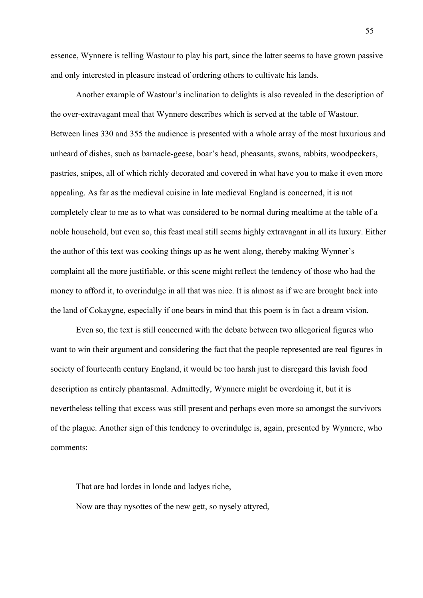essence, Wynnere is telling Wastour to play his part, since the latter seems to have grown passive and only interested in pleasure instead of ordering others to cultivate his lands.

Another example of Wastour's inclination to delights is also revealed in the description of the over-extravagant meal that Wynnere describes which is served at the table of Wastour. Between lines 330 and 355 the audience is presented with a whole array of the most luxurious and unheard of dishes, such as barnacle-geese, boar's head, pheasants, swans, rabbits, woodpeckers, pastries, snipes, all of which richly decorated and covered in what have you to make it even more appealing. As far as the medieval cuisine in late medieval England is concerned, it is not completely clear to me as to what was considered to be normal during mealtime at the table of a noble household, but even so, this feast meal still seems highly extravagant in all its luxury. Either the author of this text was cooking things up as he went along, thereby making Wynner's complaint all the more justifiable, or this scene might reflect the tendency of those who had the money to afford it, to overindulge in all that was nice. It is almost as if we are brought back into the land of Cokaygne, especially if one bears in mind that this poem is in fact a dream vision.

Even so, the text is still concerned with the debate between two allegorical figures who want to win their argument and considering the fact that the people represented are real figures in society of fourteenth century England, it would be too harsh just to disregard this lavish food description as entirely phantasmal. Admittedly, Wynnere might be overdoing it, but it is nevertheless telling that excess was still present and perhaps even more so amongst the survivors of the plague. Another sign of this tendency to overindulge is, again, presented by Wynnere, who comments:

That are had lordes in londe and ladyes riche, Now are thay nysottes of the new gett, so nysely attyred,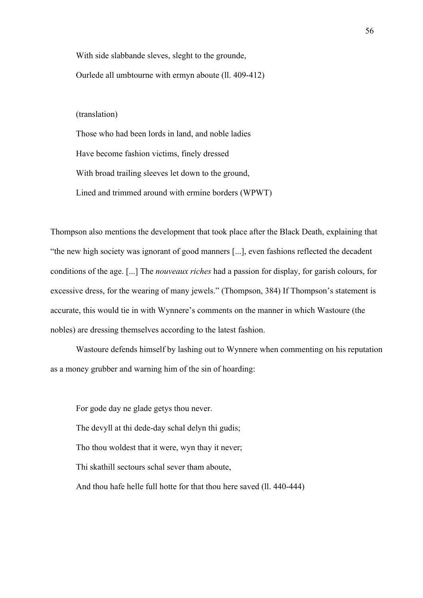With side slabbande sleves, sleght to the grounde, Ourlede all umbtourne with ermyn aboute (ll. 409-412)

(translation)

Those who had been lords in land, and noble ladies Have become fashion victims, finely dressed With broad trailing sleeves let down to the ground, Lined and trimmed around with ermine borders (WPWT)

Thompson also mentions the development that took place after the Black Death, explaining that "the new high society was ignorant of good manners [...], even fashions reflected the decadent conditions of the age. [...] The *nouveaux riches* had a passion for display, for garish colours, for excessive dress, for the wearing of many jewels." (Thompson, 384) If Thompson's statement is accurate, this would tie in with Wynnere's comments on the manner in which Wastoure (the nobles) are dressing themselves according to the latest fashion.

Wastoure defends himself by lashing out to Wynnere when commenting on his reputation as a money grubber and warning him of the sin of hoarding:

For gode day ne glade getys thou never. The devyll at thi dede-day schal delyn thi gudis; Tho thou woldest that it were, wyn thay it never; Thi skathill sectours schal sever tham aboute, And thou hafe helle full hotte for that thou here saved (ll. 440-444)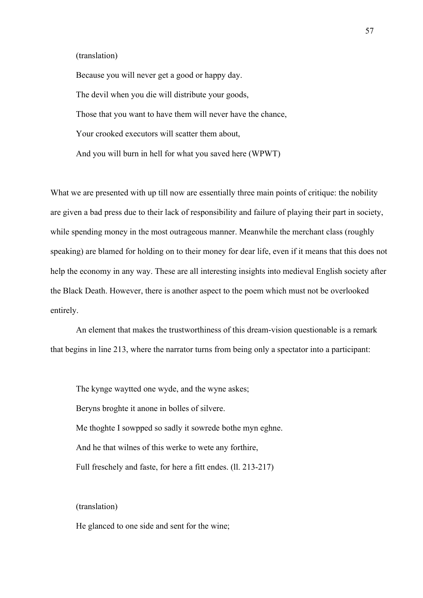## (translation)

Because you will never get a good or happy day. The devil when you die will distribute your goods, Those that you want to have them will never have the chance, Your crooked executors will scatter them about, And you will burn in hell for what you saved here (WPWT)

What we are presented with up till now are essentially three main points of critique: the nobility are given a bad press due to their lack of responsibility and failure of playing their part in society, while spending money in the most outrageous manner. Meanwhile the merchant class (roughly speaking) are blamed for holding on to their money for dear life, even if it means that this does not help the economy in any way. These are all interesting insights into medieval English society after the Black Death. However, there is another aspect to the poem which must not be overlooked entirely.

An element that makes the trustworthiness of this dream-vision questionable is a remark that begins in line 213, where the narrator turns from being only a spectator into a participant:

The kynge waytted one wyde, and the wyne askes; Beryns broghte it anone in bolles of silvere. Me thoghte I sowpped so sadly it sowrede bothe myn eghne. And he that wilnes of this werke to wete any forthire, Full freschely and faste, for here a fitt endes. (ll. 213-217)

# (translation)

He glanced to one side and sent for the wine;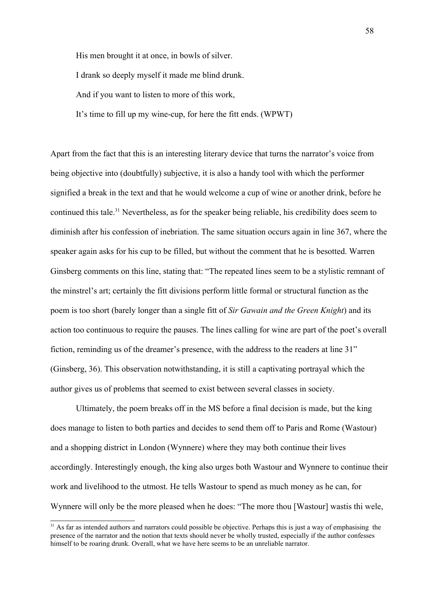His men brought it at once, in bowls of silver.

I drank so deeply myself it made me blind drunk.

And if you want to listen to more of this work,

It's time to fill up my wine-cup, for here the fitt ends. (WPWT)

Apart from the fact that this is an interesting literary device that turns the narrator's voice from being objective into (doubtfully) subjective, it is also a handy tool with which the performer signified a break in the text and that he would welcome a cup of wine or another drink, before he continued this tale.<sup>[31](#page-57-0)</sup> Nevertheless, as for the speaker being reliable, his credibility does seem to diminish after his confession of inebriation. The same situation occurs again in line 367, where the speaker again asks for his cup to be filled, but without the comment that he is besotted. Warren Ginsberg comments on this line, stating that: "The repeated lines seem to be a stylistic remnant of the minstrel's art; certainly the fitt divisions perform little formal or structural function as the poem is too short (barely longer than a single fitt of *Sir Gawain and the Green Knight*) and its action too continuous to require the pauses. The lines calling for wine are part of the poet's overall fiction, reminding us of the dreamer's presence, with the address to the readers at line 31" (Ginsberg, 36). This observation notwithstanding, it is still a captivating portrayal which the author gives us of problems that seemed to exist between several classes in society.

Ultimately, the poem breaks off in the MS before a final decision is made, but the king does manage to listen to both parties and decides to send them off to Paris and Rome (Wastour) and a shopping district in London (Wynnere) where they may both continue their lives accordingly. Interestingly enough, the king also urges both Wastour and Wynnere to continue their work and livelihood to the utmost. He tells Wastour to spend as much money as he can, for Wynnere will only be the more pleased when he does: "The more thou [Wastour] wastis thi wele,

<span id="page-57-0"></span><sup>&</sup>lt;sup>31</sup> As far as intended authors and narrators could possible be objective. Perhaps this is just a way of emphasising the presence of the narrator and the notion that texts should never be wholly trusted, especially if the author confesses himself to be roaring drunk. Overall, what we have here seems to be an unreliable narrator.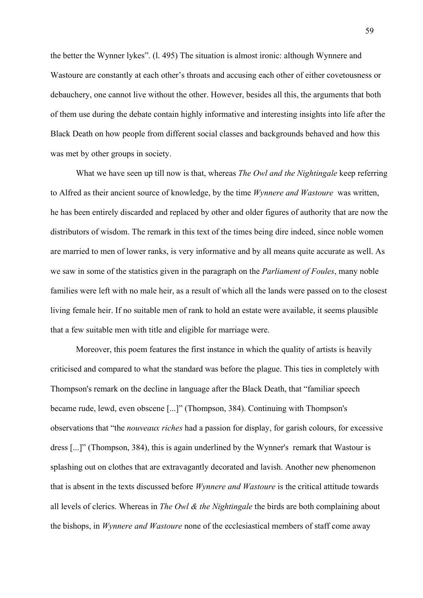the better the Wynner lykes". (l. 495) The situation is almost ironic: although Wynnere and Wastoure are constantly at each other's throats and accusing each other of either covetousness or debauchery, one cannot live without the other. However, besides all this, the arguments that both of them use during the debate contain highly informative and interesting insights into life after the Black Death on how people from different social classes and backgrounds behaved and how this was met by other groups in society.

What we have seen up till now is that, whereas *The Owl and the Nightingale* keep referring to Alfred as their ancient source of knowledge, by the time *Wynnere and Wastoure* was written, he has been entirely discarded and replaced by other and older figures of authority that are now the distributors of wisdom. The remark in this text of the times being dire indeed, since noble women are married to men of lower ranks, is very informative and by all means quite accurate as well. As we saw in some of the statistics given in the paragraph on the *Parliament of Foules*, many noble families were left with no male heir, as a result of which all the lands were passed on to the closest living female heir. If no suitable men of rank to hold an estate were available, it seems plausible that a few suitable men with title and eligible for marriage were.

Moreover, this poem features the first instance in which the quality of artists is heavily criticised and compared to what the standard was before the plague. This ties in completely with Thompson's remark on the decline in language after the Black Death, that "familiar speech became rude, lewd, even obscene [...]" (Thompson, 384). Continuing with Thompson's observations that "the *nouveaux riches* had a passion for display, for garish colours, for excessive dress [...]" (Thompson, 384), this is again underlined by the Wynner's remark that Wastour is splashing out on clothes that are extravagantly decorated and lavish. Another new phenomenon that is absent in the texts discussed before *Wynnere and Wastoure* is the critical attitude towards all levels of clerics. Whereas in *The Owl & the Nightingale* the birds are both complaining about the bishops, in *Wynnere and Wastoure* none of the ecclesiastical members of staff come away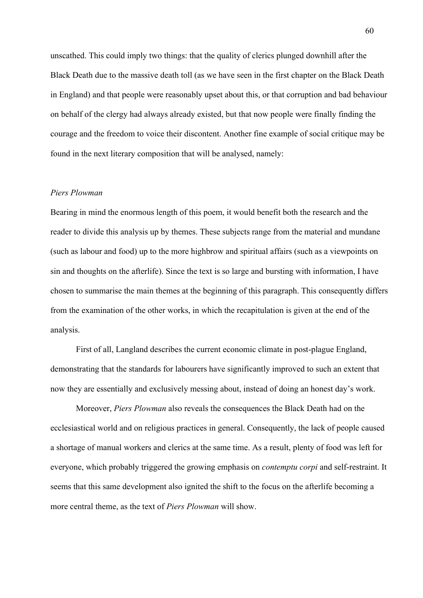unscathed. This could imply two things: that the quality of clerics plunged downhill after the Black Death due to the massive death toll (as we have seen in the first chapter on the Black Death in England) and that people were reasonably upset about this, or that corruption and bad behaviour on behalf of the clergy had always already existed, but that now people were finally finding the courage and the freedom to voice their discontent. Another fine example of social critique may be found in the next literary composition that will be analysed, namely:

# *Piers Plowman*

Bearing in mind the enormous length of this poem, it would benefit both the research and the reader to divide this analysis up by themes. These subjects range from the material and mundane (such as labour and food) up to the more highbrow and spiritual affairs (such as a viewpoints on sin and thoughts on the afterlife). Since the text is so large and bursting with information, I have chosen to summarise the main themes at the beginning of this paragraph. This consequently differs from the examination of the other works, in which the recapitulation is given at the end of the analysis.

First of all, Langland describes the current economic climate in post-plague England, demonstrating that the standards for labourers have significantly improved to such an extent that now they are essentially and exclusively messing about, instead of doing an honest day's work.

Moreover, *Piers Plowman* also reveals the consequences the Black Death had on the ecclesiastical world and on religious practices in general. Consequently, the lack of people caused a shortage of manual workers and clerics at the same time. As a result, plenty of food was left for everyone, which probably triggered the growing emphasis on *contemptu corpi* and self-restraint. It seems that this same development also ignited the shift to the focus on the afterlife becoming a more central theme, as the text of *Piers Plowman* will show.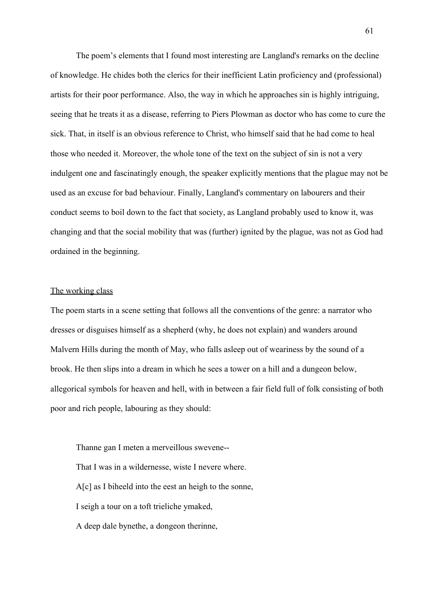The poem's elements that I found most interesting are Langland's remarks on the decline of knowledge. He chides both the clerics for their inefficient Latin proficiency and (professional) artists for their poor performance. Also, the way in which he approaches sin is highly intriguing, seeing that he treats it as a disease, referring to Piers Plowman as doctor who has come to cure the sick. That, in itself is an obvious reference to Christ, who himself said that he had come to heal those who needed it. Moreover, the whole tone of the text on the subject of sin is not a very indulgent one and fascinatingly enough, the speaker explicitly mentions that the plague may not be used as an excuse for bad behaviour. Finally, Langland's commentary on labourers and their conduct seems to boil down to the fact that society, as Langland probably used to know it, was changing and that the social mobility that was (further) ignited by the plague, was not as God had ordained in the beginning.

# The working class

The poem starts in a scene setting that follows all the conventions of the genre: a narrator who dresses or disguises himself as a shepherd (why, he does not explain) and wanders around Malvern Hills during the month of May, who falls asleep out of weariness by the sound of a brook. He then slips into a dream in which he sees a tower on a hill and a dungeon below, allegorical symbols for heaven and hell, with in between a fair field full of folk consisting of both poor and rich people, labouring as they should:

Thanne gan I meten a merveillous swevene-- That I was in a wildernesse, wiste I nevere where. A[c] as I biheeld into the eest an heigh to the sonne, I seigh a tour on a toft trieliche ymaked, A deep dale bynethe, a dongeon therinne,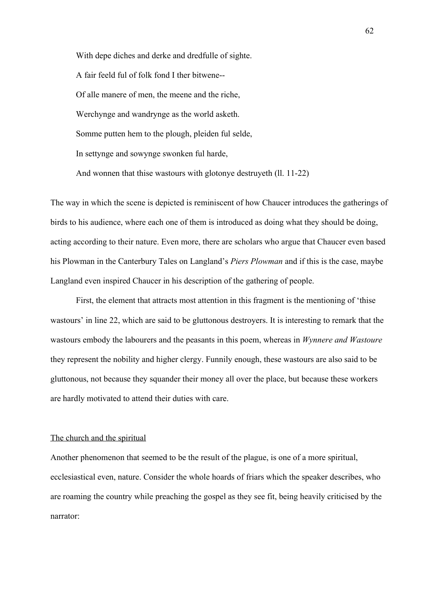With depe diches and derke and dredfulle of sighte. A fair feeld ful of folk fond I ther bitwene-- Of alle manere of men, the meene and the riche, Werchynge and wandrynge as the world asketh. Somme putten hem to the plough, pleiden ful selde, In settynge and sowynge swonken ful harde, And wonnen that thise wastours with glotonye destruyeth (ll. 11-22)

The way in which the scene is depicted is reminiscent of how Chaucer introduces the gatherings of birds to his audience, where each one of them is introduced as doing what they should be doing, acting according to their nature. Even more, there are scholars who argue that Chaucer even based his Plowman in the Canterbury Tales on Langland's *Piers Plowman* and if this is the case, maybe Langland even inspired Chaucer in his description of the gathering of people.

First, the element that attracts most attention in this fragment is the mentioning of 'thise wastours' in line 22, which are said to be gluttonous destroyers. It is interesting to remark that the wastours embody the labourers and the peasants in this poem, whereas in *Wynnere and Wastoure* they represent the nobility and higher clergy. Funnily enough, these wastours are also said to be gluttonous, not because they squander their money all over the place, but because these workers are hardly motivated to attend their duties with care.

### The church and the spiritual

Another phenomenon that seemed to be the result of the plague, is one of a more spiritual, ecclesiastical even, nature. Consider the whole hoards of friars which the speaker describes, who are roaming the country while preaching the gospel as they see fit, being heavily criticised by the narrator: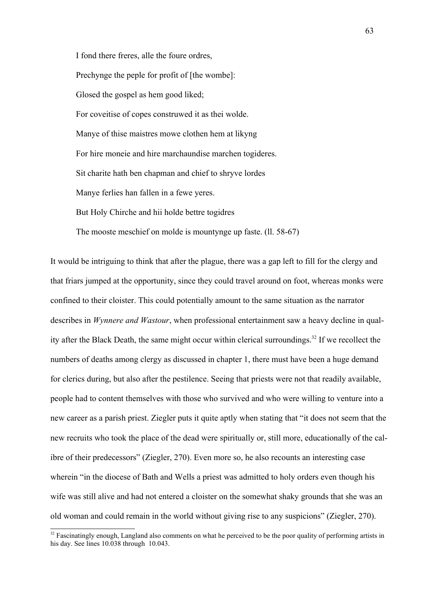I fond there freres, alle the foure ordres, Prechynge the peple for profit of [the wombe]: Glosed the gospel as hem good liked; For coveitise of copes construwed it as thei wolde. Manye of thise maistres mowe clothen hem at likyng For hire moneie and hire marchaundise marchen togideres. Sit charite hath ben chapman and chief to shryve lordes Manye ferlies han fallen in a fewe yeres. But Holy Chirche and hii holde bettre togidres The mooste meschief on molde is mountynge up faste. (ll. 58-67)

It would be intriguing to think that after the plague, there was a gap left to fill for the clergy and that friars jumped at the opportunity, since they could travel around on foot, whereas monks were confined to their cloister. This could potentially amount to the same situation as the narrator describes in *Wynnere and Wastour*, when professional entertainment saw a heavy decline in quality after the Black Death, the same might occur within clerical surroundings. [32](#page-62-0) If we recollect the numbers of deaths among clergy as discussed in chapter 1, there must have been a huge demand for clerics during, but also after the pestilence. Seeing that priests were not that readily available, people had to content themselves with those who survived and who were willing to venture into a new career as a parish priest. Ziegler puts it quite aptly when stating that "it does not seem that the new recruits who took the place of the dead were spiritually or, still more, educationally of the calibre of their predecessors" (Ziegler, 270). Even more so, he also recounts an interesting case wherein "in the diocese of Bath and Wells a priest was admitted to holy orders even though his wife was still alive and had not entered a cloister on the somewhat shaky grounds that she was an old woman and could remain in the world without giving rise to any suspicions" (Ziegler, 270).

<span id="page-62-0"></span><sup>&</sup>lt;sup>32</sup> Fascinatingly enough, Langland also comments on what he perceived to be the poor quality of performing artists in his day. See lines 10.038 through 10.043.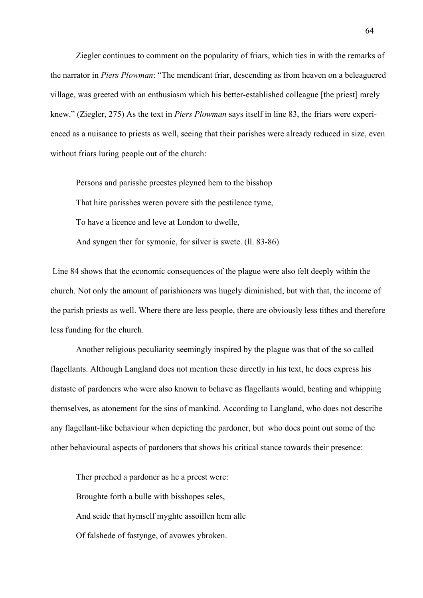Ziegler continues to comment on the popularity of friars, which ties in with the remarks of the narrator in *Piers Plowman*: "The mendicant friar, descending as from heaven on a beleaguered village, was greeted with an enthusiasm which his better-established colleague [the priest] rarely knew." (Ziegler, 275) As the text in *Piers Plowman* says itself in line 83, the friars were experienced as a nuisance to priests as well, seeing that their parishes were already reduced in size, even without friars luring people out of the church:

Persons and parisshe preestes pleyned hem to the bisshop That hire parisshes weren povere sith the pestilence tyme, To have a licence and leve at London to dwelle, And syngen ther for symonie, for silver is swete. (ll. 83-86)

Line 84 shows that the economic consequences of the plague were also felt deeply within the church. Not only the amount of parishioners was hugely diminished, but with that, the income of the parish priests as well. Where there are less people, there are obviously less tithes and therefore less funding for the church.

Another religious peculiarity seemingly inspired by the plague was that of the so called flagellants. Although Langland does not mention these directly in his text, he does express his distaste of pardoners who were also known to behave as flagellants would, beating and whipping themselves, as atonement for the sins of mankind. According to Langland, who does not describe any flagellant-like behaviour when depicting the pardoner, but who does point out some of the other behavioural aspects of pardoners that shows his critical stance towards their presence:

Ther preched a pardoner as he a preest were: Broughte forth a bulle with bisshopes seles, And seide that hymself myghte assoillen hem alle Of falshede of fastynge, of avowes ybroken.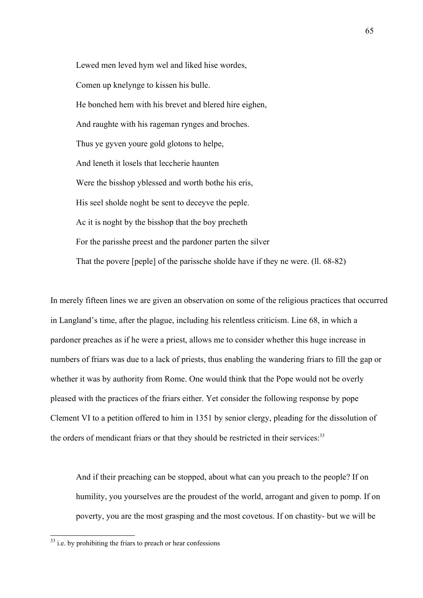Lewed men leved hym wel and liked hise wordes, Comen up knelynge to kissen his bulle. He bonched hem with his brevet and blered hire eighen, And raughte with his rageman rynges and broches. Thus ye gyven youre gold glotons to helpe, And leneth it losels that leccherie haunten Were the bisshop yblessed and worth bothe his eris, His seel sholde noght be sent to deceyve the peple. Ac it is noght by the bisshop that the boy precheth For the parisshe preest and the pardoner parten the silver That the povere [peple] of the parissche sholde have if they ne were. (ll. 68-82)

In merely fifteen lines we are given an observation on some of the religious practices that occurred in Langland's time, after the plague, including his relentless criticism. Line 68, in which a pardoner preaches as if he were a priest, allows me to consider whether this huge increase in numbers of friars was due to a lack of priests, thus enabling the wandering friars to fill the gap or whether it was by authority from Rome. One would think that the Pope would not be overly pleased with the practices of the friars either. Yet consider the following response by pope Clement VI to a petition offered to him in 1351 by senior clergy, pleading for the dissolution of the orders of mendicant friars or that they should be restricted in their services.<sup>[33](#page-64-0)</sup>

And if their preaching can be stopped, about what can you preach to the people? If on humility, you yourselves are the proudest of the world, arrogant and given to pomp. If on poverty, you are the most grasping and the most covetous. If on chastity- but we will be

<span id="page-64-0"></span> $33$  i.e. by prohibiting the friars to preach or hear confessions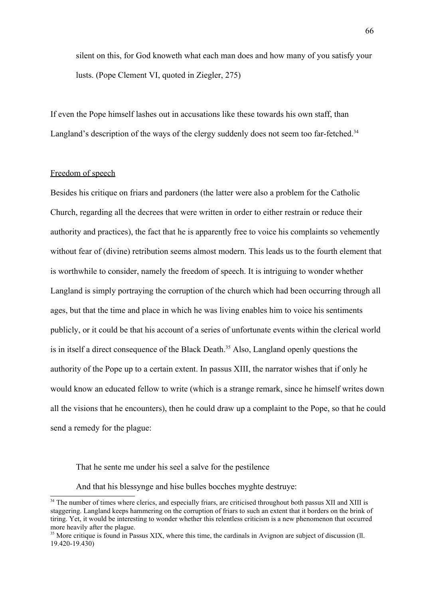silent on this, for God knoweth what each man does and how many of you satisfy your lusts. (Pope Clement VI, quoted in Ziegler, 275)

If even the Pope himself lashes out in accusations like these towards his own staff, than Langland's description of the ways of the clergy suddenly does not seem too far-fetched.<sup>[34](#page-65-0)</sup>

# Freedom of speech

Besides his critique on friars and pardoners (the latter were also a problem for the Catholic Church, regarding all the decrees that were written in order to either restrain or reduce their authority and practices), the fact that he is apparently free to voice his complaints so vehemently without fear of (divine) retribution seems almost modern. This leads us to the fourth element that is worthwhile to consider, namely the freedom of speech. It is intriguing to wonder whether Langland is simply portraying the corruption of the church which had been occurring through all ages, but that the time and place in which he was living enables him to voice his sentiments publicly, or it could be that his account of a series of unfortunate events within the clerical world is in itself a direct consequence of the Black Death.<sup>[35](#page-65-1)</sup> Also, Langland openly questions the authority of the Pope up to a certain extent. In passus XIII, the narrator wishes that if only he would know an educated fellow to write (which is a strange remark, since he himself writes down all the visions that he encounters), then he could draw up a complaint to the Pope, so that he could send a remedy for the plague:

That he sente me under his seel a salve for the pestilence

And that his blessynge and hise bulles bocches myghte destruye:

<span id="page-65-0"></span><sup>&</sup>lt;sup>34</sup> The number of times where clerics, and especially friars, are criticised throughout both passus XII and XIII is staggering. Langland keeps hammering on the corruption of friars to such an extent that it borders on the brink of tiring. Yet, it would be interesting to wonder whether this relentless criticism is a new phenomenon that occurred more heavily after the plague.

<span id="page-65-1"></span><sup>&</sup>lt;sup>35</sup> More critique is found in Passus XIX, where this time, the cardinals in Avignon are subject of discussion (ll. 19.420-19.430)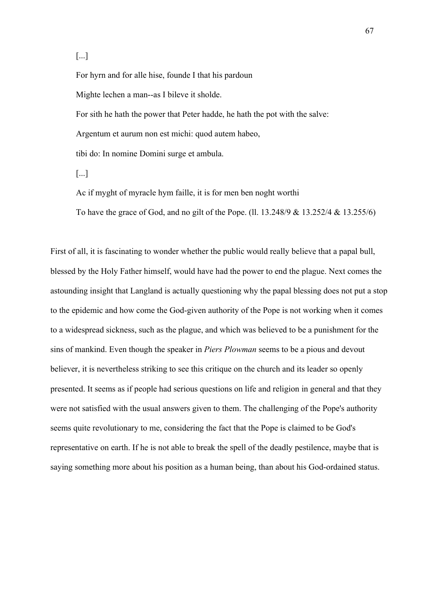[...]

For hyrn and for alle hise, founde I that his pardoun Mighte lechen a man--as I bileve it sholde. For sith he hath the power that Peter hadde, he hath the pot with the salve: Argentum et aurum non est michi: quod autem habeo, tibi do: In nomine Domini surge et ambula. [...]

Ac if myght of myracle hym faille, it is for men ben noght worthi

To have the grace of God, and no gilt of the Pope. (ll. 13.248/9 & 13.252/4 & 13.255/6)

First of all, it is fascinating to wonder whether the public would really believe that a papal bull, blessed by the Holy Father himself, would have had the power to end the plague. Next comes the astounding insight that Langland is actually questioning why the papal blessing does not put a stop to the epidemic and how come the God-given authority of the Pope is not working when it comes to a widespread sickness, such as the plague, and which was believed to be a punishment for the sins of mankind. Even though the speaker in *Piers Plowman* seems to be a pious and devout believer, it is nevertheless striking to see this critique on the church and its leader so openly presented. It seems as if people had serious questions on life and religion in general and that they were not satisfied with the usual answers given to them. The challenging of the Pope's authority seems quite revolutionary to me, considering the fact that the Pope is claimed to be God's representative on earth. If he is not able to break the spell of the deadly pestilence, maybe that is saying something more about his position as a human being, than about his God-ordained status.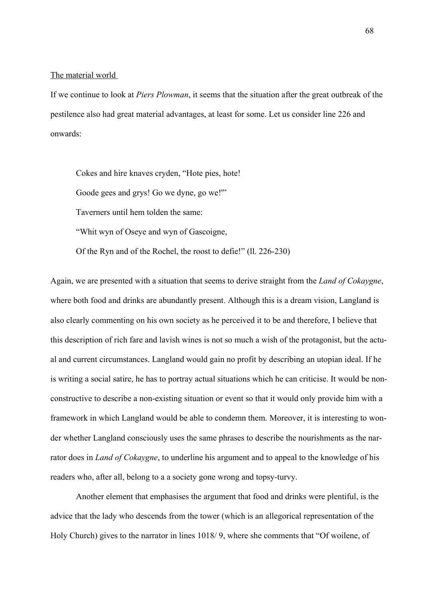### The material world

If we continue to look at *Piers Plowman*, it seems that the situation after the great outbreak of the pestilence also had great material advantages, at least for some. Let us consider line 226 and onwards:

Cokes and hire knaves cryden, "Hote pies, hote! Goode gees and grys! Go we dyne, go we!'" Taverners until hem tolden the same: "Whit wyn of Oseye and wyn of Gascoigne, Of the Ryn and of the Rochel, the roost to defie!" (ll. 226-230)

Again, we are presented with a situation that seems to derive straight from the *Land of Cokaygne*, where both food and drinks are abundantly present. Although this is a dream vision, Langland is also clearly commenting on his own society as he perceived it to be and therefore, I believe that this description of rich fare and lavish wines is not so much a wish of the protagonist, but the actual and current circumstances. Langland would gain no profit by describing an utopian ideal. If he is writing a social satire, he has to portray actual situations which he can criticise. It would be nonconstructive to describe a non-existing situation or event so that it would only provide him with a framework in which Langland would be able to condemn them. Moreover, it is interesting to wonder whether Langland consciously uses the same phrases to describe the nourishments as the narrator does in *Land of Cokaygne*, to underline his argument and to appeal to the knowledge of his readers who, after all, belong to a a society gone wrong and topsy-turvy.

Another element that emphasises the argument that food and drinks were plentiful, is the advice that the lady who descends from the tower (which is an allegorical representation of the Holy Church) gives to the narrator in lines 1018/ 9, where she comments that "Of woilene, of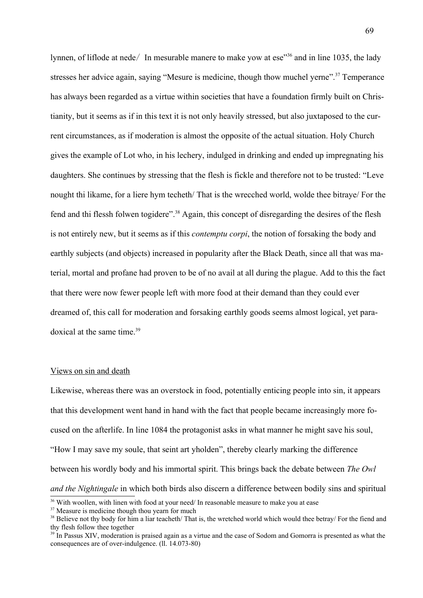lynnen, of liflode at nede/ In mesurable manere to make yow at ese<sup>3[36](#page-68-0)</sup> and in line 1035, the lady stresses her advice again, saying "Mesure is medicine, though thow muchel yerne".<sup>[37](#page-68-1)</sup> Temperance has always been regarded as a virtue within societies that have a foundation firmly built on Christianity, but it seems as if in this text it is not only heavily stressed, but also juxtaposed to the current circumstances, as if moderation is almost the opposite of the actual situation. Holy Church gives the example of Lot who, in his lechery, indulged in drinking and ended up impregnating his daughters. She continues by stressing that the flesh is fickle and therefore not to be trusted: "Leve nought thi likame, for a liere hym techeth/ That is the wrecched world, wolde thee bitraye/ For the fend and thi flessh folwen togidere".<sup>[38](#page-68-2)</sup> Again, this concept of disregarding the desires of the flesh is not entirely new, but it seems as if this *contemptu corpi*, the notion of forsaking the body and earthly subjects (and objects) increased in popularity after the Black Death, since all that was material, mortal and profane had proven to be of no avail at all during the plague. Add to this the fact that there were now fewer people left with more food at their demand than they could ever dreamed of, this call for moderation and forsaking earthly goods seems almost logical, yet paradoxical at the same time. [39](#page-68-3)

### Views on sin and death

Likewise, whereas there was an overstock in food, potentially enticing people into sin, it appears that this development went hand in hand with the fact that people became increasingly more focused on the afterlife. In line 1084 the protagonist asks in what manner he might save his soul, "How I may save my soule, that seint art yholden", thereby clearly marking the difference between his wordly body and his immortal spirit. This brings back the debate between *The Owl and the Nightingale* in which both birds also discern a difference between bodily sins and spiritual

<span id="page-68-0"></span><sup>&</sup>lt;sup>36</sup> With woollen, with linen with food at your need/ In reasonable measure to make you at ease

<span id="page-68-1"></span><sup>&</sup>lt;sup>37</sup> Measure is medicine though thou yearn for much

<span id="page-68-2"></span><sup>&</sup>lt;sup>38</sup> Believe not thy body for him a liar teacheth/ That is, the wretched world which would thee betray/ For the fiend and thy flesh follow thee together

<span id="page-68-3"></span><sup>&</sup>lt;sup>39</sup> In Passus XIV, moderation is praised again as a virtue and the case of Sodom and Gomorra is presented as what the consequences are of over-indulgence. (ll. 14.073-80)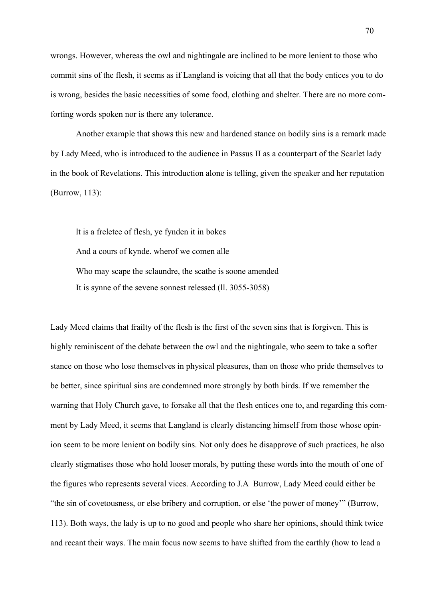wrongs. However, whereas the owl and nightingale are inclined to be more lenient to those who commit sins of the flesh, it seems as if Langland is voicing that all that the body entices you to do is wrong, besides the basic necessities of some food, clothing and shelter. There are no more comforting words spoken nor is there any tolerance.

Another example that shows this new and hardened stance on bodily sins is a remark made by Lady Meed, who is introduced to the audience in Passus II as a counterpart of the Scarlet lady in the book of Revelations. This introduction alone is telling, given the speaker and her reputation (Burrow, 113):

lt is a freletee of flesh, ye fynden it in bokes And a cours of kynde. wherof we comen alle Who may scape the sclaundre, the scathe is soone amended It is synne of the sevene sonnest relessed (ll. 3055-3058)

Lady Meed claims that frailty of the flesh is the first of the seven sins that is forgiven. This is highly reminiscent of the debate between the owl and the nightingale, who seem to take a softer stance on those who lose themselves in physical pleasures, than on those who pride themselves to be better, since spiritual sins are condemned more strongly by both birds. If we remember the warning that Holy Church gave, to forsake all that the flesh entices one to, and regarding this comment by Lady Meed, it seems that Langland is clearly distancing himself from those whose opinion seem to be more lenient on bodily sins. Not only does he disapprove of such practices, he also clearly stigmatises those who hold looser morals, by putting these words into the mouth of one of the figures who represents several vices. According to J.A Burrow, Lady Meed could either be "the sin of covetousness, or else bribery and corruption, or else 'the power of money'" (Burrow, 113). Both ways, the lady is up to no good and people who share her opinions, should think twice and recant their ways. The main focus now seems to have shifted from the earthly (how to lead a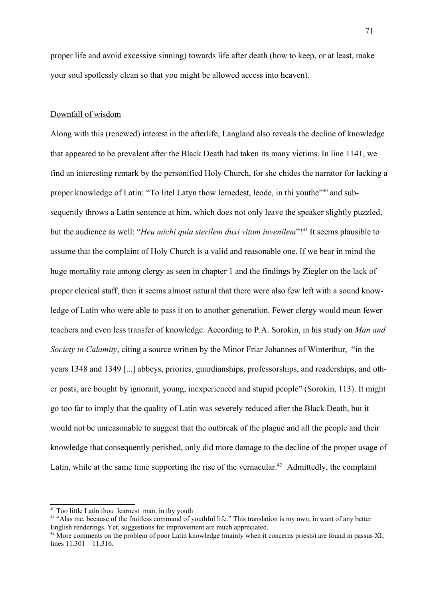proper life and avoid excessive sinning) towards life after death (how to keep, or at least, make your soul spotlessly clean so that you might be allowed access into heaven).

# Downfall of wisdom

Along with this (renewed) interest in the afterlife, Langland also reveals the decline of knowledge that appeared to be prevalent after the Black Death had taken its many victims. In line 1141, we find an interesting remark by the personified Holy Church, for she chides the narrator for lacking a proper knowledge of Latin: "To litel Latyn thow lernedest, leode, in thi youthe"<sup>[40](#page-70-0)</sup> and subsequently throws a Latin sentence at him, which does not only leave the speaker slightly puzzled, but the audience as well: "*Heu michi quia sterilem duxi vitam iuvenilem*"! [41](#page-70-1) It seems plausible to assume that the complaint of Holy Church is a valid and reasonable one. If we bear in mind the huge mortality rate among clergy as seen in chapter 1 and the findings by Ziegler on the lack of proper clerical staff, then it seems almost natural that there were also few left with a sound knowledge of Latin who were able to pass it on to another generation. Fewer clergy would mean fewer teachers and even less transfer of knowledge. According to P.A. Sorokin, in his study on *Man and Society in Calamity*, citing a source written by the Minor Friar Johannes of Winterthur, "in the years 1348 and 1349 [...] abbeys, priories, guardianships, professorships, and readerships, and other posts, are bought by ignorant, young, inexperienced and stupid people" (Sorokin, 113). It might go too far to imply that the quality of Latin was severely reduced after the Black Death, but it would not be unreasonable to suggest that the outbreak of the plague and all the people and their knowledge that consequently perished, only did more damage to the decline of the proper usage of Latin, while at the same time supporting the rise of the vernacular.<sup>[42](#page-70-2)</sup> Admittedly, the complaint

<span id="page-70-0"></span><sup>40</sup> Too little Latin thou learnest man, in thy youth

<span id="page-70-1"></span><sup>&</sup>lt;sup>41</sup> "Alas me, because of the fruitless command of youthful life." This translation is my own, in want of any better English renderings. Yet, suggestions for improvement are much appreciated.

<span id="page-70-2"></span><sup>&</sup>lt;sup>42</sup> More comments on the problem of poor Latin knowledge (mainly when it concerns priests) are found in passus XI, lines 11.301 – 11.316.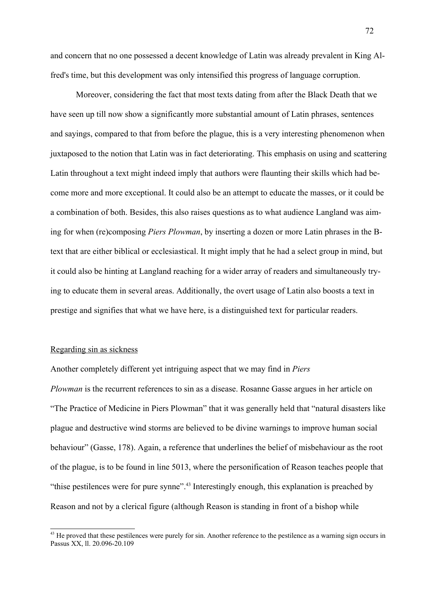and concern that no one possessed a decent knowledge of Latin was already prevalent in King Alfred's time, but this development was only intensified this progress of language corruption.

Moreover, considering the fact that most texts dating from after the Black Death that we have seen up till now show a significantly more substantial amount of Latin phrases, sentences and sayings, compared to that from before the plague, this is a very interesting phenomenon when juxtaposed to the notion that Latin was in fact deteriorating. This emphasis on using and scattering Latin throughout a text might indeed imply that authors were flaunting their skills which had become more and more exceptional. It could also be an attempt to educate the masses, or it could be a combination of both. Besides, this also raises questions as to what audience Langland was aiming for when (re)composing *Piers Plowman*, by inserting a dozen or more Latin phrases in the Btext that are either biblical or ecclesiastical. It might imply that he had a select group in mind, but it could also be hinting at Langland reaching for a wider array of readers and simultaneously trying to educate them in several areas. Additionally, the overt usage of Latin also boosts a text in prestige and signifies that what we have here, is a distinguished text for particular readers.

# Regarding sin as sickness

Another completely different yet intriguing aspect that we may find in *Piers*

*Plowman* is the recurrent references to sin as a disease. Rosanne Gasse argues in her article on "The Practice of Medicine in Piers Plowman" that it was generally held that "natural disasters like plague and destructive wind storms are believed to be divine warnings to improve human social behaviour" (Gasse, 178). Again, a reference that underlines the belief of misbehaviour as the root of the plague, is to be found in line 5013, where the personification of Reason teaches people that "thise pestilences were for pure synne". [43](#page-71-0) Interestingly enough, this explanation is preached by Reason and not by a clerical figure (although Reason is standing in front of a bishop while

<span id="page-71-0"></span><sup>&</sup>lt;sup>43</sup> He proved that these pestilences were purely for sin. Another reference to the pestilence as a warning sign occurs in Passus XX, ll. 20.096-20.109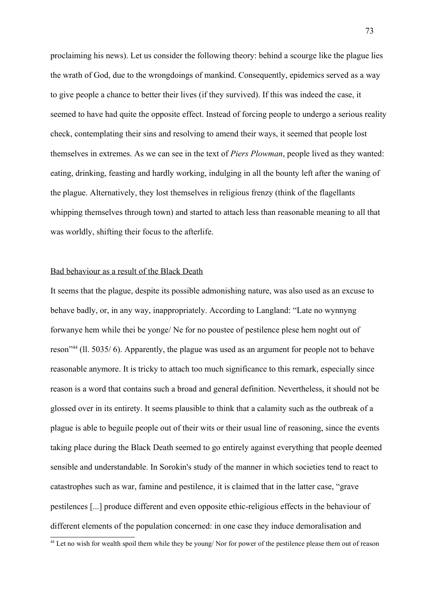proclaiming his news). Let us consider the following theory: behind a scourge like the plague lies the wrath of God, due to the wrongdoings of mankind. Consequently, epidemics served as a way to give people a chance to better their lives (if they survived). If this was indeed the case, it seemed to have had quite the opposite effect. Instead of forcing people to undergo a serious reality check, contemplating their sins and resolving to amend their ways, it seemed that people lost themselves in extremes. As we can see in the text of *Piers Plowman*, people lived as they wanted: eating, drinking, feasting and hardly working, indulging in all the bounty left after the waning of the plague. Alternatively, they lost themselves in religious frenzy (think of the flagellants whipping themselves through town) and started to attach less than reasonable meaning to all that was worldly, shifting their focus to the afterlife.

#### Bad behaviour as a result of the Black Death

It seems that the plague, despite its possible admonishing nature, was also used as an excuse to behave badly, or, in any way, inappropriately. According to Langland: "Late no wynnyng forwanye hem while thei be yonge/ Ne for no poustee of pestilence plese hem noght out of reson<sup>1[44](#page-72-0)</sup> (Il. 5035/6). Apparently, the plague was used as an argument for people not to behave reasonable anymore. It is tricky to attach too much significance to this remark, especially since reason is a word that contains such a broad and general definition. Nevertheless, it should not be glossed over in its entirety. It seems plausible to think that a calamity such as the outbreak of a plague is able to beguile people out of their wits or their usual line of reasoning, since the events taking place during the Black Death seemed to go entirely against everything that people deemed sensible and understandable. In Sorokin's study of the manner in which societies tend to react to catastrophes such as war, famine and pestilence, it is claimed that in the latter case, "grave pestilences [...] produce different and even opposite ethic-religious effects in the behaviour of different elements of the population concerned: in one case they induce demoralisation and

<span id="page-72-0"></span><sup>&</sup>lt;sup>44</sup> Let no wish for wealth spoil them while they be young/ Nor for power of the pestilence please them out of reason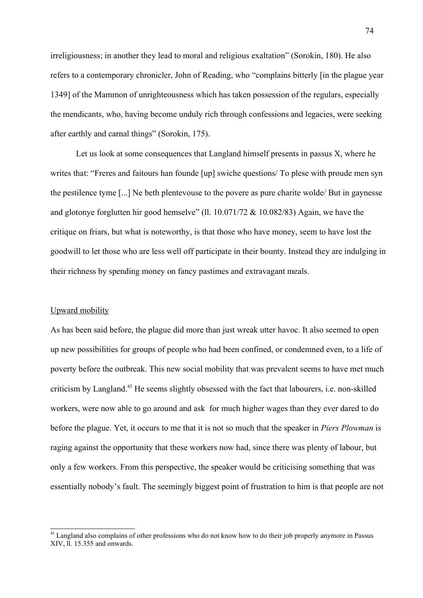irreligiousness; in another they lead to moral and religious exaltation" (Sorokin, 180). He also refers to a contemporary chronicler, John of Reading, who "complains bitterly [in the plague year 1349] of the Mammon of unrighteousness which has taken possession of the regulars, especially the mendicants, who, having become unduly rich through confessions and legacies, were seeking after earthly and carnal things" (Sorokin, 175).

Let us look at some consequences that Langland himself presents in passus  $X$ , where he writes that: "Freres and faitours han founde [up] swiche questions/ To plese with proude men syn the pestilence tyme [...] Ne beth plentevouse to the povere as pure charite wolde/ But in gaynesse and glotonye forglutten hir good hemselve" (ll. 10.071/72 & 10.082/83) Again, we have the critique on friars, but what is noteworthy, is that those who have money, seem to have lost the goodwill to let those who are less well off participate in their bounty. Instead they are indulging in their richness by spending money on fancy pastimes and extravagant meals.

#### Upward mobility

As has been said before, the plague did more than just wreak utter havoc. It also seemed to open up new possibilities for groups of people who had been confined, or condemned even, to a life of poverty before the outbreak. This new social mobility that was prevalent seems to have met much criticism by Langland.<sup>[45](#page-73-0)</sup> He seems slightly obsessed with the fact that labourers, i.e. non-skilled workers, were now able to go around and ask for much higher wages than they ever dared to do before the plague. Yet, it occurs to me that it is not so much that the speaker in *Piers Plowman* is raging against the opportunity that these workers now had, since there was plenty of labour, but only a few workers. From this perspective, the speaker would be criticising something that was essentially nobody's fault. The seemingly biggest point of frustration to him is that people are not

<span id="page-73-0"></span><sup>&</sup>lt;sup>45</sup> Langland also complains of other professions who do not know how to do their job properly anymore in Passus XIV, ll. 15.355 and onwards.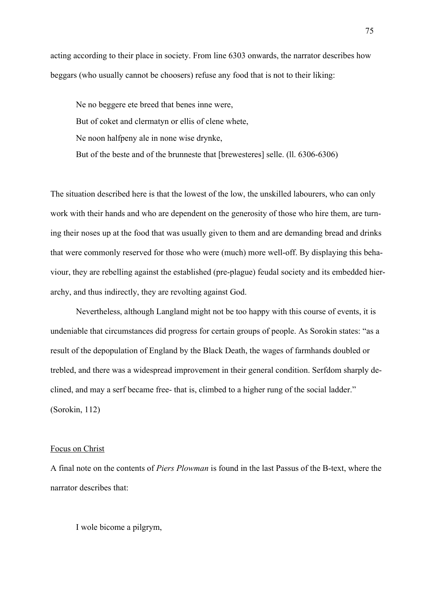acting according to their place in society. From line 6303 onwards, the narrator describes how beggars (who usually cannot be choosers) refuse any food that is not to their liking:

Ne no beggere ete breed that benes inne were, But of coket and clermatyn or ellis of clene whete, Ne noon halfpeny ale in none wise drynke, But of the beste and of the brunneste that [brewesteres] selle. (ll. 6306-6306)

The situation described here is that the lowest of the low, the unskilled labourers, who can only work with their hands and who are dependent on the generosity of those who hire them, are turning their noses up at the food that was usually given to them and are demanding bread and drinks that were commonly reserved for those who were (much) more well-off. By displaying this behaviour, they are rebelling against the established (pre-plague) feudal society and its embedded hierarchy, and thus indirectly, they are revolting against God.

Nevertheless, although Langland might not be too happy with this course of events, it is undeniable that circumstances did progress for certain groups of people. As Sorokin states: "as a result of the depopulation of England by the Black Death, the wages of farmhands doubled or trebled, and there was a widespread improvement in their general condition. Serfdom sharply declined, and may a serf became free- that is, climbed to a higher rung of the social ladder." (Sorokin, 112)

#### Focus on Christ

A final note on the contents of *Piers Plowman* is found in the last Passus of the B-text, where the narrator describes that:

I wole bicome a pilgrym,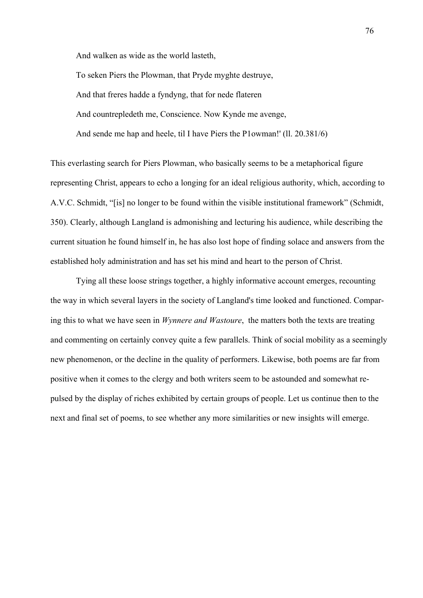And walken as wide as the world lasteth,

To seken Piers the Plowman, that Pryde myghte destruye, And that freres hadde a fyndyng, that for nede flateren And countrepledeth me, Conscience. Now Kynde me avenge, And sende me hap and heele, til I have Piers the P1owman!' (ll. 20.381/6)

This everlasting search for Piers Plowman, who basically seems to be a metaphorical figure representing Christ, appears to echo a longing for an ideal religious authority, which, according to A.V.C. Schmidt, "[is] no longer to be found within the visible institutional framework" (Schmidt, 350). Clearly, although Langland is admonishing and lecturing his audience, while describing the current situation he found himself in, he has also lost hope of finding solace and answers from the established holy administration and has set his mind and heart to the person of Christ.

Tying all these loose strings together, a highly informative account emerges, recounting the way in which several layers in the society of Langland's time looked and functioned. Comparing this to what we have seen in *Wynnere and Wastoure*, the matters both the texts are treating and commenting on certainly convey quite a few parallels. Think of social mobility as a seemingly new phenomenon, or the decline in the quality of performers. Likewise, both poems are far from positive when it comes to the clergy and both writers seem to be astounded and somewhat repulsed by the display of riches exhibited by certain groups of people. Let us continue then to the next and final set of poems, to see whether any more similarities or new insights will emerge.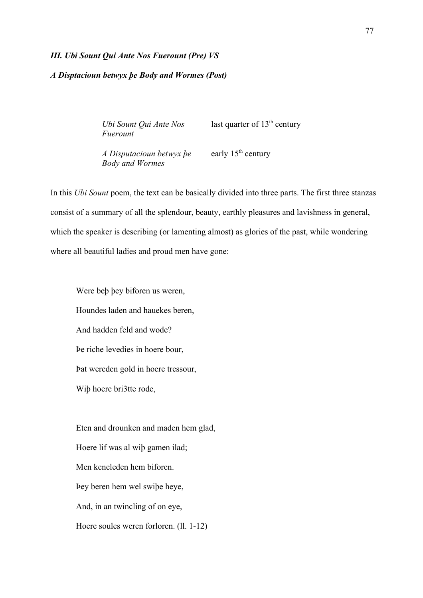#### *III. Ubi Sount Qui Ante Nos Fuerount (Pre) VS*

### *A Disptacioun betwyx þe Body and Wormes (Post)*

*Ubi Sount Qui Ante Nos Fuerount*

last quarter of  $13<sup>th</sup>$  century

*A Disputacioun betwyx þe Body and Wormes* early 15<sup>th</sup> century

In this *Ubi Sount* poem, the text can be basically divided into three parts. The first three stanzas consist of a summary of all the splendour, beauty, earthly pleasures and lavishness in general, which the speaker is describing (or lamenting almost) as glories of the past, while wondering where all beautiful ladies and proud men have gone:

Were beþ þey biforen us weren, Houndes laden and hauekes beren, And hadden feld and wode? Þe riche levedies in hoere bour, Þat wereden gold in hoere tressour, Wiþ hoere bri3tte rode,

Eten and drounken and maden hem glad, Hoere lif was al wiþ gamen ilad; Men keneleden hem biforen. Þey beren hem wel swiþe heye, And, in an twincling of on eye, Hoere soules weren forloren. (ll. 1-12)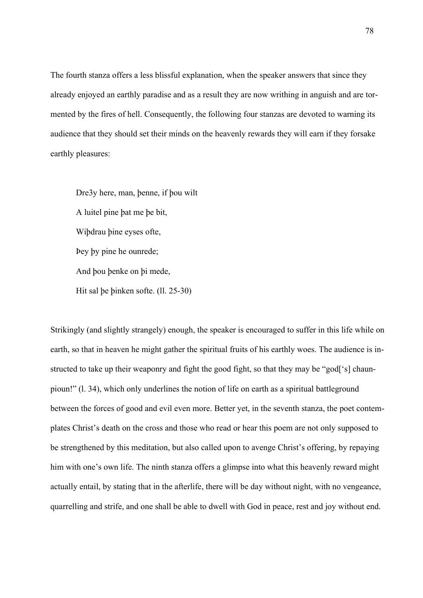The fourth stanza offers a less blissful explanation, when the speaker answers that since they already enjoyed an earthly paradise and as a result they are now writhing in anguish and are tormented by the fires of hell. Consequently, the following four stanzas are devoted to warning its audience that they should set their minds on the heavenly rewards they will earn if they forsake earthly pleasures:

Dre3y here, man, þenne, if þou wilt A luitel pine þat me þe bit, Wiþdrau þine eyses ofte, Þey þy pine he ounrede; And þou þenke on þi mede, Hit sal þe þinken softe. (ll. 25-30)

Strikingly (and slightly strangely) enough, the speaker is encouraged to suffer in this life while on earth, so that in heaven he might gather the spiritual fruits of his earthly woes. The audience is instructed to take up their weaponry and fight the good fight, so that they may be "god['s] chaunpioun!" (l. 34), which only underlines the notion of life on earth as a spiritual battleground between the forces of good and evil even more. Better yet, in the seventh stanza, the poet contemplates Christ's death on the cross and those who read or hear this poem are not only supposed to be strengthened by this meditation, but also called upon to avenge Christ's offering, by repaying him with one's own life. The ninth stanza offers a glimpse into what this heavenly reward might actually entail, by stating that in the afterlife, there will be day without night, with no vengeance, quarrelling and strife, and one shall be able to dwell with God in peace, rest and joy without end.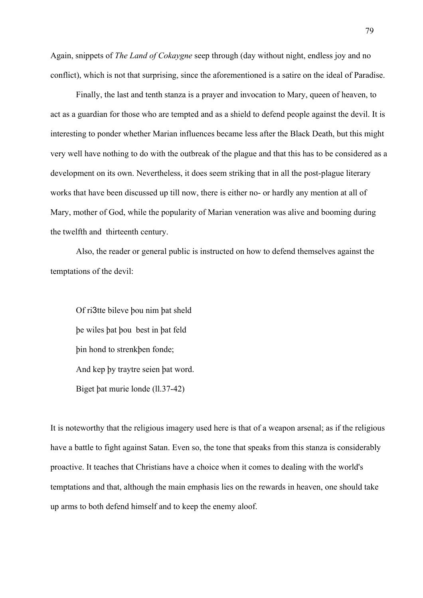Again, snippets of *The Land of Cokaygne* seep through (day without night, endless joy and no conflict), which is not that surprising, since the aforementioned is a satire on the ideal of Paradise.

Finally, the last and tenth stanza is a prayer and invocation to Mary, queen of heaven, to act as a guardian for those who are tempted and as a shield to defend people against the devil. It is interesting to ponder whether Marian influences became less after the Black Death, but this might very well have nothing to do with the outbreak of the plague and that this has to be considered as a development on its own. Nevertheless, it does seem striking that in all the post-plague literary works that have been discussed up till now, there is either no- or hardly any mention at all of Mary, mother of God, while the popularity of Marian veneration was alive and booming during the twelfth and thirteenth century.

Also, the reader or general public is instructed on how to defend themselves against the temptations of the devil:

Of ri3tte bileve þou nim þat sheld þe wiles þat þou best in þat feld þin hond to strenkþen fonde; And kep þy traytre seien þat word. Biget þat murie londe (ll.37-42)

It is noteworthy that the religious imagery used here is that of a weapon arsenal; as if the religious have a battle to fight against Satan. Even so, the tone that speaks from this stanza is considerably proactive. It teaches that Christians have a choice when it comes to dealing with the world's temptations and that, although the main emphasis lies on the rewards in heaven, one should take up arms to both defend himself and to keep the enemy aloof.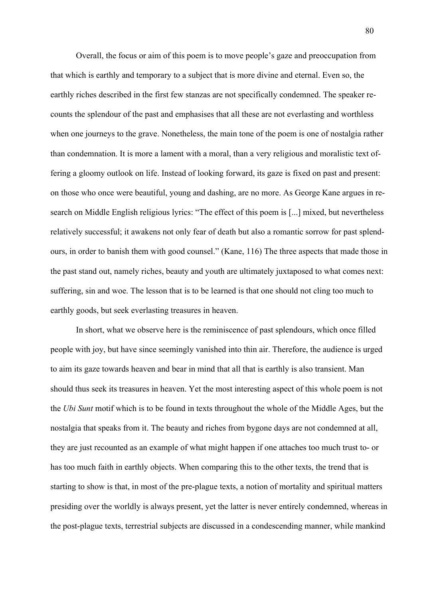Overall, the focus or aim of this poem is to move people's gaze and preoccupation from that which is earthly and temporary to a subject that is more divine and eternal. Even so, the earthly riches described in the first few stanzas are not specifically condemned. The speaker recounts the splendour of the past and emphasises that all these are not everlasting and worthless when one journeys to the grave. Nonetheless, the main tone of the poem is one of nostalgia rather than condemnation. It is more a lament with a moral, than a very religious and moralistic text offering a gloomy outlook on life. Instead of looking forward, its gaze is fixed on past and present: on those who once were beautiful, young and dashing, are no more. As George Kane argues in research on Middle English religious lyrics: "The effect of this poem is [...] mixed, but nevertheless relatively successful; it awakens not only fear of death but also a romantic sorrow for past splendours, in order to banish them with good counsel." (Kane, 116) The three aspects that made those in the past stand out, namely riches, beauty and youth are ultimately juxtaposed to what comes next: suffering, sin and woe. The lesson that is to be learned is that one should not cling too much to earthly goods, but seek everlasting treasures in heaven.

In short, what we observe here is the reminiscence of past splendours, which once filled people with joy, but have since seemingly vanished into thin air. Therefore, the audience is urged to aim its gaze towards heaven and bear in mind that all that is earthly is also transient. Man should thus seek its treasures in heaven. Yet the most interesting aspect of this whole poem is not the *Ubi Sunt* motif which is to be found in texts throughout the whole of the Middle Ages, but the nostalgia that speaks from it. The beauty and riches from bygone days are not condemned at all, they are just recounted as an example of what might happen if one attaches too much trust to- or has too much faith in earthly objects. When comparing this to the other texts, the trend that is starting to show is that, in most of the pre-plague texts, a notion of mortality and spiritual matters presiding over the worldly is always present, yet the latter is never entirely condemned, whereas in the post-plague texts, terrestrial subjects are discussed in a condescending manner, while mankind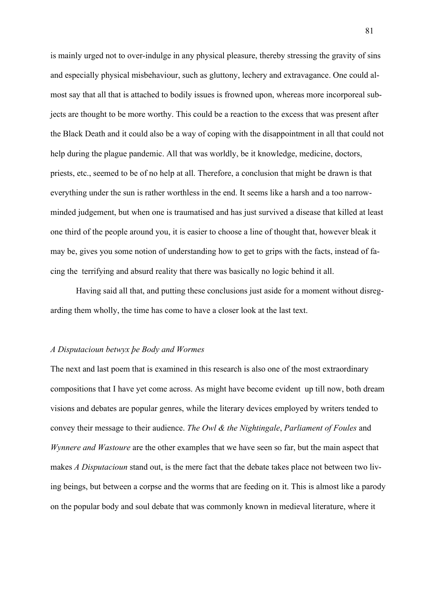is mainly urged not to over-indulge in any physical pleasure, thereby stressing the gravity of sins and especially physical misbehaviour, such as gluttony, lechery and extravagance. One could almost say that all that is attached to bodily issues is frowned upon, whereas more incorporeal subjects are thought to be more worthy. This could be a reaction to the excess that was present after the Black Death and it could also be a way of coping with the disappointment in all that could not help during the plague pandemic. All that was worldly, be it knowledge, medicine, doctors, priests, etc., seemed to be of no help at all. Therefore, a conclusion that might be drawn is that everything under the sun is rather worthless in the end. It seems like a harsh and a too narrowminded judgement, but when one is traumatised and has just survived a disease that killed at least one third of the people around you, it is easier to choose a line of thought that, however bleak it may be, gives you some notion of understanding how to get to grips with the facts, instead of facing the terrifying and absurd reality that there was basically no logic behind it all.

Having said all that, and putting these conclusions just aside for a moment without disregarding them wholly, the time has come to have a closer look at the last text.

#### *A Disputacioun betwyx þe Body and Wormes*

The next and last poem that is examined in this research is also one of the most extraordinary compositions that I have yet come across. As might have become evident up till now, both dream visions and debates are popular genres, while the literary devices employed by writers tended to convey their message to their audience. *The Owl & the Nightingale*, *Parliament of Foules* and *Wynnere and Wastoure* are the other examples that we have seen so far, but the main aspect that makes *A Disputacioun* stand out, is the mere fact that the debate takes place not between two living beings, but between a corpse and the worms that are feeding on it. This is almost like a parody on the popular body and soul debate that was commonly known in medieval literature, where it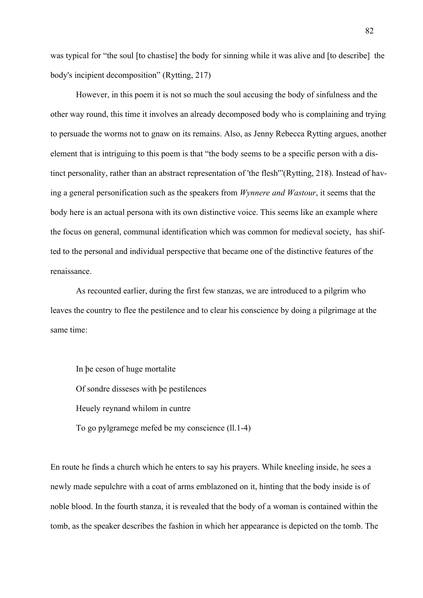was typical for "the soul [to chastise] the body for sinning while it was alive and [to describe] the body's incipient decomposition" (Rytting, 217)

However, in this poem it is not so much the soul accusing the body of sinfulness and the other way round, this time it involves an already decomposed body who is complaining and trying to persuade the worms not to gnaw on its remains. Also, as Jenny Rebecca Rytting argues, another element that is intriguing to this poem is that "the body seems to be a specific person with a distinct personality, rather than an abstract representation of 'the flesh'"(Rytting, 218). Instead of having a general personification such as the speakers from *Wynnere and Wastour*, it seems that the body here is an actual persona with its own distinctive voice. This seems like an example where the focus on general, communal identification which was common for medieval society, has shifted to the personal and individual perspective that became one of the distinctive features of the renaissance.

As recounted earlier, during the first few stanzas, we are introduced to a pilgrim who leaves the country to flee the pestilence and to clear his conscience by doing a pilgrimage at the same time:

In þe ceson of huge mortalite Of sondre disseses with þe pestilences Heuely reynand whilom in cuntre To go pylgramege mefed be my conscience (ll.1-4)

En route he finds a church which he enters to say his prayers. While kneeling inside, he sees a newly made sepulchre with a coat of arms emblazoned on it, hinting that the body inside is of noble blood. In the fourth stanza, it is revealed that the body of a woman is contained within the tomb, as the speaker describes the fashion in which her appearance is depicted on the tomb. The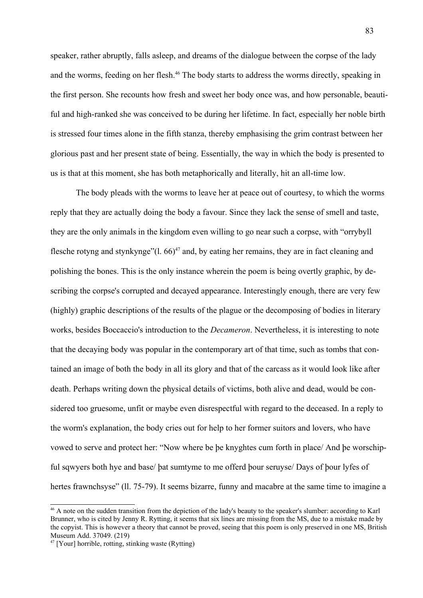speaker, rather abruptly, falls asleep, and dreams of the dialogue between the corpse of the lady and the worms, feeding on her flesh.<sup>[46](#page-82-0)</sup> The body starts to address the worms directly, speaking in the first person. She recounts how fresh and sweet her body once was, and how personable, beautiful and high-ranked she was conceived to be during her lifetime. In fact, especially her noble birth is stressed four times alone in the fifth stanza, thereby emphasising the grim contrast between her glorious past and her present state of being. Essentially, the way in which the body is presented to us is that at this moment, she has both metaphorically and literally, hit an all-time low.

The body pleads with the worms to leave her at peace out of courtesy, to which the worms reply that they are actually doing the body a favour. Since they lack the sense of smell and taste, they are the only animals in the kingdom even willing to go near such a corpse, with "orrybyll flesche rotyng and stynkynge" $(1.66)^{47}$  $(1.66)^{47}$  $(1.66)^{47}$  and, by eating her remains, they are in fact cleaning and polishing the bones. This is the only instance wherein the poem is being overtly graphic, by describing the corpse's corrupted and decayed appearance. Interestingly enough, there are very few (highly) graphic descriptions of the results of the plague or the decomposing of bodies in literary works, besides Boccaccio's introduction to the *Decameron*. Nevertheless, it is interesting to note that the decaying body was popular in the contemporary art of that time, such as tombs that contained an image of both the body in all its glory and that of the carcass as it would look like after death. Perhaps writing down the physical details of victims, both alive and dead, would be considered too gruesome, unfit or maybe even disrespectful with regard to the deceased. In a reply to the worm's explanation, the body cries out for help to her former suitors and lovers, who have vowed to serve and protect her: "Now where be þe knyghtes cum forth in place/ And þe worschipful sqwyers both hye and base/ þat sumtyme to me offerd þour seruyse/ Days of þour lyfes of hertes frawnchsyse" (11, 75-79). It seems bizarre, funny and macabre at the same time to imagine a

<span id="page-82-0"></span><sup>46</sup> A note on the sudden transition from the depiction of the lady's beauty to the speaker's slumber: according to Karl Brunner, who is cited by Jenny R. Rytting, it seems that six lines are missing from the MS, due to a mistake made by the copyist. This is however a theory that cannot be proved, seeing that this poem is only preserved in one MS, British Museum Add. 37049. (219)

<span id="page-82-1"></span> $47$  [Your] horrible, rotting, stinking waste (Rytting)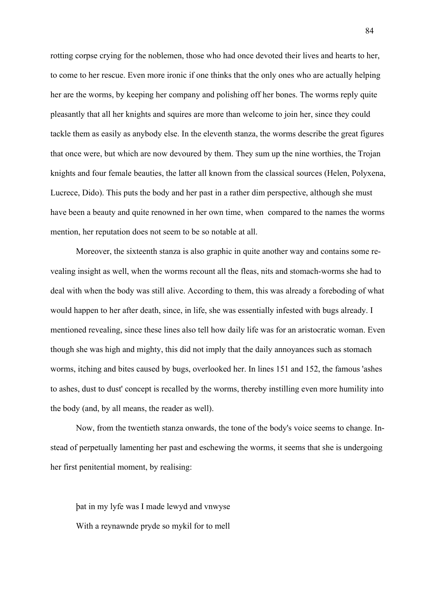rotting corpse crying for the noblemen, those who had once devoted their lives and hearts to her, to come to her rescue. Even more ironic if one thinks that the only ones who are actually helping her are the worms, by keeping her company and polishing off her bones. The worms reply quite pleasantly that all her knights and squires are more than welcome to join her, since they could tackle them as easily as anybody else. In the eleventh stanza, the worms describe the great figures that once were, but which are now devoured by them. They sum up the nine worthies, the Trojan knights and four female beauties, the latter all known from the classical sources (Helen, Polyxena, Lucrece, Dido). This puts the body and her past in a rather dim perspective, although she must have been a beauty and quite renowned in her own time, when compared to the names the worms mention, her reputation does not seem to be so notable at all.

Moreover, the sixteenth stanza is also graphic in quite another way and contains some revealing insight as well, when the worms recount all the fleas, nits and stomach-worms she had to deal with when the body was still alive. According to them, this was already a foreboding of what would happen to her after death, since, in life, she was essentially infested with bugs already. I mentioned revealing, since these lines also tell how daily life was for an aristocratic woman. Even though she was high and mighty, this did not imply that the daily annoyances such as stomach worms, itching and bites caused by bugs, overlooked her. In lines 151 and 152, the famous 'ashes to ashes, dust to dust' concept is recalled by the worms, thereby instilling even more humility into the body (and, by all means, the reader as well).

Now, from the twentieth stanza onwards, the tone of the body's voice seems to change. Instead of perpetually lamenting her past and eschewing the worms, it seems that she is undergoing her first penitential moment, by realising:

þat in my lyfe was I made lewyd and vnwyse With a reynawnde pryde so mykil for to mell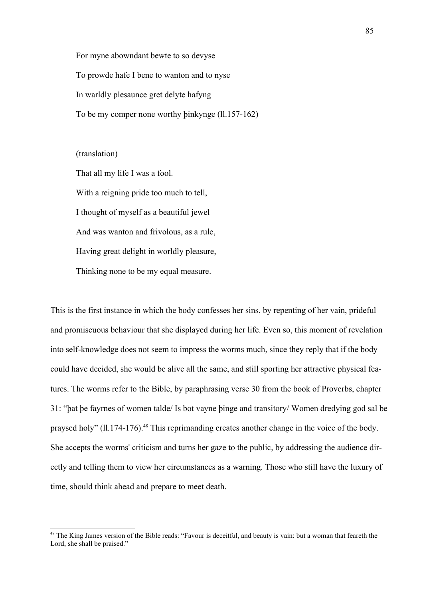For myne abowndant bewte to so devyse To prowde hafe I bene to wanton and to nyse In warldly plesaunce gret delyte hafyng To be my comper none worthy þinkynge (ll.157-162)

(translation)

That all my life I was a fool. With a reigning pride too much to tell, I thought of myself as a beautiful jewel And was wanton and frivolous, as a rule, Having great delight in worldly pleasure, Thinking none to be my equal measure.

This is the first instance in which the body confesses her sins, by repenting of her vain, prideful and promiscuous behaviour that she displayed during her life. Even so, this moment of revelation into self-knowledge does not seem to impress the worms much, since they reply that if the body could have decided, she would be alive all the same, and still sporting her attractive physical features. The worms refer to the Bible, by paraphrasing verse 30 from the book of Proverbs, chapter 31: "þat þe fayrnes of women talde/ Is bot vayne þinge and transitory/ Women dredying god sal be praysed holy" (ll.174-176).<sup>[48](#page-84-0)</sup> This reprimanding creates another change in the voice of the body. She accepts the worms' criticism and turns her gaze to the public, by addressing the audience directly and telling them to view her circumstances as a warning. Those who still have the luxury of time, should think ahead and prepare to meet death.

<span id="page-84-0"></span><sup>&</sup>lt;sup>48</sup> The King James version of the Bible reads: "Favour is deceitful, and beauty is vain: but a woman that feareth the Lord, she shall be praised."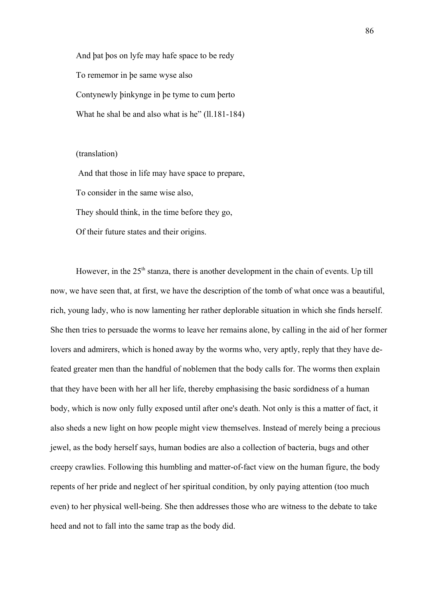And þat þos on lyfe may hafe space to be redy To rememor in þe same wyse also Contynewly þinkynge in þe tyme to cum þerto What he shal be and also what is he" (11.181-184)

#### (translation)

 And that those in life may have space to prepare, To consider in the same wise also, They should think, in the time before they go, Of their future states and their origins.

However, in the  $25<sup>th</sup>$  stanza, there is another development in the chain of events. Up till now, we have seen that, at first, we have the description of the tomb of what once was a beautiful, rich, young lady, who is now lamenting her rather deplorable situation in which she finds herself. She then tries to persuade the worms to leave her remains alone, by calling in the aid of her former lovers and admirers, which is honed away by the worms who, very aptly, reply that they have defeated greater men than the handful of noblemen that the body calls for. The worms then explain that they have been with her all her life, thereby emphasising the basic sordidness of a human body, which is now only fully exposed until after one's death. Not only is this a matter of fact, it also sheds a new light on how people might view themselves. Instead of merely being a precious jewel, as the body herself says, human bodies are also a collection of bacteria, bugs and other creepy crawlies. Following this humbling and matter-of-fact view on the human figure, the body repents of her pride and neglect of her spiritual condition, by only paying attention (too much even) to her physical well-being. She then addresses those who are witness to the debate to take heed and not to fall into the same trap as the body did.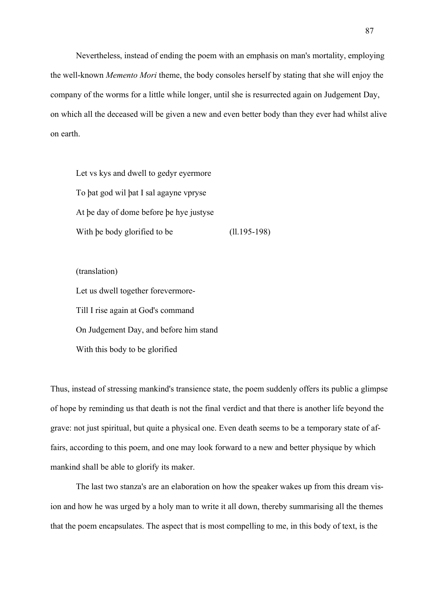Nevertheless, instead of ending the poem with an emphasis on man's mortality, employing the well-known *Memento Mori* theme, the body consoles herself by stating that she will enjoy the company of the worms for a little while longer, until she is resurrected again on Judgement Day, on which all the deceased will be given a new and even better body than they ever had whilst alive on earth.

Let vs kys and dwell to gedyr eyermore To þat god wil þat I sal agayne vpryse At þe day of dome before þe hye justyse With be body glorified to be (ll.195-198)

(translation)

Let us dwell together forevermore-Till I rise again at God's command On Judgement Day, and before him stand With this body to be glorified

Thus, instead of stressing mankind's transience state, the poem suddenly offers its public a glimpse of hope by reminding us that death is not the final verdict and that there is another life beyond the grave: not just spiritual, but quite a physical one. Even death seems to be a temporary state of affairs, according to this poem, and one may look forward to a new and better physique by which mankind shall be able to glorify its maker.

The last two stanza's are an elaboration on how the speaker wakes up from this dream vision and how he was urged by a holy man to write it all down, thereby summarising all the themes that the poem encapsulates. The aspect that is most compelling to me, in this body of text, is the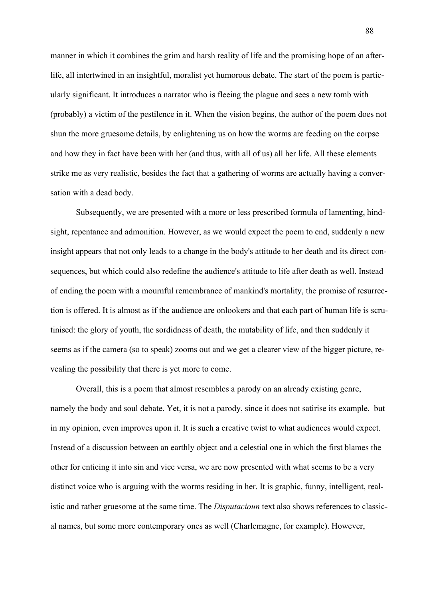manner in which it combines the grim and harsh reality of life and the promising hope of an afterlife, all intertwined in an insightful, moralist yet humorous debate. The start of the poem is particularly significant. It introduces a narrator who is fleeing the plague and sees a new tomb with (probably) a victim of the pestilence in it. When the vision begins, the author of the poem does not shun the more gruesome details, by enlightening us on how the worms are feeding on the corpse and how they in fact have been with her (and thus, with all of us) all her life. All these elements strike me as very realistic, besides the fact that a gathering of worms are actually having a conversation with a dead body.

Subsequently, we are presented with a more or less prescribed formula of lamenting, hindsight, repentance and admonition. However, as we would expect the poem to end, suddenly a new insight appears that not only leads to a change in the body's attitude to her death and its direct consequences, but which could also redefine the audience's attitude to life after death as well. Instead of ending the poem with a mournful remembrance of mankind's mortality, the promise of resurrection is offered. It is almost as if the audience are onlookers and that each part of human life is scrutinised: the glory of youth, the sordidness of death, the mutability of life, and then suddenly it seems as if the camera (so to speak) zooms out and we get a clearer view of the bigger picture, revealing the possibility that there is yet more to come.

Overall, this is a poem that almost resembles a parody on an already existing genre, namely the body and soul debate. Yet, it is not a parody, since it does not satirise its example, but in my opinion, even improves upon it. It is such a creative twist to what audiences would expect. Instead of a discussion between an earthly object and a celestial one in which the first blames the other for enticing it into sin and vice versa, we are now presented with what seems to be a very distinct voice who is arguing with the worms residing in her. It is graphic, funny, intelligent, realistic and rather gruesome at the same time. The *Disputacioun* text also shows references to classical names, but some more contemporary ones as well (Charlemagne, for example). However,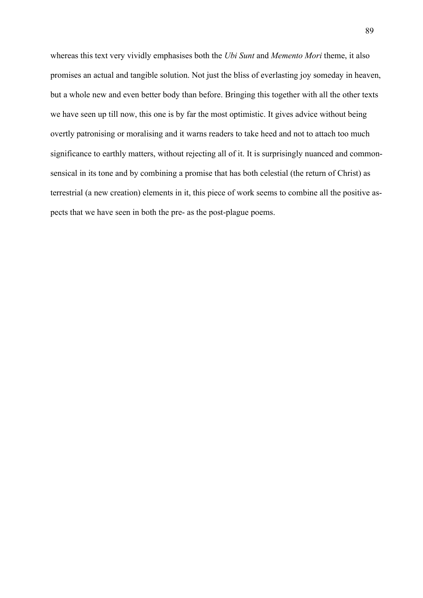whereas this text very vividly emphasises both the *Ubi Sunt* and *Memento Mori* theme, it also promises an actual and tangible solution. Not just the bliss of everlasting joy someday in heaven, but a whole new and even better body than before. Bringing this together with all the other texts we have seen up till now, this one is by far the most optimistic. It gives advice without being overtly patronising or moralising and it warns readers to take heed and not to attach too much significance to earthly matters, without rejecting all of it. It is surprisingly nuanced and commonsensical in its tone and by combining a promise that has both celestial (the return of Christ) as terrestrial (a new creation) elements in it, this piece of work seems to combine all the positive aspects that we have seen in both the pre- as the post-plague poems.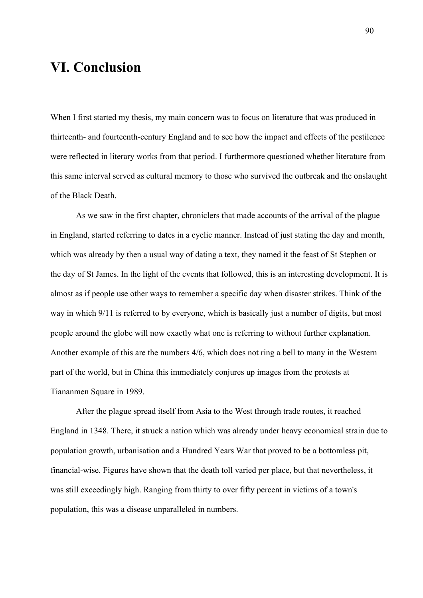## **VI. Conclusion**

When I first started my thesis, my main concern was to focus on literature that was produced in thirteenth- and fourteenth-century England and to see how the impact and effects of the pestilence were reflected in literary works from that period. I furthermore questioned whether literature from this same interval served as cultural memory to those who survived the outbreak and the onslaught of the Black Death.

As we saw in the first chapter, chroniclers that made accounts of the arrival of the plague in England, started referring to dates in a cyclic manner. Instead of just stating the day and month, which was already by then a usual way of dating a text, they named it the feast of St Stephen or the day of St James. In the light of the events that followed, this is an interesting development. It is almost as if people use other ways to remember a specific day when disaster strikes. Think of the way in which 9/11 is referred to by everyone, which is basically just a number of digits, but most people around the globe will now exactly what one is referring to without further explanation. Another example of this are the numbers 4/6, which does not ring a bell to many in the Western part of the world, but in China this immediately conjures up images from the protests at Tiananmen Square in 1989.

After the plague spread itself from Asia to the West through trade routes, it reached England in 1348. There, it struck a nation which was already under heavy economical strain due to population growth, urbanisation and a Hundred Years War that proved to be a bottomless pit, financial-wise. Figures have shown that the death toll varied per place, but that nevertheless, it was still exceedingly high. Ranging from thirty to over fifty percent in victims of a town's population, this was a disease unparalleled in numbers.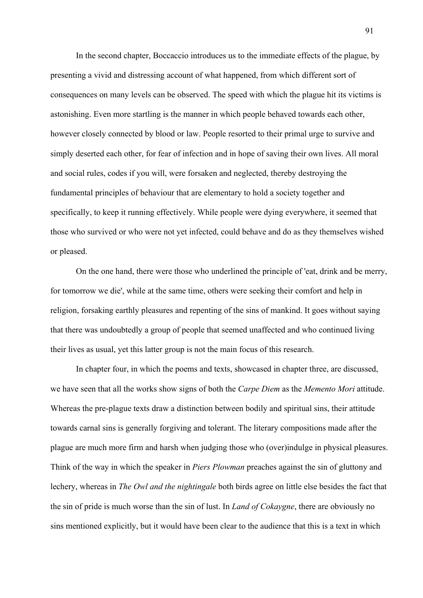In the second chapter, Boccaccio introduces us to the immediate effects of the plague, by presenting a vivid and distressing account of what happened, from which different sort of consequences on many levels can be observed. The speed with which the plague hit its victims is astonishing. Even more startling is the manner in which people behaved towards each other, however closely connected by blood or law. People resorted to their primal urge to survive and simply deserted each other, for fear of infection and in hope of saving their own lives. All moral and social rules, codes if you will, were forsaken and neglected, thereby destroying the fundamental principles of behaviour that are elementary to hold a society together and specifically, to keep it running effectively. While people were dying everywhere, it seemed that those who survived or who were not yet infected, could behave and do as they themselves wished or pleased.

On the one hand, there were those who underlined the principle of 'eat, drink and be merry, for tomorrow we die', while at the same time, others were seeking their comfort and help in religion, forsaking earthly pleasures and repenting of the sins of mankind. It goes without saying that there was undoubtedly a group of people that seemed unaffected and who continued living their lives as usual, yet this latter group is not the main focus of this research.

In chapter four, in which the poems and texts, showcased in chapter three, are discussed, we have seen that all the works show signs of both the *Carpe Diem* as the *Memento Mori* attitude. Whereas the pre-plague texts draw a distinction between bodily and spiritual sins, their attitude towards carnal sins is generally forgiving and tolerant. The literary compositions made after the plague are much more firm and harsh when judging those who (over)indulge in physical pleasures. Think of the way in which the speaker in *Piers Plowman* preaches against the sin of gluttony and lechery, whereas in *The Owl and the nightingale* both birds agree on little else besides the fact that the sin of pride is much worse than the sin of lust. In *Land of Cokaygne*, there are obviously no sins mentioned explicitly, but it would have been clear to the audience that this is a text in which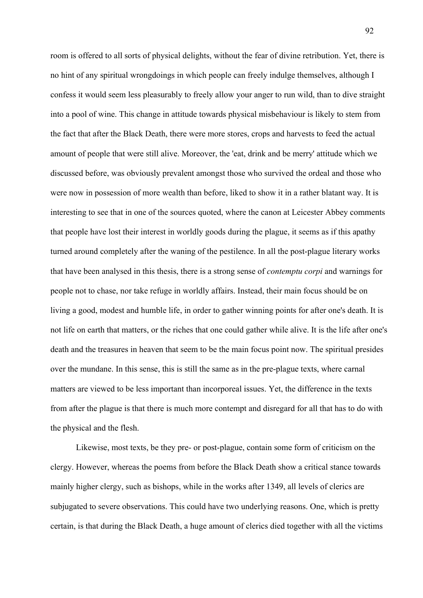room is offered to all sorts of physical delights, without the fear of divine retribution. Yet, there is no hint of any spiritual wrongdoings in which people can freely indulge themselves, although I confess it would seem less pleasurably to freely allow your anger to run wild, than to dive straight into a pool of wine. This change in attitude towards physical misbehaviour is likely to stem from the fact that after the Black Death, there were more stores, crops and harvests to feed the actual amount of people that were still alive. Moreover, the 'eat, drink and be merry' attitude which we discussed before, was obviously prevalent amongst those who survived the ordeal and those who were now in possession of more wealth than before, liked to show it in a rather blatant way. It is interesting to see that in one of the sources quoted, where the canon at Leicester Abbey comments that people have lost their interest in worldly goods during the plague, it seems as if this apathy turned around completely after the waning of the pestilence. In all the post-plague literary works that have been analysed in this thesis, there is a strong sense of *contemptu corpi* and warnings for people not to chase, nor take refuge in worldly affairs. Instead, their main focus should be on living a good, modest and humble life, in order to gather winning points for after one's death. It is not life on earth that matters, or the riches that one could gather while alive. It is the life after one's death and the treasures in heaven that seem to be the main focus point now. The spiritual presides over the mundane. In this sense, this is still the same as in the pre-plague texts, where carnal matters are viewed to be less important than incorporeal issues. Yet, the difference in the texts from after the plague is that there is much more contempt and disregard for all that has to do with the physical and the flesh.

Likewise, most texts, be they pre- or post-plague, contain some form of criticism on the clergy. However, whereas the poems from before the Black Death show a critical stance towards mainly higher clergy, such as bishops, while in the works after 1349, all levels of clerics are subjugated to severe observations. This could have two underlying reasons. One, which is pretty certain, is that during the Black Death, a huge amount of clerics died together with all the victims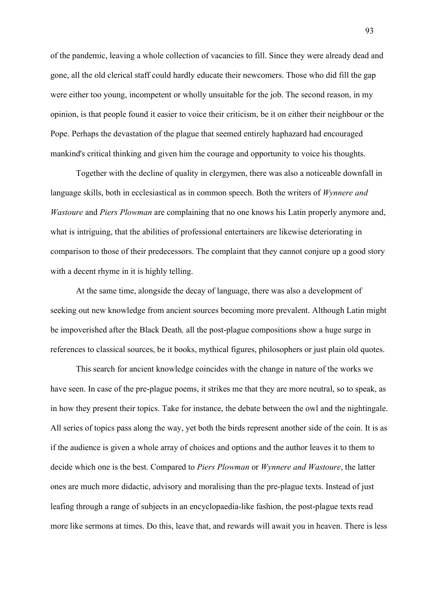of the pandemic, leaving a whole collection of vacancies to fill. Since they were already dead and gone, all the old clerical staff could hardly educate their newcomers. Those who did fill the gap were either too young, incompetent or wholly unsuitable for the job. The second reason, in my opinion, is that people found it easier to voice their criticism, be it on either their neighbour or the Pope. Perhaps the devastation of the plague that seemed entirely haphazard had encouraged mankind's critical thinking and given him the courage and opportunity to voice his thoughts.

Together with the decline of quality in clergymen, there was also a noticeable downfall in language skills, both in ecclesiastical as in common speech. Both the writers of *Wynnere and Wastoure* and *Piers Plowman* are complaining that no one knows his Latin properly anymore and, what is intriguing, that the abilities of professional entertainers are likewise deteriorating in comparison to those of their predecessors. The complaint that they cannot conjure up a good story with a decent rhyme in it is highly telling.

At the same time, alongside the decay of language, there was also a development of seeking out new knowledge from ancient sources becoming more prevalent. Although Latin might be impoverished after the Black Death*,* all the post-plague compositions show a huge surge in references to classical sources, be it books, mythical figures, philosophers or just plain old quotes.

This search for ancient knowledge coincides with the change in nature of the works we have seen. In case of the pre-plague poems, it strikes me that they are more neutral, so to speak, as in how they present their topics. Take for instance, the debate between the owl and the nightingale. All series of topics pass along the way, yet both the birds represent another side of the coin. It is as if the audience is given a whole array of choices and options and the author leaves it to them to decide which one is the best. Compared to *Piers Plowman* or *Wynnere and Wastoure*, the latter ones are much more didactic, advisory and moralising than the pre-plague texts. Instead of just leafing through a range of subjects in an encyclopaedia-like fashion, the post-plague texts read more like sermons at times. Do this, leave that, and rewards will await you in heaven. There is less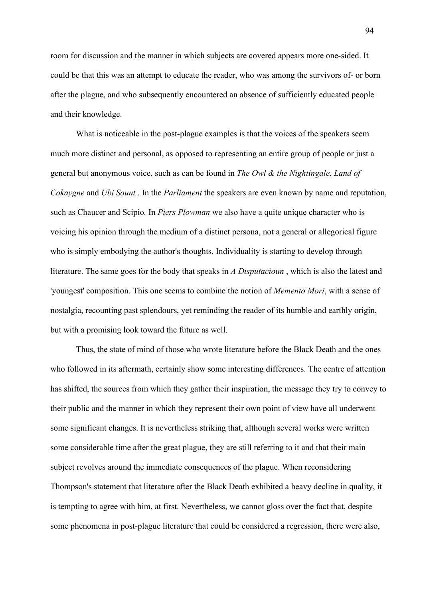room for discussion and the manner in which subjects are covered appears more one-sided. It could be that this was an attempt to educate the reader, who was among the survivors of- or born after the plague, and who subsequently encountered an absence of sufficiently educated people and their knowledge.

What is noticeable in the post-plague examples is that the voices of the speakers seem much more distinct and personal, as opposed to representing an entire group of people or just a general but anonymous voice, such as can be found in *The Owl & the Nightingale*, *Land of Cokaygne* and *Ubi Sount* . In the *Parliament* the speakers are even known by name and reputation, such as Chaucer and Scipio*.* In *Piers Plowman* we also have a quite unique character who is voicing his opinion through the medium of a distinct persona, not a general or allegorical figure who is simply embodying the author's thoughts. Individuality is starting to develop through literature. The same goes for the body that speaks in *A Disputacioun* , which is also the latest and 'youngest' composition. This one seems to combine the notion of *Memento Mori*, with a sense of nostalgia, recounting past splendours, yet reminding the reader of its humble and earthly origin, but with a promising look toward the future as well.

Thus, the state of mind of those who wrote literature before the Black Death and the ones who followed in its aftermath, certainly show some interesting differences. The centre of attention has shifted, the sources from which they gather their inspiration, the message they try to convey to their public and the manner in which they represent their own point of view have all underwent some significant changes. It is nevertheless striking that, although several works were written some considerable time after the great plague, they are still referring to it and that their main subject revolves around the immediate consequences of the plague. When reconsidering Thompson's statement that literature after the Black Death exhibited a heavy decline in quality, it is tempting to agree with him, at first. Nevertheless, we cannot gloss over the fact that, despite some phenomena in post-plague literature that could be considered a regression, there were also,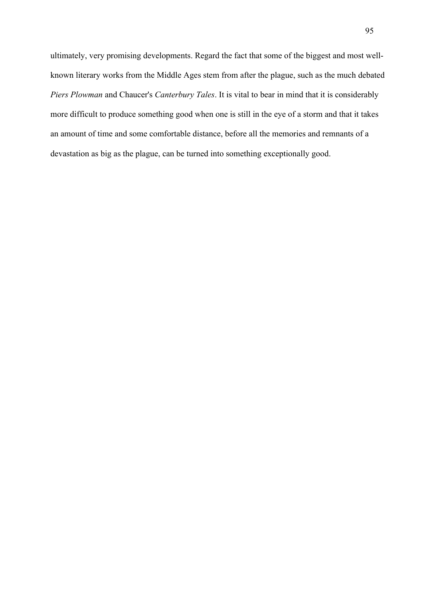ultimately, very promising developments. Regard the fact that some of the biggest and most wellknown literary works from the Middle Ages stem from after the plague, such as the much debated *Piers Plowman* and Chaucer's *Canterbury Tales*. It is vital to bear in mind that it is considerably more difficult to produce something good when one is still in the eye of a storm and that it takes an amount of time and some comfortable distance, before all the memories and remnants of a devastation as big as the plague, can be turned into something exceptionally good.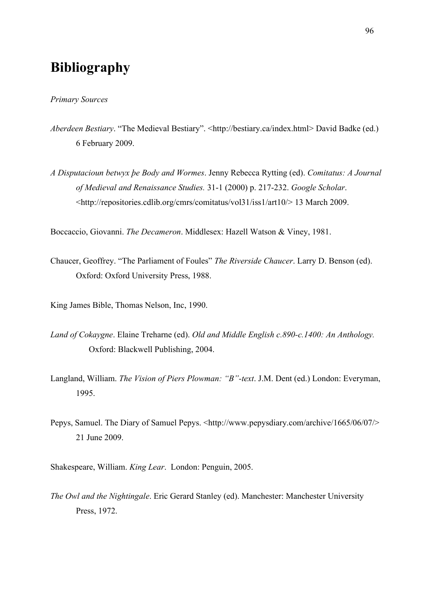# **Bibliography**

#### *Primary Sources*

- *Aberdeen Bestiary.* "The Medieval Bestiary". <http://bestiary.ca/index.html> David Badke (ed.) 6 February 2009.
- *A Disputacioun betwyx þe Body and Wormes*. Jenny Rebecca Rytting (ed). *Comitatus: A Journal of Medieval and Renaissance Studies.* 31-1 (2000) p. 217-232. *Google Scholar*. <http://repositories.cdlib.org/cmrs/comitatus/vol31/iss1/art10/> 13 March 2009.

Boccaccio, Giovanni. *The Decameron*. Middlesex: Hazell Watson & Viney, 1981.

Chaucer, Geoffrey. "The Parliament of Foules" *The Riverside Chaucer*. Larry D. Benson (ed). Oxford: Oxford University Press, 1988.

King James Bible, Thomas Nelson, Inc, 1990.

- *Land of Cokaygne*. Elaine Treharne (ed). *Old and Middle English c.890-c.1400: An Anthology.*  Oxford: Blackwell Publishing, 2004.
- Langland, William. *The Vision of Piers Plowman: "B"-text*. J.M. Dent (ed.) London: Everyman, 1995.
- Pepys, Samuel. The Diary of Samuel Pepys. <http://www.pepysdiary.com/archive/1665/06/07/> 21 June 2009.
- Shakespeare, William. *King Lear*. London: Penguin, 2005.
- *The Owl and the Nightingale*. Eric Gerard Stanley (ed). Manchester: Manchester University Press, 1972.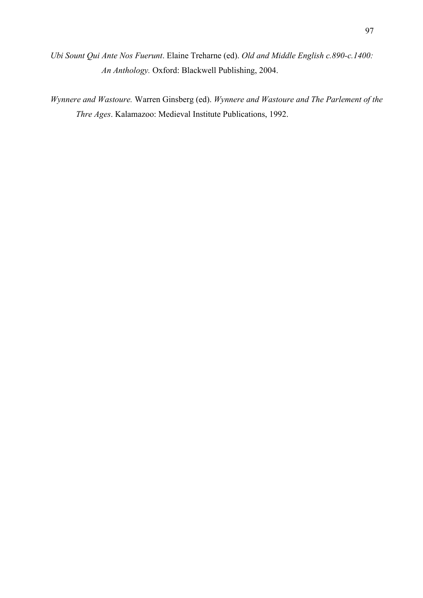*Ubi Sount Qui Ante Nos Fuerunt*. Elaine Treharne (ed). *Old and Middle English c.890-c.1400: An Anthology.* Oxford: Blackwell Publishing, 2004.

*Wynnere and Wastoure.* Warren Ginsberg (ed). *Wynnere and Wastoure and The Parlement of the Thre Ages*. Kalamazoo: Medieval Institute Publications, 1992.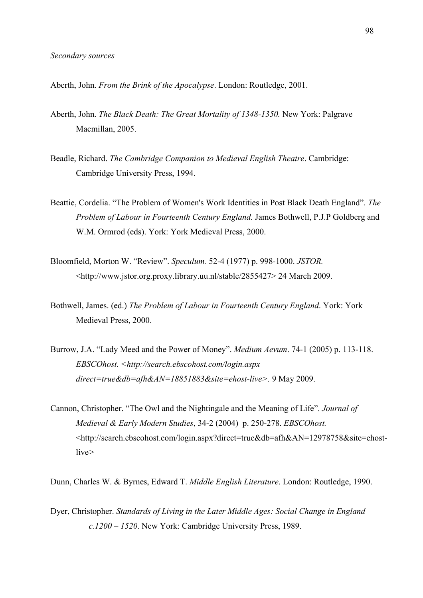Aberth, John. *From the Brink of the Apocalypse*. London: Routledge, 2001.

- Aberth, John. *The Black Death: The Great Mortality of 1348-1350.* New York: Palgrave Macmillan, 2005.
- Beadle, Richard. *The Cambridge Companion to Medieval English Theatre*. Cambridge: Cambridge University Press, 1994.
- Beattie, Cordelia. "The Problem of Women's Work Identities in Post Black Death England". *The Problem of Labour in Fourteenth Century England.* James Bothwell, P.J.P Goldberg and W.M. Ormrod (eds). York: York Medieval Press, 2000.
- Bloomfield, Morton W. "Review". *Speculum.* 52-4 (1977) p. 998-1000. *JSTOR.*  <http://www.jstor.org.proxy.library.uu.nl/stable/2855427> 24 March 2009.
- Bothwell, James. (ed.) *The Problem of Labour in Fourteenth Century England*. York: York Medieval Press, 2000.
- Burrow, J.A. "Lady Meed and the Power of Money". *Medium Aevum*. 74-1 (2005) p. 113-118. *EBSCOhost. <http://search.ebscohost.com/login.aspx direct=true&db=afh&AN=18851883&site=ehost-live>.* 9 May 2009.
- Cannon, Christopher. "The Owl and the Nightingale and the Meaning of Life". *Journal of Medieval & Early Modern Studies*, 34-2 (2004) p. 250-278. *EBSCOhost.*  <http://search.ebscohost.com/login.aspx?direct=true&db=afh&AN=12978758&site=ehostlive*>*
- Dunn, Charles W. & Byrnes, Edward T. *Middle English Literature*. London: Routledge, 1990.
- Dyer, Christopher. *Standards of Living in the Later Middle Ages: Social Change in England c.1200 – 1520*. New York: Cambridge University Press, 1989.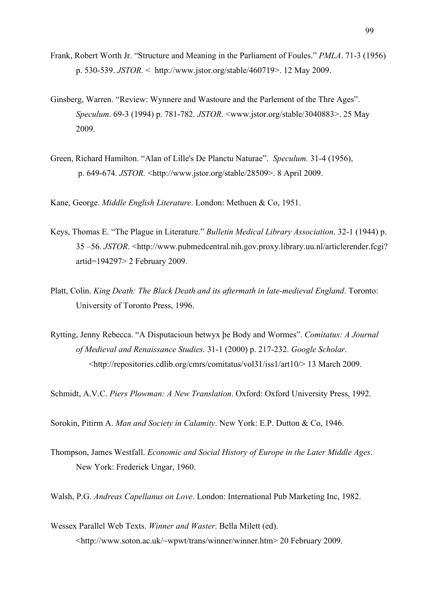- Frank, Robert Worth Jr. "Structure and Meaning in the Parliament of Foules." *PMLA*. 71-3 (1956) p. 530-539. *JSTOR.* < http://www.jstor.org/stable/460719>. 12 May 2009.
- Ginsberg, Warren. "Review: Wynnere and Wastoure and the Parlement of the Thre Ages". *Speculum*. 69-3 (1994) p. 781-782. *JSTOR*. <www.jstor.org/stable/3040883>. 25 May 2009.
- Green, Richard Hamilton. "Alan of Lille's De Planctu Naturae". *Speculum.* 31-4 (1956), p. 649-674. *JSTOR.* <http://www.jstor.org/stable/28509>. 8 April 2009.
- Kane, George. *Middle English Literature*. London: Methuen & Co, 1951.
- Keys, Thomas E. "The Plague in Literature." *Bulletin Medical Library Association*. 32-1 (1944) p. 35 –56. *JSTOR*. <http://www.pubmedcentral.nih.gov.proxy.library.uu.nl/articlerender.fcgi? artid=194297> 2 February 2009.
- Platt, Colin. *King Death: The Black Death and its aftermath in late-medieval England*. Toronto: University of Toronto Press, 1996.
- Rytting, Jenny Rebecca. "A Disputacioun betwyx þe Body and Wormes". *Comitatus: A Journal of Medieval and Renaissance Studies.* 31-1 (2000) p. 217-232. *Google Scholar*. <http://repositories.cdlib.org/cmrs/comitatus/vol31/iss1/art10/> 13 March 2009.

Schmidt, A.V.C. *Piers Plowman: A New Translation*. Oxford: Oxford University Press, 1992.

Sorokin, Pitirm A. *Man and Society in Calamity*. New York: E.P. Dutton & Co, 1946.

Thompson, James Westfall. *Economic and Social History of Europe in the Later Middle Ages*. New York: Frederick Ungar, 1960.

Walsh, P.G. *Andreas Capellanus on Love*. London: International Pub Marketing Inc, 1982.

Wessex Parallel Web Texts. *Winner and Waster*. Bella Milett (ed). <http://www.soton.ac.uk/~wpwt/trans/winner/winner.htm> 20 February 2009.